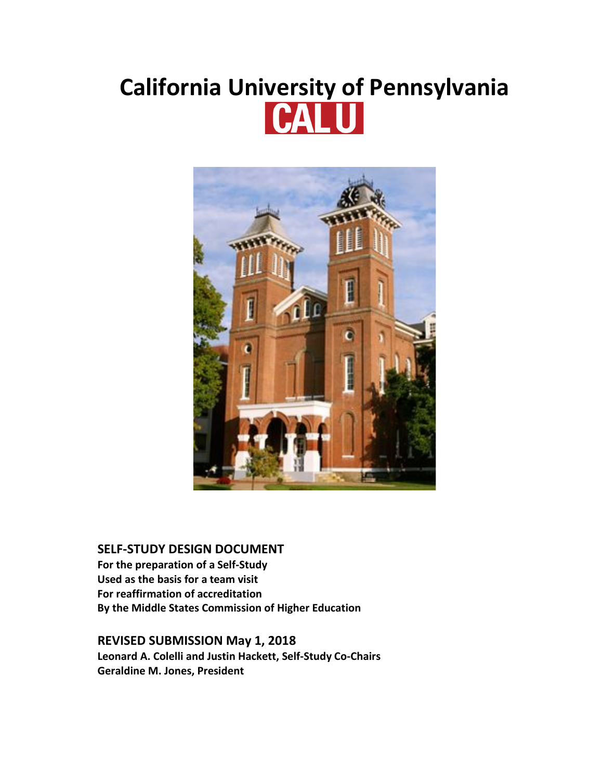# **California University of Pennsylvania**



# **SELF-STUDY DESIGN DOCUMENT**

**For the preparation of a Self-Study Used as the basis for a team visit For reaffirmation of accreditation By the Middle States Commission of Higher Education**

# **REVISED SUBMISSION May 1, 2018**

**Leonard A. Colelli and Justin Hackett, Self-Study Co-Chairs Geraldine M. Jones, President**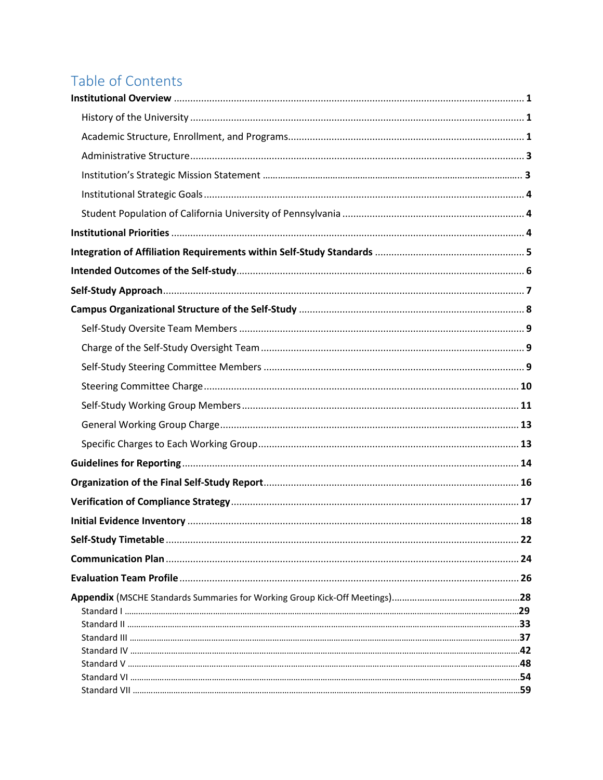# Table of Contents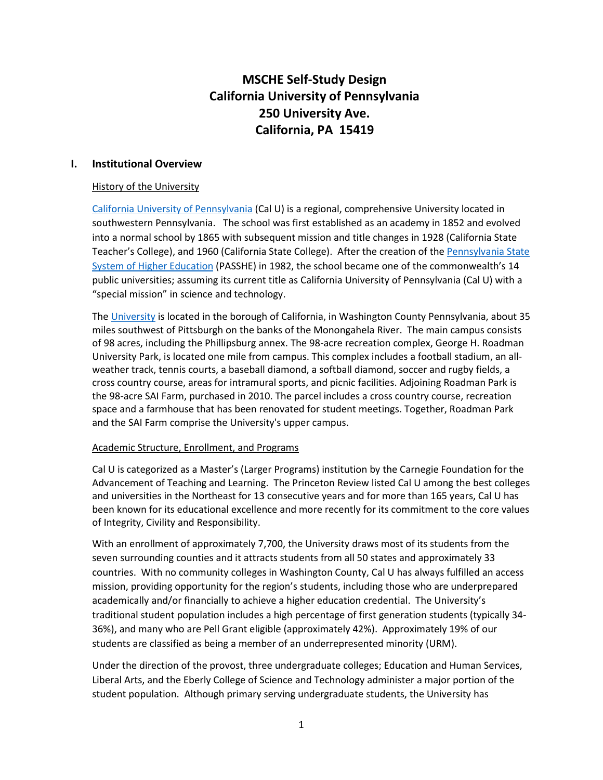# **MSCHE Self-Study Design California University of Pennsylvania 250 University Ave. California, PA 15419**

## **I. Institutional Overview**

## History of the University

[California University of Pennsylvania](http://www.calu.edu/) (Cal U) is a regional, comprehensive University located in southwestern Pennsylvania. The school was first established as an academy in 1852 and evolved into a normal school by 1865 with subsequent mission and title changes in 1928 (California State Teacher's College), and 1960 (California State College). After the creation of the [Pennsylvania State](https://www.google.com/url?sa=t&rct=j&q=&esrc=s&source=web&cd=1&cad=rja&uact=8&ved=0ahUKEwi555y6sIXYAhXGfRoKHXfxChsQFggpMAA&url=http%3A%2F%2Fwww.passhe.edu%2F&usg=AOvVaw3KpnerpMNuPUFMf9v0bFcH)  [System of Higher Education](https://www.google.com/url?sa=t&rct=j&q=&esrc=s&source=web&cd=1&cad=rja&uact=8&ved=0ahUKEwi555y6sIXYAhXGfRoKHXfxChsQFggpMAA&url=http%3A%2F%2Fwww.passhe.edu%2F&usg=AOvVaw3KpnerpMNuPUFMf9v0bFcH) (PASSHE) in 1982, the school became one of the commonwealth's 14 public universities; assuming its current title as California University of Pennsylvania (Cal U) with a "special mission" in science and technology.

Th[e University](https://www.calu.edu/calu-difference/) is located in the borough of California, in Washington County Pennsylvania, about 35 miles southwest of Pittsburgh on the banks of the Monongahela River. The main campus consists of 98 acres, including the Phillipsburg annex. The 98-acre recreation complex, George H. Roadman University Park, is located one mile from campus. This complex includes a football stadium, an allweather track, tennis courts, a baseball diamond, a softball diamond, soccer and rugby fields, a cross country course, areas for intramural sports, and picnic facilities. Adjoining Roadman Park is the 98-acre SAI Farm, purchased in 2010. The parcel includes a cross country course, recreation space and a farmhouse that has been renovated for student meetings. Together, Roadman Park and the SAI Farm comprise the University's upper campus.

## Academic Structure, Enrollment, and Programs

Cal U is categorized as a Master's (Larger Programs) institution by the Carnegie Foundation for the Advancement of Teaching and Learning. The Princeton Review listed Cal U among the best colleges and universities in the Northeast for 13 consecutive years and for more than 165 years, Cal U has been known for its educational excellence and more recently for its commitment to the core values of Integrity, Civility and Responsibility.

With an enrollment of approximately 7,700, the University draws most of its students from the seven surrounding counties and it attracts students from all 50 states and approximately 33 countries. With no community colleges in Washington County, Cal U has always fulfilled an access mission, providing opportunity for the region's students, including those who are underprepared academically and/or financially to achieve a higher education credential. The University's traditional student population includes a high percentage of first generation students (typically 34- 36%), and many who are Pell Grant eligible (approximately 42%). Approximately 19% of our students are classified as being a member of an underrepresented minority (URM).

Under the direction of the provost, three undergraduate colleges; Education and Human Services, Liberal Arts, and the Eberly College of Science and Technology administer a major portion of the student population. Although primary serving undergraduate students, the University has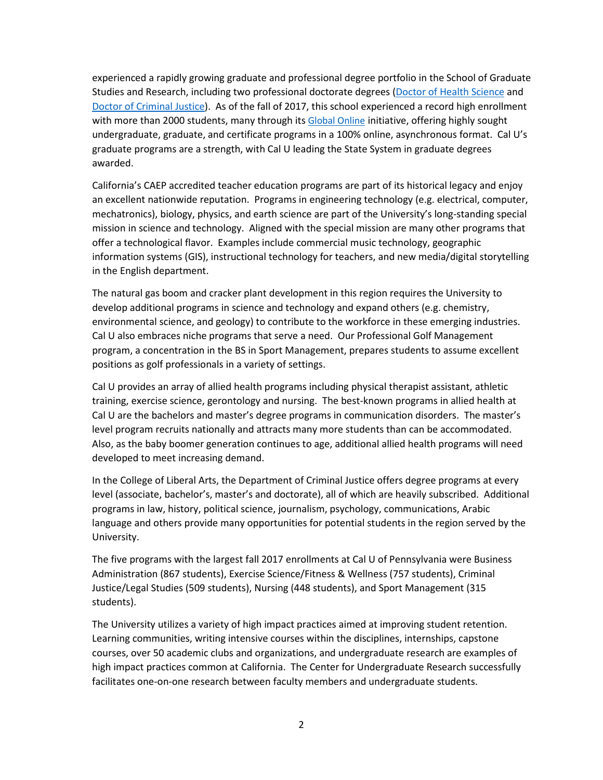experienced a rapidly growing graduate and professional degree portfolio in the School of Graduate Studies and Research, including two professional doctorate degrees [\(Doctor of Health Science](https://www.calu.edu/academics/graduate/doctoral/health-science/index.aspx) and [Doctor of Criminal Justice\)](http://www.calu.edu/academics/online-programs/doctorate-criminal-justice/index.htm). As of the fall of 2017, this school experienced a record high enrollment with more than 2000 students, many through it[s Global Online](http://www.calu.edu/prospective/global-online/index.htm) initiative, offering highly sought undergraduate, graduate, and certificate programs in a 100% online, asynchronous format. Cal U's graduate programs are a strength, with Cal U leading the State System in graduate degrees awarded.

California's CAEP accredited teacher education programs are part of its historical legacy and enjoy an excellent nationwide reputation. Programs in engineering technology (e.g. electrical, computer, mechatronics), biology, physics, and earth science are part of the University's long-standing special mission in science and technology. Aligned with the special mission are many other programs that offer a technological flavor. Examples include commercial music technology, geographic information systems (GIS), instructional technology for teachers, and new media/digital storytelling in the English department.

The natural gas boom and cracker plant development in this region requires the University to develop additional programs in science and technology and expand others (e.g. chemistry, environmental science, and geology) to contribute to the workforce in these emerging industries. Cal U also embraces niche programs that serve a need. Our Professional Golf Management program, a concentration in the BS in Sport Management, prepares students to assume excellent positions as golf professionals in a variety of settings.

Cal U provides an array of allied health programs including physical therapist assistant, athletic training, exercise science, gerontology and nursing. The best-known programs in allied health at Cal U are the bachelors and master's degree programs in communication disorders. The master's level program recruits nationally and attracts many more students than can be accommodated. Also, as the baby boomer generation continues to age, additional allied health programs will need developed to meet increasing demand.

In the College of Liberal Arts, the Department of Criminal Justice offers degree programs at every level (associate, bachelor's, master's and doctorate), all of which are heavily subscribed. Additional programs in law, history, political science, journalism, psychology, communications, Arabic language and others provide many opportunities for potential students in the region served by the University.

The five programs with the largest fall 2017 enrollments at Cal U of Pennsylvania were Business Administration (867 students), Exercise Science/Fitness & Wellness (757 students), Criminal Justice/Legal Studies (509 students), Nursing (448 students), and Sport Management (315 students).

The University utilizes a variety of high impact practices aimed at improving student retention. Learning communities, writing intensive courses within the disciplines, internships, capstone courses, over 50 academic clubs and organizations, and undergraduate research are examples of high impact practices common at California. The Center for Undergraduate Research successfully facilitates one-on-one research between faculty members and undergraduate students.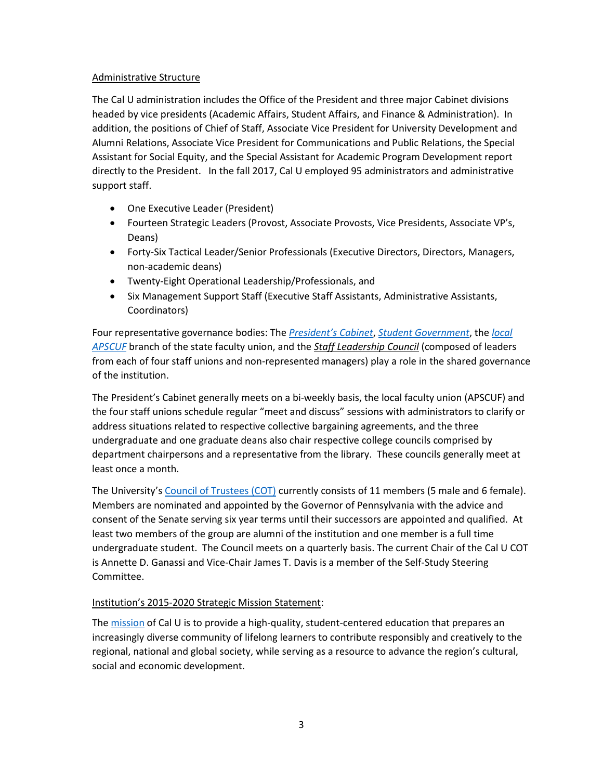## Administrative Structure

The Cal U administration includes the Office of the President and three major Cabinet divisions headed by vice presidents (Academic Affairs, Student Affairs, and Finance & Administration). In addition, the positions of Chief of Staff, Associate Vice President for University Development and Alumni Relations, Associate Vice President for Communications and Public Relations, the Special Assistant for Social Equity, and the Special Assistant for Academic Program Development report directly to the President. In the fall 2017, Cal U employed 95 administrators and administrative support staff.

- One Executive Leader (President)
- Fourteen Strategic Leaders (Provost, Associate Provosts, Vice Presidents, Associate VP's, Deans)
- Forty-Six Tactical Leader/Senior Professionals (Executive Directors, Directors, Managers, non-academic deans)
- Twenty-Eight Operational Leadership/Professionals, and
- Six Management Support Staff (Executive Staff Assistants, Administrative Assistants, Coordinators)

Four representative governance bodies: The *[President's Cabinet](https://www.calu.edu/calu-difference/university-leadership.aspx)*, *[Student Government](https://orgsync.com/60642/chapter)*, the *[local](http://www.apscuf.org/universities/california/)  [APSCUF](http://www.apscuf.org/universities/california/)* branch of the state faculty union, and the *Staff Leadership Council* (composed of leaders from each of four staff unions and non-represented managers) play a role in the shared governance of the institution.

The President's Cabinet generally meets on a bi-weekly basis, the local faculty union (APSCUF) and the four staff unions schedule regular "meet and discuss" sessions with administrators to clarify or address situations related to respective collective bargaining agreements, and the three undergraduate and one graduate deans also chair respective college councils comprised by department chairpersons and a representative from the library. These councils generally meet at least once a month.

The University's [Council of Trustees \(COT\)](https://www.calu.edu/calu-difference/university-leadership.aspx) currently consists of 11 members (5 male and 6 female). Members are nominated and appointed by the Governor of Pennsylvania with the advice and consent of the Senate serving six year terms until their successors are appointed and qualified. At least two members of the group are alumni of the institution and one member is a full time undergraduate student. The Council meets on a quarterly basis. The current Chair of the Cal U COT is Annette D. Ganassi and Vice-Chair James T. Davis is a member of the Self-Study Steering Committee.

# Institution's 2015-2020 Strategic Mission Statement:

Th[e mission](https://www.calu.edu/inside/faculty-staff/strategic_plan/executive_summary.aspx) of Cal U is to provide a high-quality, student-centered education that prepares an increasingly diverse community of lifelong learners to contribute responsibly and creatively to the regional, national and global society, while serving as a resource to advance the region's cultural, social and economic development.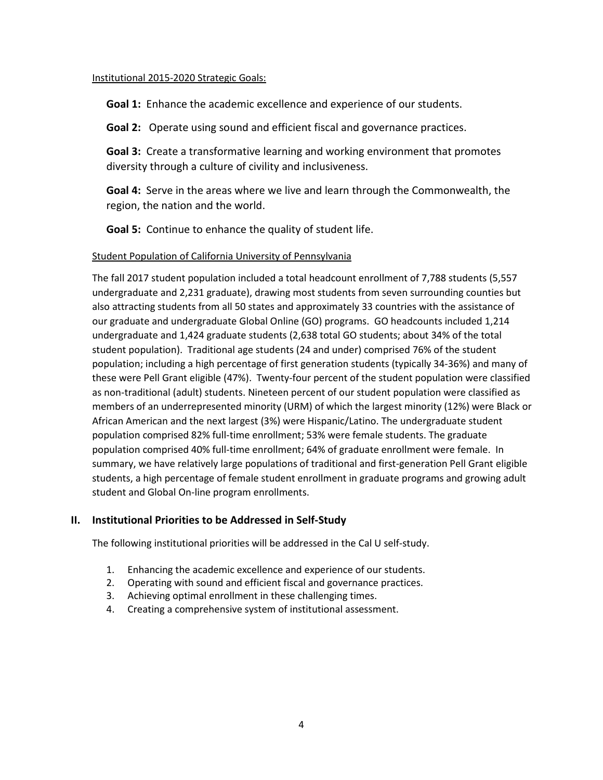## Institutional 2015-2020 Strategic Goals:

**Goal 1:** Enhance the academic excellence and experience of our students.

**Goal 2:** Operate using sound and efficient fiscal and governance practices.

**Goal 3:** Create a transformative learning and working environment that promotes diversity through a culture of civility and inclusiveness.

**Goal 4:** Serve in the areas where we live and learn through the Commonwealth, the region, the nation and the world.

**Goal 5:** Continue to enhance the quality of student life.

## Student Population of California University of Pennsylvania

The fall 2017 student population included a total headcount enrollment of 7,788 students (5,557 undergraduate and 2,231 graduate), drawing most students from seven surrounding counties but also attracting students from all 50 states and approximately 33 countries with the assistance of our graduate and undergraduate Global Online (GO) programs. GO headcounts included 1,214 undergraduate and 1,424 graduate students (2,638 total GO students; about 34% of the total student population). Traditional age students (24 and under) comprised 76% of the student population; including a high percentage of first generation students (typically 34-36%) and many of these were Pell Grant eligible (47%). Twenty-four percent of the student population were classified as non-traditional (adult) students. Nineteen percent of our student population were classified as members of an underrepresented minority (URM) of which the largest minority (12%) were Black or African American and the next largest (3%) were Hispanic/Latino. The undergraduate student population comprised 82% full-time enrollment; 53% were female students. The graduate population comprised 40% full-time enrollment; 64% of graduate enrollment were female. In summary, we have relatively large populations of traditional and first-generation Pell Grant eligible students, a high percentage of female student enrollment in graduate programs and growing adult student and Global On-line program enrollments.

# **II. Institutional Priorities to be Addressed in Self-Study**

The following institutional priorities will be addressed in the Cal U self-study.

- 1. Enhancing the academic excellence and experience of our students.
- 2. Operating with sound and efficient fiscal and governance practices.
- 3. Achieving optimal enrollment in these challenging times.
- 4. Creating a comprehensive system of institutional assessment.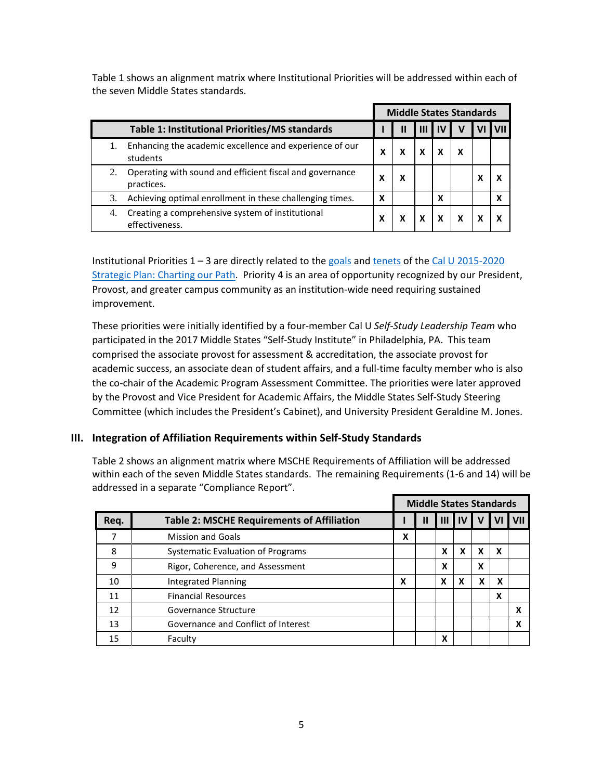Table 1 shows an alignment matrix where Institutional Priorities will be addressed within each of the seven Middle States standards.

|    |                                                                        | <b>Middle States Standards</b> |   |   |     |   |  |   |
|----|------------------------------------------------------------------------|--------------------------------|---|---|-----|---|--|---|
|    | <b>Table 1: Institutional Priorities/MS standards</b>                  |                                |   |   | -lV |   |  |   |
|    | Enhancing the academic excellence and experience of our<br>students    | x                              |   | x |     | x |  |   |
| 2. | Operating with sound and efficient fiscal and governance<br>practices. | χ                              | х |   |     |   |  | X |
| 3. | Achieving optimal enrollment in these challenging times.               | X                              |   |   | X   |   |  | χ |
| 4. | Creating a comprehensive system of institutional<br>effectiveness.     | χ                              |   |   | x   | x |  | x |

Institutional Priorities 1 - 3 are directly related to the [goals](https://www.calu.edu/inside/faculty-staff/strategic_plan/) and [tenets](https://www.calu.edu/inside/faculty-staff/strategic_plan/introduction.aspx) of the Cal U 2015-2020 [Strategic Plan: Charting our Path.](https://devou.calu.edu/inside/faculty-staff/strategic_plan/executive_summary.aspx) Priority 4 is an area of opportunity recognized by our President, Provost, and greater campus community as an institution-wide need requiring sustained improvement.

These priorities were initially identified by a four-member Cal U *Self-Study Leadership Team* who participated in the 2017 Middle States "Self-Study Institute" in Philadelphia, PA. This team comprised the associate provost for assessment & accreditation, the associate provost for academic success, an associate dean of student affairs, and a full-time faculty member who is also the co-chair of the Academic Program Assessment Committee. The priorities were later approved by the Provost and Vice President for Academic Affairs, the Middle States Self-Study Steering Committee (which includes the President's Cabinet), and University President Geraldine M. Jones.

# **III. Integration of Affiliation Requirements within Self-Study Standards**

Table 2 shows an alignment matrix where MSCHE Requirements of Affiliation will be addressed within each of the seven Middle States standards. The remaining Requirements (1-6 and 14) will be addressed in a separate "Compliance Report".

|      |                                                   |   | <b>Middle States Standards</b> |   |           |   |   |     |
|------|---------------------------------------------------|---|--------------------------------|---|-----------|---|---|-----|
| Req. | <b>Table 2: MSCHE Requirements of Affiliation</b> |   |                                | Ш | <b>IV</b> | V |   | VII |
|      | <b>Mission and Goals</b>                          | χ |                                |   |           |   |   |     |
| 8    | Systematic Evaluation of Programs                 |   |                                | X | x         | X | X |     |
| 9    | Rigor, Coherence, and Assessment                  |   |                                | X |           | X |   |     |
| 10   | Integrated Planning                               | χ |                                | X |           | x | X |     |
| 11   | <b>Financial Resources</b>                        |   |                                |   |           |   | x |     |
| 12   | Governance Structure                              |   |                                |   |           |   |   | x   |
| 13   | Governance and Conflict of Interest               |   |                                |   |           |   |   | x   |
| 15   | Faculty                                           |   |                                | X |           |   |   |     |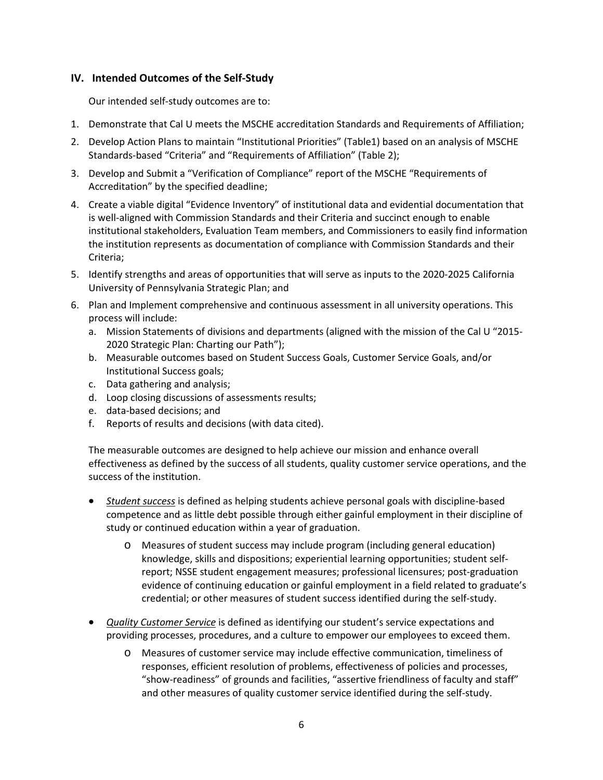## **IV. Intended Outcomes of the Self-Study**

Our intended self-study outcomes are to:

- 1. Demonstrate that Cal U meets the MSCHE accreditation Standards and Requirements of Affiliation;
- 2. Develop Action Plans to maintain "Institutional Priorities" (Table1) based on an analysis of MSCHE Standards-based "Criteria" and "Requirements of Affiliation" (Table 2);
- 3. Develop and Submit a "Verification of Compliance" report of the MSCHE "Requirements of Accreditation" by the specified deadline;
- 4. Create a viable digital "Evidence Inventory" of institutional data and evidential documentation that is well-aligned with Commission Standards and their Criteria and succinct enough to enable institutional stakeholders, Evaluation Team members, and Commissioners to easily find information the institution represents as documentation of compliance with Commission Standards and their Criteria;
- 5. Identify strengths and areas of opportunities that will serve as inputs to the 2020-2025 California University of Pennsylvania Strategic Plan; and
- 6. Plan and Implement comprehensive and continuous assessment in all university operations. This process will include:
	- a. Mission Statements of divisions and departments (aligned with the mission of the Cal U "2015- 2020 Strategic Plan: Charting our Path");
	- b. Measurable outcomes based on Student Success Goals, Customer Service Goals, and/or Institutional Success goals;
	- c. Data gathering and analysis;
	- d. Loop closing discussions of assessments results;
	- e. data-based decisions; and
	- f. Reports of results and decisions (with data cited).

The measurable outcomes are designed to help achieve our mission and enhance overall effectiveness as defined by the success of all students, quality customer service operations, and the success of the institution.

- *Student success* is defined as helping students achieve personal goals with discipline-based competence and as little debt possible through either gainful employment in their discipline of study or continued education within a year of graduation.
	- o Measures of student success may include program (including general education) knowledge, skills and dispositions; experiential learning opportunities; student selfreport; NSSE student engagement measures; professional licensures; post-graduation evidence of continuing education or gainful employment in a field related to graduate's credential; or other measures of student success identified during the self-study.
- *Quality Customer Service* is defined as identifying our student's service expectations and providing processes, procedures, and a culture to empower our employees to exceed them.
	- o Measures of customer service may include effective communication, timeliness of responses, efficient resolution of problems, effectiveness of policies and processes, "show-readiness" of grounds and facilities, "assertive friendliness of faculty and staff" and other measures of quality customer service identified during the self-study.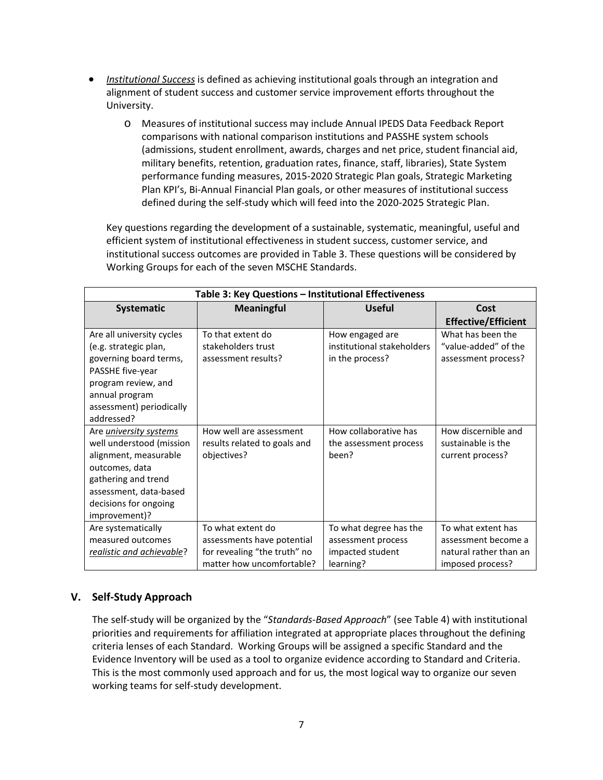- *Institutional Success* is defined as achieving institutional goals through an integration and alignment of student success and customer service improvement efforts throughout the University.
	- o Measures of institutional success may include Annual IPEDS Data Feedback Report comparisons with national comparison institutions and PASSHE system schools (admissions, student enrollment, awards, charges and net price, student financial aid, military benefits, retention, graduation rates, finance, staff, libraries), State System performance funding measures, 2015-2020 Strategic Plan goals, Strategic Marketing Plan KPI's, Bi-Annual Financial Plan goals, or other measures of institutional success defined during the self-study which will feed into the 2020-2025 Strategic Plan.

Key questions regarding the development of a sustainable, systematic, meaningful, useful and efficient system of institutional effectiveness in student success, customer service, and institutional success outcomes are provided in Table 3. These questions will be considered by Working Groups for each of the seven MSCHE Standards.

| Table 3: Key Questions - Institutional Effectiveness                                                                                                                                            |                                                                                                              |                                                                               |                                                                                         |  |
|-------------------------------------------------------------------------------------------------------------------------------------------------------------------------------------------------|--------------------------------------------------------------------------------------------------------------|-------------------------------------------------------------------------------|-----------------------------------------------------------------------------------------|--|
| Systematic                                                                                                                                                                                      | <b>Meaningful</b>                                                                                            | <b>Useful</b>                                                                 | Cost                                                                                    |  |
|                                                                                                                                                                                                 |                                                                                                              |                                                                               | <b>Effective/Efficient</b>                                                              |  |
| Are all university cycles<br>(e.g. strategic plan,                                                                                                                                              | To that extent do<br>stakeholders trust                                                                      | How engaged are<br>institutional stakeholders                                 | What has been the<br>"value-added" of the                                               |  |
| governing board terms,                                                                                                                                                                          | assessment results?                                                                                          | in the process?                                                               | assessment process?                                                                     |  |
| PASSHE five-year<br>program review, and                                                                                                                                                         |                                                                                                              |                                                                               |                                                                                         |  |
| annual program                                                                                                                                                                                  |                                                                                                              |                                                                               |                                                                                         |  |
| assessment) periodically<br>addressed?                                                                                                                                                          |                                                                                                              |                                                                               |                                                                                         |  |
| Are <i>university systems</i><br>well understood (mission<br>alignment, measurable<br>outcomes, data<br>gathering and trend<br>assessment, data-based<br>decisions for ongoing<br>improvement)? | How well are assessment<br>results related to goals and<br>objectives?                                       | How collaborative has<br>the assessment process<br>been?                      | How discernible and<br>sustainable is the<br>current process?                           |  |
| Are systematically<br>measured outcomes<br>realistic and achievable?                                                                                                                            | To what extent do<br>assessments have potential<br>for revealing "the truth" no<br>matter how uncomfortable? | To what degree has the<br>assessment process<br>impacted student<br>learning? | To what extent has<br>assessment become a<br>natural rather than an<br>imposed process? |  |

# **V. Self-Study Approach**

The self-study will be organized by the "*Standards-Based Approach*" (see Table 4) with institutional priorities and requirements for affiliation integrated at appropriate places throughout the defining criteria lenses of each Standard. Working Groups will be assigned a specific Standard and the Evidence Inventory will be used as a tool to organize evidence according to Standard and Criteria. This is the most commonly used approach and for us, the most logical way to organize our seven working teams for self-study development.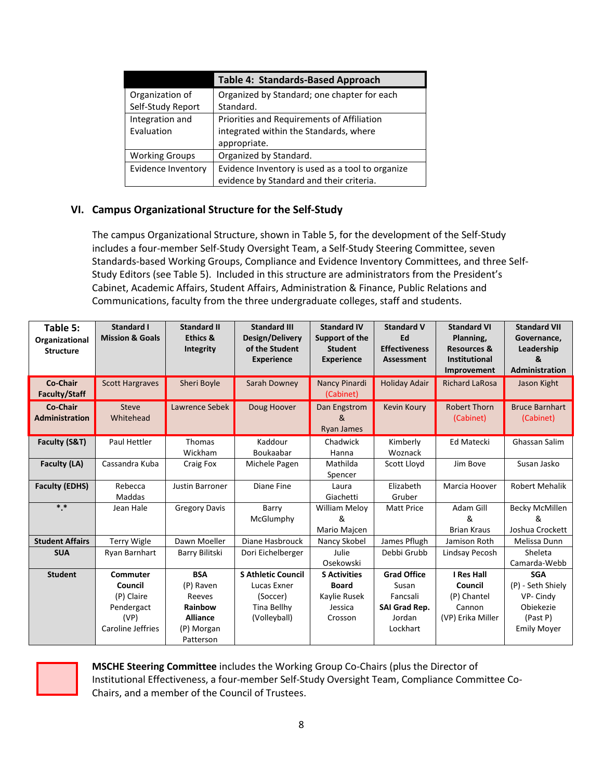|                           | <b>Table 4: Standards-Based Approach</b>         |
|---------------------------|--------------------------------------------------|
| Organization of           | Organized by Standard; one chapter for each      |
| Self-Study Report         | Standard.                                        |
| Integration and           | Priorities and Requirements of Affiliation       |
| Evaluation                | integrated within the Standards, where           |
|                           | appropriate.                                     |
| <b>Working Groups</b>     | Organized by Standard.                           |
| <b>Evidence Inventory</b> | Evidence Inventory is used as a tool to organize |
|                           | evidence by Standard and their criteria.         |

# **VI. Campus Organizational Structure for the Self-Study**

The campus Organizational Structure, shown in Table 5, for the development of the Self-Study includes a four-member Self-Study Oversight Team, a Self-Study Steering Committee, seven Standards-based Working Groups, Compliance and Evidence Inventory Committees, and three Self-Study Editors (see Table 5). Included in this structure are administrators from the President's Cabinet, Academic Affairs, Student Affairs, Administration & Finance, Public Relations and Communications, faculty from the three undergraduate colleges, staff and students.

| Table 5:<br>Organizational<br><b>Structure</b> | <b>Standard I</b><br><b>Mission &amp; Goals</b> | <b>Standard II</b><br><b>Ethics &amp;</b><br><b>Integrity</b> | <b>Standard III</b><br>Design/Delivery<br>of the Student<br><b>Experience</b> | <b>Standard IV</b><br>Support of the<br><b>Student</b><br><b>Experience</b> | <b>Standard V</b><br>Ed<br><b>Effectiveness</b><br>Assessment | <b>Standard VI</b><br>Planning,<br><b>Resources &amp;</b><br>Institutional<br>Improvement | <b>Standard VII</b><br>Governance,<br>Leadership<br>&<br><b>Administration</b> |
|------------------------------------------------|-------------------------------------------------|---------------------------------------------------------------|-------------------------------------------------------------------------------|-----------------------------------------------------------------------------|---------------------------------------------------------------|-------------------------------------------------------------------------------------------|--------------------------------------------------------------------------------|
| Co-Chair<br><b>Faculty/Staff</b>               | <b>Scott Hargraves</b>                          | Sheri Boyle                                                   | Sarah Downey                                                                  | Nancy Pinardi<br>(Cabinet)                                                  | <b>Holiday Adair</b>                                          | <b>Richard LaRosa</b>                                                                     | Jason Kight                                                                    |
| Co-Chair<br><b>Administration</b>              | <b>Steve</b><br>Whitehead                       | Lawrence Sebek                                                | Doug Hoover                                                                   | Dan Engstrom<br>&<br><b>Ryan James</b>                                      | <b>Kevin Koury</b>                                            | <b>Robert Thorn</b><br>(Cabinet)                                                          | <b>Bruce Barnhart</b><br>(Cabinet)                                             |
| Faculty (S&T)                                  | Paul Hettler                                    | <b>Thomas</b><br>Wickham                                      | Kaddour<br>Boukaabar                                                          | Chadwick<br>Hanna                                                           | Kimberly<br>Woznack                                           | <b>Ed Matecki</b>                                                                         | Ghassan Salim                                                                  |
| Faculty (LA)                                   | Cassandra Kuba                                  | Craig Fox                                                     | Michele Pagen                                                                 | Mathilda<br>Spencer                                                         | Scott Lloyd                                                   | Jim Bove                                                                                  | Susan Jasko                                                                    |
| <b>Faculty (EDHS)</b>                          | Rebecca<br>Maddas                               | <b>Justin Barroner</b>                                        | Diane Fine                                                                    | Laura<br>Giachetti                                                          | Elizabeth<br>Gruber                                           | Marcia Hoover                                                                             | <b>Robert Mehalik</b>                                                          |
| $***$                                          | Jean Hale                                       | <b>Gregory Davis</b>                                          | Barry<br>McGlumphy                                                            | <b>William Meloy</b><br>&<br>Mario Majcen                                   | <b>Matt Price</b>                                             | Adam Gill<br>&<br><b>Brian Kraus</b>                                                      | Becky McMillen<br>&<br>Joshua Crockett                                         |
| <b>Student Affairs</b>                         | <b>Terry Wigle</b>                              | Dawn Moeller                                                  | Diane Hasbrouck                                                               | Nancy Skobel                                                                | James Pflugh                                                  | Jamison Roth                                                                              | Melissa Dunn                                                                   |
| <b>SUA</b>                                     | Ryan Barnhart                                   | Barry Bilitski                                                | Dori Eichelberger                                                             | Julie<br>Osekowski                                                          | Debbi Grubb                                                   | Lindsay Pecosh                                                                            | Sheleta<br>Camarda-Webb                                                        |
| <b>Student</b>                                 | Commuter                                        | <b>BSA</b>                                                    | <b>S Athletic Council</b>                                                     | <b>S Activities</b>                                                         | <b>Grad Office</b>                                            | <b>I Res Hall</b>                                                                         | <b>SGA</b>                                                                     |
|                                                | Council                                         | (P) Raven                                                     | Lucas Exner                                                                   | <b>Board</b>                                                                | Susan                                                         | Council                                                                                   | (P) - Seth Shiely                                                              |
|                                                | (P) Claire                                      | Reeves                                                        | (Soccer)                                                                      | Kaylie Rusek                                                                | Fancsali                                                      | (P) Chantel                                                                               | VP-Cindy                                                                       |
|                                                | Pendergact                                      | Rainbow                                                       | Tina Bellhy                                                                   | Jessica                                                                     | SAI Grad Rep.                                                 | Cannon                                                                                    | Obiekezie                                                                      |
|                                                | (VP)<br>Caroline Jeffries                       | <b>Alliance</b><br>(P) Morgan<br>Patterson                    | (Volleyball)                                                                  | Crosson                                                                     | Jordan<br>Lockhart                                            | (VP) Erika Miller                                                                         | (Past P)<br><b>Emily Moyer</b>                                                 |



**MSCHE Steering Committee** includes the Working Group Co-Chairs (plus the Director of Institutional Effectiveness, a four-member Self-Study Oversight Team, Compliance Committee Co-Chairs, and a member of the Council of Trustees.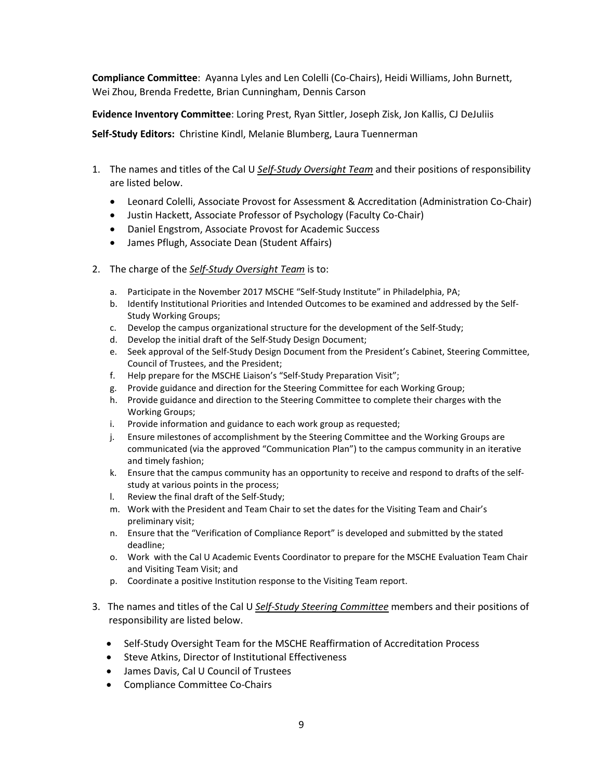**Compliance Committee**: Ayanna Lyles and Len Colelli (Co-Chairs), Heidi Williams, John Burnett, Wei Zhou, Brenda Fredette, Brian Cunningham, Dennis Carson

**Evidence Inventory Committee**: Loring Prest, Ryan Sittler, Joseph Zisk, Jon Kallis, CJ DeJuliis

**Self-Study Editors:** Christine Kindl, Melanie Blumberg, Laura Tuennerman

- 1. The names and titles of the Cal U *Self-Study Oversight Team* and their positions of responsibility are listed below.
	- Leonard Colelli, Associate Provost for Assessment & Accreditation (Administration Co-Chair)
	- Justin Hackett, Associate Professor of Psychology (Faculty Co-Chair)
	- Daniel Engstrom, Associate Provost for Academic Success
	- James Pflugh, Associate Dean (Student Affairs)
- 2. The charge of the *Self-Study Oversight Team* is to:
	- a. Participate in the November 2017 MSCHE "Self-Study Institute" in Philadelphia, PA;
	- b. Identify Institutional Priorities and Intended Outcomes to be examined and addressed by the Self-Study Working Groups;
	- c. Develop the campus organizational structure for the development of the Self-Study;
	- d. Develop the initial draft of the Self-Study Design Document;
	- e. Seek approval of the Self-Study Design Document from the President's Cabinet, Steering Committee, Council of Trustees, and the President;
	- f. Help prepare for the MSCHE Liaison's "Self-Study Preparation Visit";
	- g. Provide guidance and direction for the Steering Committee for each Working Group;
	- h. Provide guidance and direction to the Steering Committee to complete their charges with the Working Groups;
	- i. Provide information and guidance to each work group as requested;
	- j. Ensure milestones of accomplishment by the Steering Committee and the Working Groups are communicated (via the approved "Communication Plan") to the campus community in an iterative and timely fashion;
	- k. Ensure that the campus community has an opportunity to receive and respond to drafts of the selfstudy at various points in the process;
	- l. Review the final draft of the Self-Study;
	- m. Work with the President and Team Chair to set the dates for the Visiting Team and Chair's preliminary visit;
	- n. Ensure that the "Verification of Compliance Report" is developed and submitted by the stated deadline;
	- o. Work with the Cal U Academic Events Coordinator to prepare for the MSCHE Evaluation Team Chair and Visiting Team Visit; and
	- p. Coordinate a positive Institution response to the Visiting Team report.
- 3. The names and titles of the Cal U *Self-Study Steering Committee* members and their positions of responsibility are listed below.
	- Self-Study Oversight Team for the MSCHE Reaffirmation of Accreditation Process
	- Steve Atkins, Director of Institutional Effectiveness
	- James Davis, Cal U Council of Trustees
	- Compliance Committee Co-Chairs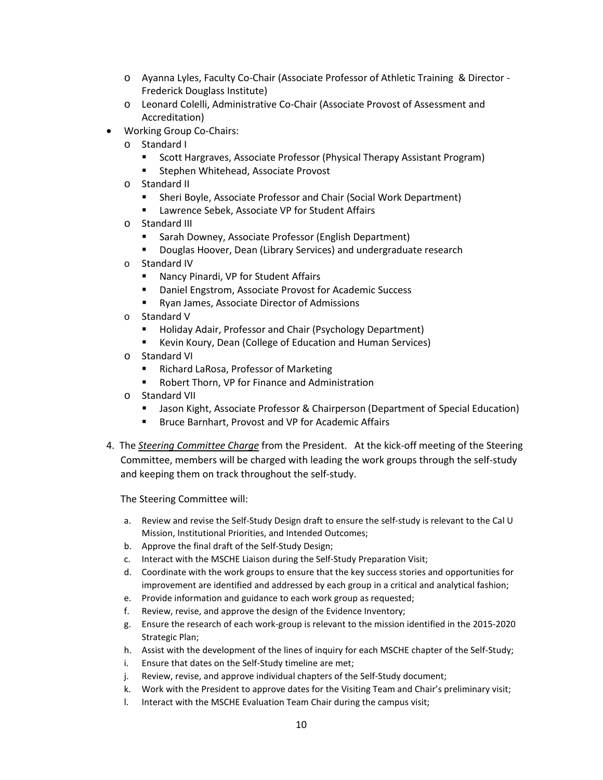- o Ayanna Lyles, Faculty Co-Chair (Associate Professor of Athletic Training & Director Frederick Douglass Institute)
- o Leonard Colelli, Administrative Co-Chair (Associate Provost of Assessment and Accreditation)
- Working Group Co-Chairs:
	- o Standard I
		- **Scott Hargraves, Associate Professor (Physical Therapy Assistant Program)**
		- **Stephen Whitehead, Associate Provost**
	- o Standard II
		- Sheri Boyle, Associate Professor and Chair (Social Work Department)
		- Lawrence Sebek, Associate VP for Student Affairs
	- o Standard III
		- Sarah Downey, Associate Professor (English Department)
		- **Douglas Hoover, Dean (Library Services) and undergraduate research**
	- o Standard IV
		- **Nancy Pinardi, VP for Student Affairs**
		- Daniel Engstrom, Associate Provost for Academic Success
		- **Ryan James, Associate Director of Admissions**
	- o Standard V
		- **Holiday Adair, Professor and Chair (Psychology Department)**
		- Kevin Koury, Dean (College of Education and Human Services)
	- o Standard VI
		- Richard LaRosa, Professor of Marketing
		- Robert Thorn, VP for Finance and Administration
	- o Standard VII
		- **Jason Kight, Associate Professor & Chairperson (Department of Special Education)**
		- Bruce Barnhart, Provost and VP for Academic Affairs
- 4. The *Steering Committee Charge* from the President. At the kick-off meeting of the Steering Committee, members will be charged with leading the work groups through the self-study and keeping them on track throughout the self-study.

The Steering Committee will:

- a. Review and revise the Self-Study Design draft to ensure the self-study is relevant to the Cal U Mission, Institutional Priorities, and Intended Outcomes;
- b. Approve the final draft of the Self-Study Design;
- c. Interact with the MSCHE Liaison during the Self-Study Preparation Visit;
- d. Coordinate with the work groups to ensure that the key success stories and opportunities for improvement are identified and addressed by each group in a critical and analytical fashion;
- e. Provide information and guidance to each work group as requested;
- f. Review, revise, and approve the design of the Evidence Inventory;
- g. Ensure the research of each work-group is relevant to the mission identified in the 2015-2020 Strategic Plan;
- h. Assist with the development of the lines of inquiry for each MSCHE chapter of the Self-Study;
- i. Ensure that dates on the Self-Study timeline are met;
- j. Review, revise, and approve individual chapters of the Self-Study document;
- k. Work with the President to approve dates for the Visiting Team and Chair's preliminary visit;
- l. Interact with the MSCHE Evaluation Team Chair during the campus visit;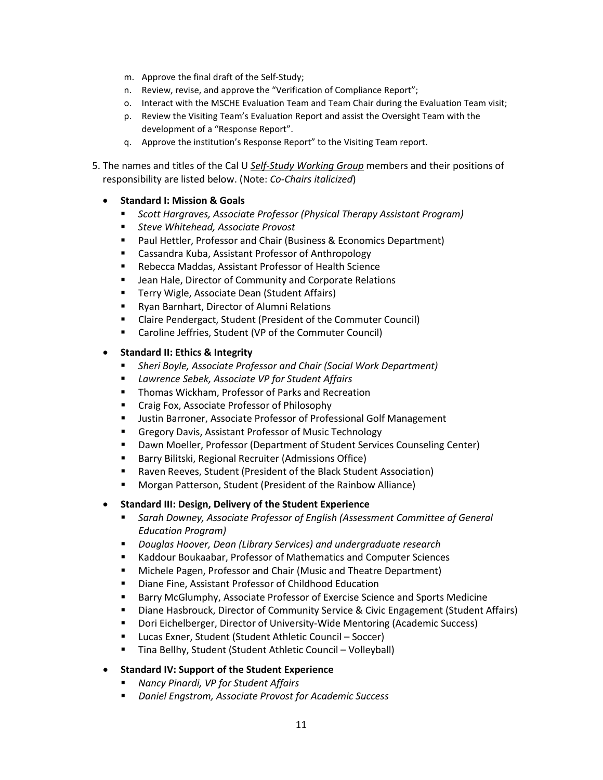- m. Approve the final draft of the Self-Study;
- n. Review, revise, and approve the "Verification of Compliance Report";
- o. Interact with the MSCHE Evaluation Team and Team Chair during the Evaluation Team visit;
- p. Review the Visiting Team's Evaluation Report and assist the Oversight Team with the development of a "Response Report".
- q. Approve the institution's Response Report" to the Visiting Team report.
- 5. The names and titles of the Cal U *Self-Study Working Group* members and their positions of responsibility are listed below. (Note: *Co-Chairs italicized*)
	- **Standard I: Mission & Goals**
		- *Scott Hargraves, Associate Professor (Physical Therapy Assistant Program)*
		- *Steve Whitehead, Associate Provost*
		- Paul Hettler, Professor and Chair (Business & Economics Department)
		- **EXEC** Cassandra Kuba, Assistant Professor of Anthropology
		- Rebecca Maddas, Assistant Professor of Health Science
		- **E** Jean Hale, Director of Community and Corporate Relations
		- **Terry Wigle, Associate Dean (Student Affairs)**
		- Ryan Barnhart, Director of Alumni Relations
		- Claire Pendergact, Student (President of the Commuter Council)
		- Caroline Jeffries, Student (VP of the Commuter Council)

## • **Standard II: Ethics & Integrity**

- *Sheri Boyle, Associate Professor and Chair (Social Work Department)*
- *Lawrence Sebek, Associate VP for Student Affairs*
- **Thomas Wickham, Professor of Parks and Recreation**
- **EXPLOSED FOX, Associate Professor of Philosophy**
- **ULITE:** Justin Barroner, Associate Professor of Professional Golf Management
- **Gregory Davis, Assistant Professor of Music Technology**
- Dawn Moeller, Professor (Department of Student Services Counseling Center)
- **Barry Bilitski, Regional Recruiter (Admissions Office)**
- Raven Reeves, Student (President of the Black Student Association)
- Morgan Patterson, Student (President of the Rainbow Alliance)

## • **Standard III: Design, Delivery of the Student Experience**

- *Sarah Downey, Associate Professor of English (Assessment Committee of General Education Program)*
- *Douglas Hoover, Dean (Library Services) and undergraduate research*
- Kaddour Boukaabar, Professor of Mathematics and Computer Sciences
- Michele Pagen, Professor and Chair (Music and Theatre Department)
- Diane Fine, Assistant Professor of Childhood Education
- Barry McGlumphy, Associate Professor of Exercise Science and Sports Medicine
- **Diane Hasbrouck, Director of Community Service & Civic Engagement (Student Affairs)**
- Dori Eichelberger, Director of University-Wide Mentoring (Academic Success)
- Lucas Exner, Student (Student Athletic Council Soccer)
- Tina Bellhy, Student (Student Athletic Council Volleyball)

## • **Standard IV: Support of the Student Experience**

- *Nancy Pinardi, VP for Student Affairs*
- *Daniel Engstrom, Associate Provost for Academic Success*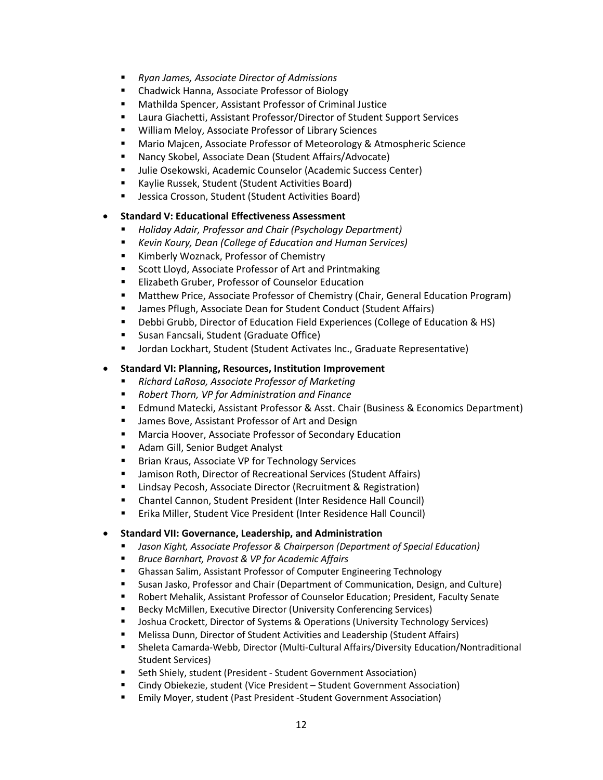- *Ryan James, Associate Director of Admissions*
- Chadwick Hanna, Associate Professor of Biology
- Mathilda Spencer, Assistant Professor of Criminal Justice
- Laura Giachetti, Assistant Professor/Director of Student Support Services
- **William Meloy, Associate Professor of Library Sciences**
- Mario Majcen, Associate Professor of Meteorology & Atmospheric Science
- Nancy Skobel, Associate Dean (Student Affairs/Advocate)
- **Julie Osekowski, Academic Counselor (Academic Success Center)**
- Kaylie Russek, Student (Student Activities Board)
- **E** Jessica Crosson, Student (Student Activities Board)

## • **Standard V: Educational Effectiveness Assessment**

- *Holiday Adair, Professor and Chair (Psychology Department)*
- *Kevin Koury, Dean (College of Education and Human Services)*
- **Kimberly Woznack, Professor of Chemistry**
- **Scott Lloyd, Associate Professor of Art and Printmaking**
- **Elizabeth Gruber, Professor of Counselor Education**
- Matthew Price, Associate Professor of Chemistry (Chair, General Education Program)
- James Pflugh, Associate Dean for Student Conduct (Student Affairs)
- Debbi Grubb, Director of Education Field Experiences (College of Education & HS)
- **Susan Fancsali, Student (Graduate Office)**
- Jordan Lockhart, Student (Student Activates Inc., Graduate Representative)

## • **Standard VI: Planning, Resources, Institution Improvement**

- *Richard LaRosa, Associate Professor of Marketing*
- *Robert Thorn, VP for Administration and Finance*
- Edmund Matecki, Assistant Professor & Asst. Chair (Business & Economics Department)
- **E** James Bove, Assistant Professor of Art and Design
- Marcia Hoover, Associate Professor of Secondary Education
- **Adam Gill, Senior Budget Analyst**
- **Brian Kraus, Associate VP for Technology Services**
- Jamison Roth, Director of Recreational Services (Student Affairs)
- Lindsay Pecosh, Associate Director (Recruitment & Registration)
- Chantel Cannon, Student President (Inter Residence Hall Council)
- **Erika Miller, Student Vice President (Inter Residence Hall Council)**

## • **Standard VII: Governance, Leadership, and Administration**

- *Jason Kight, Associate Professor & Chairperson (Department of Special Education)*
- *Bruce Barnhart, Provost & VP for Academic Affairs*
- Ghassan Salim, Assistant Professor of Computer Engineering Technology
- **Susan Jasko, Professor and Chair (Department of Communication, Design, and Culture)**
- Robert Mehalik, Assistant Professor of Counselor Education; President, Faculty Senate
- **Becky McMillen, Executive Director (University Conferencing Services)**
- **Joshua Crockett, Director of Systems & Operations (University Technology Services)**
- Melissa Dunn, Director of Student Activities and Leadership (Student Affairs)
- Sheleta Camarda-Webb, Director (Multi-Cultural Affairs/Diversity Education/Nontraditional Student Services)
- Seth Shiely, student (President Student Government Association)
- Cindy Obiekezie, student (Vice President Student Government Association)
- Emily Moyer, student (Past President -Student Government Association)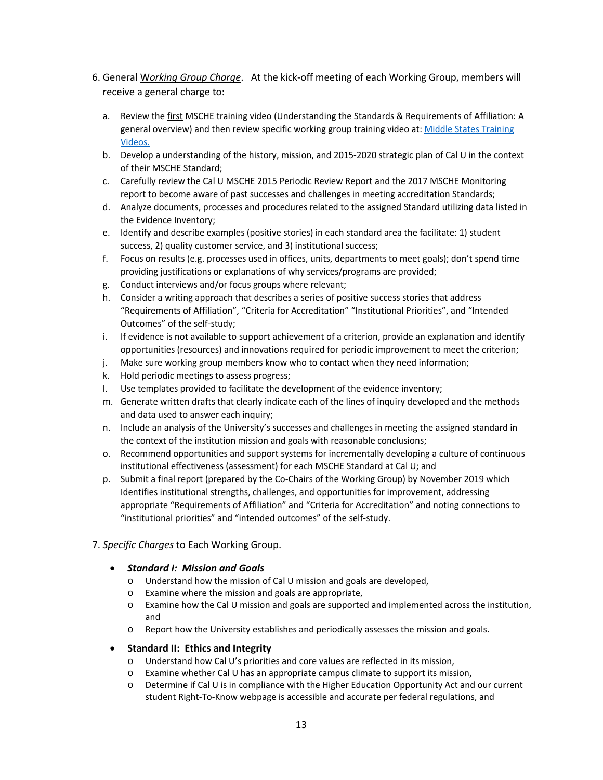- 6. General W*orking Group Charge*. At the kick-off meeting of each Working Group, members will receive a general charge to:
	- a. Review the first MSCHE training video (Understanding the Standards & Requirements of Affiliation: A general overview) and then review specific working group training video at: Middle States Training [Videos.](https://www.msche.org/?Nav1=EVALUATORS&Nav2=TRAININGMATERIALS&Nav3=VIDEOS&strPageName=VIDEOS)
	- b. Develop a understanding of the history, mission, and 2015-2020 strategic plan of Cal U in the context of their MSCHE Standard;
	- c. Carefully review the Cal U MSCHE 2015 Periodic Review Report and the 2017 MSCHE Monitoring report to become aware of past successes and challenges in meeting accreditation Standards;
	- d. Analyze documents, processes and procedures related to the assigned Standard utilizing data listed in the Evidence Inventory;
	- e. Identify and describe examples (positive stories) in each standard area the facilitate: 1) student success, 2) quality customer service, and 3) institutional success;
	- f. Focus on results (e.g. processes used in offices, units, departments to meet goals); don't spend time providing justifications or explanations of why services/programs are provided;
	- g. Conduct interviews and/or focus groups where relevant;
	- h. Consider a writing approach that describes a series of positive success stories that address "Requirements of Affiliation", "Criteria for Accreditation" "Institutional Priorities", and "Intended Outcomes" of the self-study;
	- i. If evidence is not available to support achievement of a criterion, provide an explanation and identify opportunities (resources) and innovations required for periodic improvement to meet the criterion;
	- j. Make sure working group members know who to contact when they need information;
	- k. Hold periodic meetings to assess progress;
	- l. Use templates provided to facilitate the development of the evidence inventory;
	- m. Generate written drafts that clearly indicate each of the lines of inquiry developed and the methods and data used to answer each inquiry;
	- n. Include an analysis of the University's successes and challenges in meeting the assigned standard in the context of the institution mission and goals with reasonable conclusions;
	- o. Recommend opportunities and support systems for incrementally developing a culture of continuous institutional effectiveness (assessment) for each MSCHE Standard at Cal U; and
	- p. Submit a final report (prepared by the Co-Chairs of the Working Group) by November 2019 which Identifies institutional strengths, challenges, and opportunities for improvement, addressing appropriate "Requirements of Affiliation" and "Criteria for Accreditation" and noting connections to "institutional priorities" and "intended outcomes" of the self-study.

## 7. *Specific Charges* to Each Working Group.

## • *Standard I: Mission and Goals*

- o Understand how the mission of Cal U mission and goals are developed,
- o Examine where the mission and goals are appropriate,
- o Examine how the Cal U mission and goals are supported and implemented across the institution, and
- o Report how the University establishes and periodically assesses the mission and goals.

## • **Standard II: Ethics and Integrity**

- o Understand how Cal U's priorities and core values are reflected in its mission,
- o Examine whether Cal U has an appropriate campus climate to support its mission,
- o Determine if Cal U is in compliance with the Higher Education Opportunity Act and our current student Right-To-Know webpage is accessible and accurate per federal regulations, and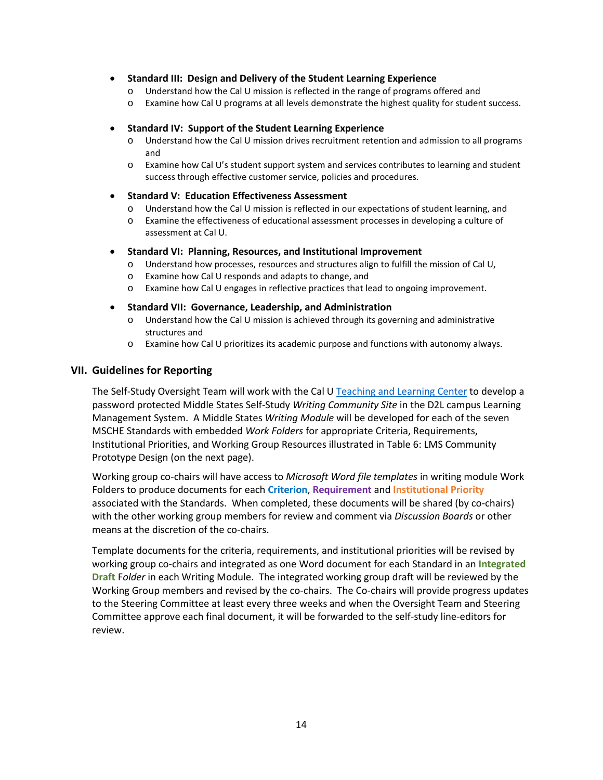## • **Standard III: Design and Delivery of the Student Learning Experience**

- o Understand how the Cal U mission is reflected in the range of programs offered and
- o Examine how Cal U programs at all levels demonstrate the highest quality for student success.

## • **Standard IV: Support of the Student Learning Experience**

- o Understand how the Cal U mission drives recruitment retention and admission to all programs and
- o Examine how Cal U's student support system and services contributes to learning and student success through effective customer service, policies and procedures.

## • **Standard V: Education Effectiveness Assessment**

- o Understand how the Cal U mission is reflected in our expectations of student learning, and
- o Examine the effectiveness of educational assessment processes in developing a culture of assessment at Cal U.

## • **Standard VI: Planning, Resources, and Institutional Improvement**

- o Understand how processes, resources and structures align to fulfill the mission of Cal U,
- o Examine how Cal U responds and adapts to change, and
- o Examine how Cal U engages in reflective practices that lead to ongoing improvement.

## • **Standard VII: Governance, Leadership, and Administration**

- o Understand how the Cal U mission is achieved through its governing and administrative structures and
- o Examine how Cal U prioritizes its academic purpose and functions with autonomy always.

## **VII. Guidelines for Reporting**

The Self-Study Oversight Team will work with the Cal U [Teaching and Learning Center](https://www.calu.edu/inside/faculty-staff/teaching-and-learning-center/) to develop a password protected Middle States Self-Study *Writing Community Site* in the D2L campus Learning Management System. A Middle States *Writing Module* will be developed for each of the seven MSCHE Standards with embedded *Work Folders* for appropriate Criteria, Requirements, Institutional Priorities, and Working Group Resources illustrated in Table 6: LMS Community Prototype Design (on the next page).

Working group co-chairs will have access to *Microsoft Word file templates* in writing module Work Folders to produce documents for each **Criterion**, **Requirement** and **Institutional Priority** associated with the Standards. When completed, these documents will be shared (by co-chairs) with the other working group members for review and comment via *Discussion Boards* or other means at the discretion of the co-chairs.

Template documents for the criteria, requirements, and institutional priorities will be revised by working group co-chairs and integrated as one Word document for each Standard in an **Integrated Draft** F*older* in each Writing Module. The integrated working group draft will be reviewed by the Working Group members and revised by the co-chairs. The Co-chairs will provide progress updates to the Steering Committee at least every three weeks and when the Oversight Team and Steering Committee approve each final document, it will be forwarded to the self-study line-editors for review.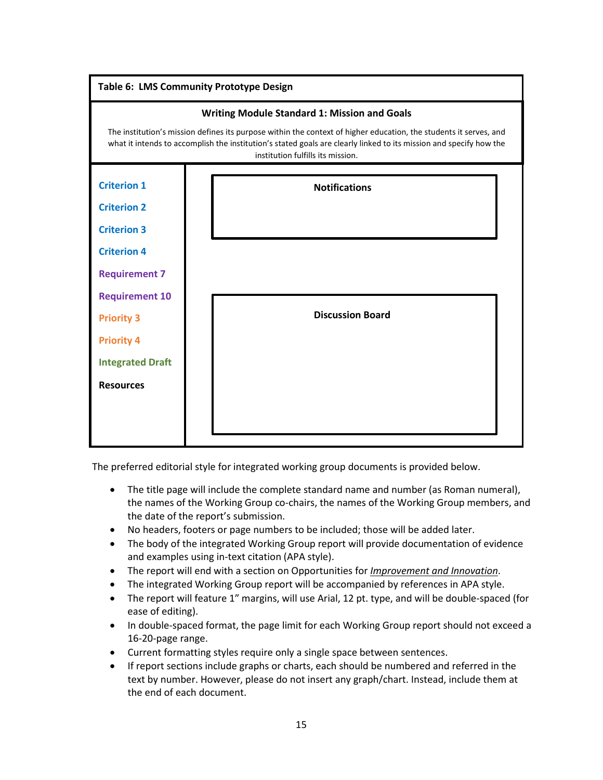

The preferred editorial style for integrated working group documents is provided below.

- The title page will include the complete standard name and number (as Roman numeral), the names of the Working Group co-chairs, the names of the Working Group members, and the date of the report's submission.
- No headers, footers or page numbers to be included; those will be added later.
- The body of the integrated Working Group report will provide documentation of evidence and examples using in-text citation (APA style).
- The report will end with a section on Opportunities for *Improvement and Innovation*.
- The integrated Working Group report will be accompanied by references in APA style.
- The report will feature 1" margins, will use Arial, 12 pt. type, and will be double-spaced (for ease of editing).
- In double-spaced format, the page limit for each Working Group report should not exceed a 16-20-page range.
- Current formatting styles require only a single space between sentences.
- If report sections include graphs or charts, each should be numbered and referred in the text by number. However, please do not insert any graph/chart. Instead, include them at the end of each document.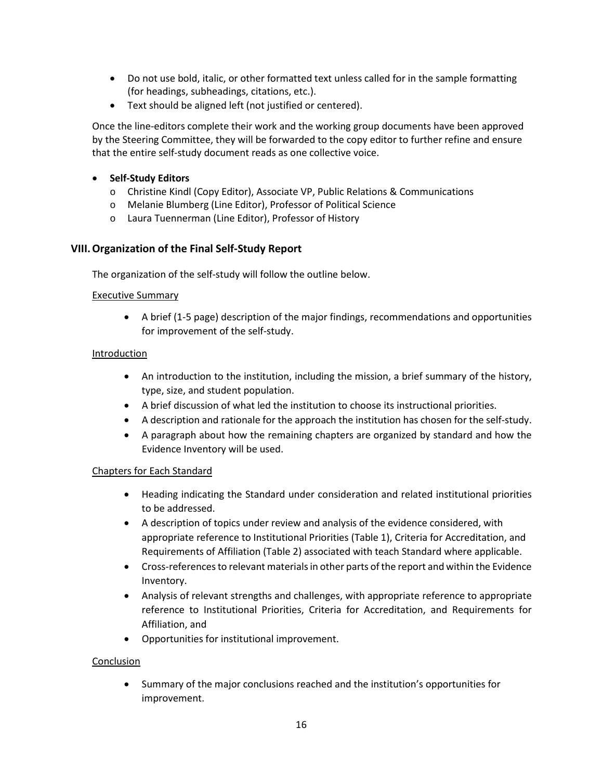- Do not use bold, italic, or other formatted text unless called for in the sample formatting (for headings, subheadings, citations, etc.).
- Text should be aligned left (not justified or centered).

Once the line-editors complete their work and the working group documents have been approved by the Steering Committee, they will be forwarded to the copy editor to further refine and ensure that the entire self-study document reads as one collective voice.

# • **Self-Study Editors**

- o Christine Kindl (Copy Editor), Associate VP, Public Relations & Communications
- o Melanie Blumberg (Line Editor), Professor of Political Science
- o Laura Tuennerman (Line Editor), Professor of History

# **VIII.Organization of the Final Self-Study Report**

The organization of the self-study will follow the outline below.

## Executive Summary

• A brief (1-5 page) description of the major findings, recommendations and opportunities for improvement of the self-study.

## Introduction

- An introduction to the institution, including the mission, a brief summary of the history, type, size, and student population.
- A brief discussion of what led the institution to choose its instructional priorities.
- A description and rationale for the approach the institution has chosen for the self-study.
- A paragraph about how the remaining chapters are organized by standard and how the Evidence Inventory will be used.

## Chapters for Each Standard

- Heading indicating the Standard under consideration and related institutional priorities to be addressed.
- A description of topics under review and analysis of the evidence considered, with appropriate reference to Institutional Priorities (Table 1), Criteria for Accreditation, and Requirements of Affiliation (Table 2) associated with teach Standard where applicable.
- Cross-references to relevant materials in other parts of the report and within the Evidence Inventory.
- Analysis of relevant strengths and challenges, with appropriate reference to appropriate reference to Institutional Priorities, Criteria for Accreditation, and Requirements for Affiliation, and
- Opportunities for institutional improvement.

## Conclusion

• Summary of the major conclusions reached and the institution's opportunities for improvement.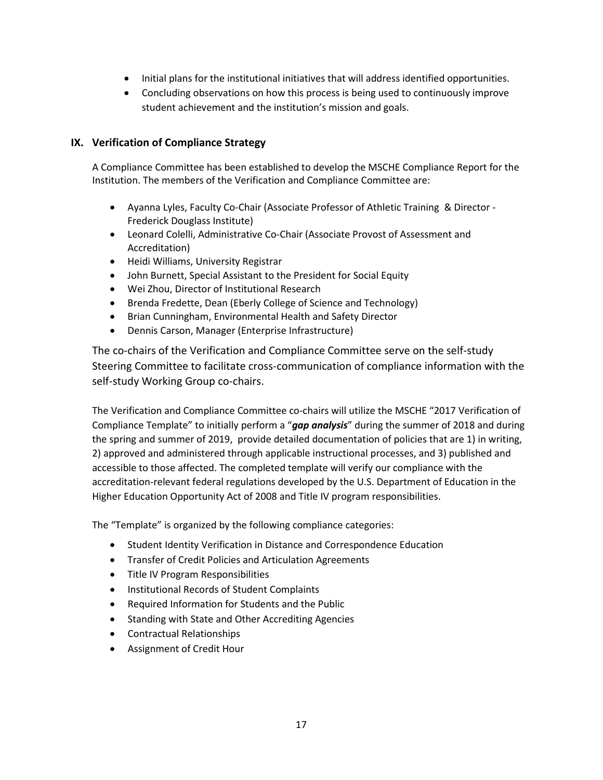- Initial plans for the institutional initiatives that will address identified opportunities.
- Concluding observations on how this process is being used to continuously improve student achievement and the institution's mission and goals.

## **IX. Verification of Compliance Strategy**

A Compliance Committee has been established to develop the MSCHE Compliance Report for the Institution. The members of the Verification and Compliance Committee are:

- Ayanna Lyles, Faculty Co-Chair (Associate Professor of Athletic Training & Director Frederick Douglass Institute)
- Leonard Colelli, Administrative Co-Chair (Associate Provost of Assessment and Accreditation)
- Heidi Williams, University Registrar
- John Burnett, Special Assistant to the President for Social Equity
- Wei Zhou, Director of Institutional Research
- Brenda Fredette, Dean (Eberly College of Science and Technology)
- Brian Cunningham, Environmental Health and Safety Director
- Dennis Carson, Manager (Enterprise Infrastructure)

The co-chairs of the Verification and Compliance Committee serve on the self-study Steering Committee to facilitate cross-communication of compliance information with the self-study Working Group co-chairs.

The Verification and Compliance Committee co-chairs will utilize the MSCHE "2017 Verification of Compliance Template" to initially perform a "*gap analysis*" during the summer of 2018 and during the spring and summer of 2019, provide detailed documentation of policies that are 1) in writing, 2) approved and administered through applicable instructional processes, and 3) published and accessible to those affected. The completed template will verify our compliance with the accreditation-relevant federal regulations developed by the U.S. Department of Education in the Higher Education Opportunity Act of 2008 and Title IV program responsibilities.

The "Template" is organized by the following compliance categories:

- Student Identity Verification in Distance and Correspondence Education
- Transfer of Credit Policies and Articulation Agreements
- Title IV Program Responsibilities
- Institutional Records of Student Complaints
- Required Information for Students and the Public
- Standing with State and Other Accrediting Agencies
- Contractual Relationships
- Assignment of Credit Hour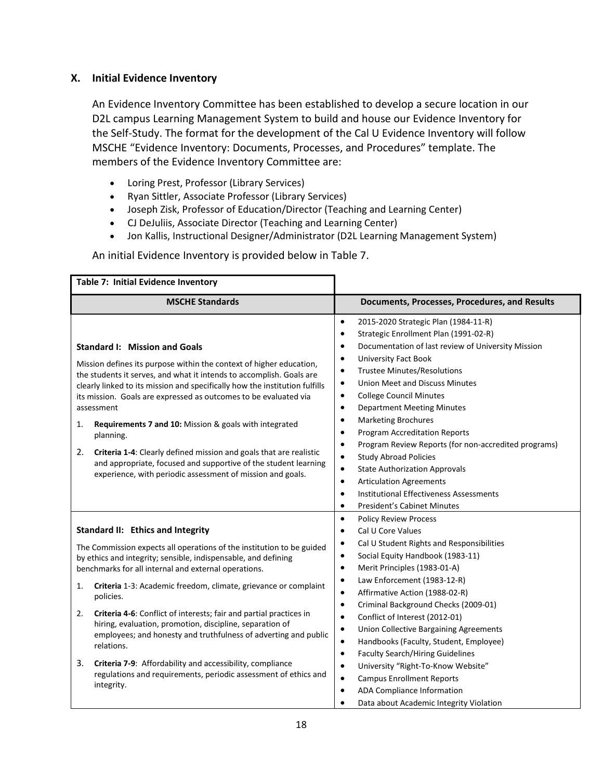# **X. Initial Evidence Inventory**

An Evidence Inventory Committee has been established to develop a secure location in our D2L campus Learning Management System to build and house our Evidence Inventory for the Self-Study. The format for the development of the Cal U Evidence Inventory will follow MSCHE "Evidence Inventory: Documents, Processes, and Procedures" template. The members of the Evidence Inventory Committee are:

- Loring Prest, Professor (Library Services)
- Ryan Sittler, Associate Professor (Library Services)
- Joseph Zisk, Professor of Education/Director (Teaching and Learning Center)
- CJ DeJuliis, Associate Director (Teaching and Learning Center)
- Jon Kallis, Instructional Designer/Administrator (D2L Learning Management System)

An initial Evidence Inventory is provided below in Table 7.

| Table 7: Initial Evidence Inventory                                                                                                                                                                                                                                                                                                                                                                                                                                                                                                                                                                                                                                                                     |                                                                                                                                                                                                                                                                                                                                                                                                                                                                                                                                                                                                                                                                                                                                                                                                                                                                          |
|---------------------------------------------------------------------------------------------------------------------------------------------------------------------------------------------------------------------------------------------------------------------------------------------------------------------------------------------------------------------------------------------------------------------------------------------------------------------------------------------------------------------------------------------------------------------------------------------------------------------------------------------------------------------------------------------------------|--------------------------------------------------------------------------------------------------------------------------------------------------------------------------------------------------------------------------------------------------------------------------------------------------------------------------------------------------------------------------------------------------------------------------------------------------------------------------------------------------------------------------------------------------------------------------------------------------------------------------------------------------------------------------------------------------------------------------------------------------------------------------------------------------------------------------------------------------------------------------|
| <b>MSCHE Standards</b>                                                                                                                                                                                                                                                                                                                                                                                                                                                                                                                                                                                                                                                                                  | Documents, Processes, Procedures, and Results                                                                                                                                                                                                                                                                                                                                                                                                                                                                                                                                                                                                                                                                                                                                                                                                                            |
| <b>Standard I: Mission and Goals</b><br>Mission defines its purpose within the context of higher education,<br>the students it serves, and what it intends to accomplish. Goals are<br>clearly linked to its mission and specifically how the institution fulfills<br>its mission. Goals are expressed as outcomes to be evaluated via<br>assessment<br>Requirements 7 and 10: Mission & goals with integrated<br>1.<br>planning.<br>2.<br>Criteria 1-4: Clearly defined mission and goals that are realistic<br>and appropriate, focused and supportive of the student learning<br>experience, with periodic assessment of mission and goals.                                                          | 2015-2020 Strategic Plan (1984-11-R)<br>$\bullet$<br>Strategic Enrollment Plan (1991-02-R)<br>$\bullet$<br>Documentation of last review of University Mission<br>$\bullet$<br><b>University Fact Book</b><br>$\bullet$<br><b>Trustee Minutes/Resolutions</b><br>$\bullet$<br><b>Union Meet and Discuss Minutes</b><br>$\bullet$<br><b>College Council Minutes</b><br>$\bullet$<br><b>Department Meeting Minutes</b><br>$\bullet$<br><b>Marketing Brochures</b><br>$\bullet$<br><b>Program Accreditation Reports</b><br>$\bullet$<br>Program Review Reports (for non-accredited programs)<br>$\bullet$<br><b>Study Abroad Policies</b><br>$\bullet$<br><b>State Authorization Approvals</b><br>$\bullet$<br><b>Articulation Agreements</b><br>$\bullet$<br><b>Institutional Effectiveness Assessments</b><br>$\bullet$<br><b>President's Cabinet Minutes</b><br>$\bullet$ |
| Standard II: Ethics and Integrity<br>The Commission expects all operations of the institution to be guided<br>by ethics and integrity; sensible, indispensable, and defining<br>benchmarks for all internal and external operations.<br>1.<br>Criteria 1-3: Academic freedom, climate, grievance or complaint<br>policies.<br>2.<br>Criteria 4-6: Conflict of interests; fair and partial practices in<br>hiring, evaluation, promotion, discipline, separation of<br>employees; and honesty and truthfulness of adverting and public<br>relations.<br>3.<br>Criteria 7-9: Affordability and accessibility, compliance<br>regulations and requirements, periodic assessment of ethics and<br>integrity. | $\bullet$<br><b>Policy Review Process</b><br>Cal U Core Values<br>$\bullet$<br>Cal U Student Rights and Responsibilities<br>$\bullet$<br>Social Equity Handbook (1983-11)<br>$\bullet$<br>Merit Principles (1983-01-A)<br>$\bullet$<br>Law Enforcement (1983-12-R)<br>$\bullet$<br>Affirmative Action (1988-02-R)<br>$\bullet$<br>Criminal Background Checks (2009-01)<br>$\bullet$<br>Conflict of Interest (2012-01)<br>$\bullet$<br>Union Collective Bargaining Agreements<br>$\bullet$<br>Handbooks (Faculty, Student, Employee)<br>$\bullet$<br>$\bullet$<br><b>Faculty Search/Hiring Guidelines</b><br>University "Right-To-Know Website"<br>$\bullet$<br><b>Campus Enrollment Reports</b><br>$\bullet$<br>ADA Compliance Information<br>$\bullet$<br>Data about Academic Integrity Violation                                                                       |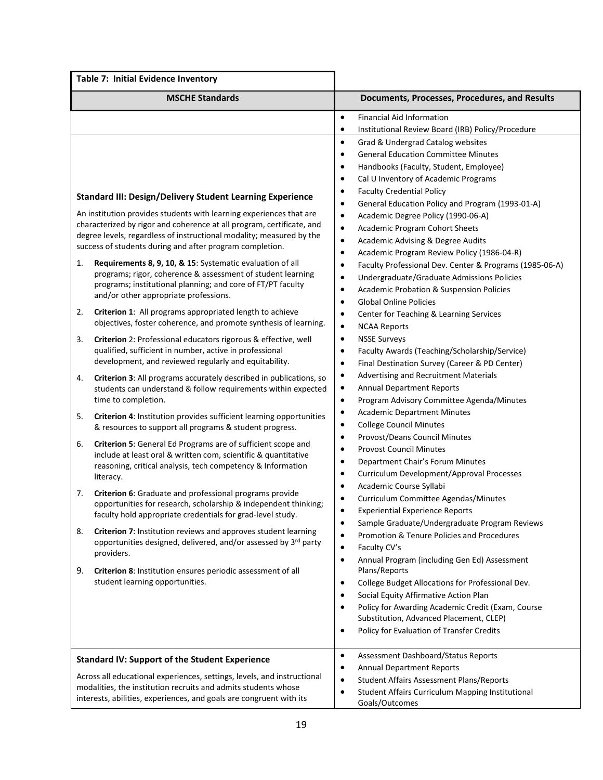| Table 7: Initial Evidence Inventory                                                                                                                                                                                                                                                                                                                                                                                                                                                                                                                                                                                                                                                                                                                                                                                                                                                                                                                                                                                                                                                                                                                                                                                                                                                                                                                                                                                                                                                                                                                                                                                                                                                                                                                                                                                                                                                                                                 |                                                                                                                                                                                                                                                                                                                                                                                                                                                                                                                                                                                                                                                                                                                                                                                                                                                                                                                                                                                                                                                                                                                                                                                                                                                                                                                                                                                                                                                                                                                                                                                                                                                                                                                                                                                                                                                                                                                                                                                                                                                                                           |  |
|-------------------------------------------------------------------------------------------------------------------------------------------------------------------------------------------------------------------------------------------------------------------------------------------------------------------------------------------------------------------------------------------------------------------------------------------------------------------------------------------------------------------------------------------------------------------------------------------------------------------------------------------------------------------------------------------------------------------------------------------------------------------------------------------------------------------------------------------------------------------------------------------------------------------------------------------------------------------------------------------------------------------------------------------------------------------------------------------------------------------------------------------------------------------------------------------------------------------------------------------------------------------------------------------------------------------------------------------------------------------------------------------------------------------------------------------------------------------------------------------------------------------------------------------------------------------------------------------------------------------------------------------------------------------------------------------------------------------------------------------------------------------------------------------------------------------------------------------------------------------------------------------------------------------------------------|-------------------------------------------------------------------------------------------------------------------------------------------------------------------------------------------------------------------------------------------------------------------------------------------------------------------------------------------------------------------------------------------------------------------------------------------------------------------------------------------------------------------------------------------------------------------------------------------------------------------------------------------------------------------------------------------------------------------------------------------------------------------------------------------------------------------------------------------------------------------------------------------------------------------------------------------------------------------------------------------------------------------------------------------------------------------------------------------------------------------------------------------------------------------------------------------------------------------------------------------------------------------------------------------------------------------------------------------------------------------------------------------------------------------------------------------------------------------------------------------------------------------------------------------------------------------------------------------------------------------------------------------------------------------------------------------------------------------------------------------------------------------------------------------------------------------------------------------------------------------------------------------------------------------------------------------------------------------------------------------------------------------------------------------------------------------------------------------|--|
| <b>MSCHE Standards</b>                                                                                                                                                                                                                                                                                                                                                                                                                                                                                                                                                                                                                                                                                                                                                                                                                                                                                                                                                                                                                                                                                                                                                                                                                                                                                                                                                                                                                                                                                                                                                                                                                                                                                                                                                                                                                                                                                                              | Documents, Processes, Procedures, and Results                                                                                                                                                                                                                                                                                                                                                                                                                                                                                                                                                                                                                                                                                                                                                                                                                                                                                                                                                                                                                                                                                                                                                                                                                                                                                                                                                                                                                                                                                                                                                                                                                                                                                                                                                                                                                                                                                                                                                                                                                                             |  |
| <b>Standard III: Design/Delivery Student Learning Experience</b><br>An institution provides students with learning experiences that are<br>characterized by rigor and coherence at all program, certificate, and<br>degree levels, regardless of instructional modality; measured by the<br>success of students during and after program completion.<br>Requirements 8, 9, 10, & 15: Systematic evaluation of all<br>1.<br>programs; rigor, coherence & assessment of student learning<br>programs; institutional planning; and core of FT/PT faculty<br>and/or other appropriate professions.<br>Criterion 1: All programs appropriated length to achieve<br>2.<br>objectives, foster coherence, and promote synthesis of learning.<br>3.<br>Criterion 2: Professional educators rigorous & effective, well<br>qualified, sufficient in number, active in professional<br>development, and reviewed regularly and equitability.<br>Criterion 3: All programs accurately described in publications, so<br>4.<br>students can understand & follow requirements within expected<br>time to completion.<br>Criterion 4: Institution provides sufficient learning opportunities<br>5.<br>& resources to support all programs & student progress.<br>Criterion 5: General Ed Programs are of sufficient scope and<br>6.<br>include at least oral & written com, scientific & quantitative<br>reasoning, critical analysis, tech competency & Information<br>literacy.<br>Criterion 6: Graduate and professional programs provide<br>7.<br>opportunities for research, scholarship & independent thinking;<br>faculty hold appropriate credentials for grad-level study.<br>Criterion 7: Institution reviews and approves student learning<br>8.<br>opportunities designed, delivered, and/or assessed by 3rd party<br>providers.<br>9.<br>Criterion 8: Institution ensures periodic assessment of all<br>student learning opportunities. | <b>Financial Aid Information</b><br>$\bullet$<br>Institutional Review Board (IRB) Policy/Procedure<br>$\bullet$<br>$\bullet$<br>Grad & Undergrad Catalog websites<br><b>General Education Committee Minutes</b><br>$\bullet$<br>Handbooks (Faculty, Student, Employee)<br>$\bullet$<br>Cal U Inventory of Academic Programs<br>$\bullet$<br><b>Faculty Credential Policy</b><br>$\bullet$<br>General Education Policy and Program (1993-01-A)<br>$\bullet$<br>Academic Degree Policy (1990-06-A)<br>$\bullet$<br>Academic Program Cohort Sheets<br>$\bullet$<br>Academic Advising & Degree Audits<br>$\bullet$<br>Academic Program Review Policy (1986-04-R)<br>$\bullet$<br>Faculty Professional Dev. Center & Programs (1985-06-A)<br>$\bullet$<br>Undergraduate/Graduate Admissions Policies<br>$\bullet$<br><b>Academic Probation &amp; Suspension Policies</b><br>$\bullet$<br><b>Global Online Policies</b><br>$\bullet$<br>Center for Teaching & Learning Services<br>$\bullet$<br><b>NCAA Reports</b><br>$\bullet$<br><b>NSSE Surveys</b><br>$\bullet$<br>Faculty Awards (Teaching/Scholarship/Service)<br>$\bullet$<br>Final Destination Survey (Career & PD Center)<br>$\bullet$<br>Advertising and Recruitment Materials<br>$\bullet$<br><b>Annual Department Reports</b><br>$\bullet$<br>Program Advisory Committee Agenda/Minutes<br>$\bullet$<br><b>Academic Department Minutes</b><br>$\bullet$<br><b>College Council Minutes</b><br>$\bullet$<br>Provost/Deans Council Minutes<br>$\bullet$<br><b>Provost Council Minutes</b><br>$\bullet$<br>Department Chair's Forum Minutes<br>$\bullet$<br>Curriculum Development/Approval Processes<br>$\bullet$<br>Academic Course Syllabi<br>٠<br>Curriculum Committee Agendas/Minutes<br>٠<br><b>Experiential Experience Reports</b><br>Sample Graduate/Undergraduate Program Reviews<br>٠<br>Promotion & Tenure Policies and Procedures<br>$\bullet$<br>Faculty CV's<br>$\bullet$<br>Annual Program (including Gen Ed) Assessment<br>$\bullet$<br>Plans/Reports<br>College Budget Allocations for Professional Dev.<br>$\bullet$ |  |
|                                                                                                                                                                                                                                                                                                                                                                                                                                                                                                                                                                                                                                                                                                                                                                                                                                                                                                                                                                                                                                                                                                                                                                                                                                                                                                                                                                                                                                                                                                                                                                                                                                                                                                                                                                                                                                                                                                                                     | Social Equity Affirmative Action Plan<br>٠<br>Policy for Awarding Academic Credit (Exam, Course<br>$\bullet$                                                                                                                                                                                                                                                                                                                                                                                                                                                                                                                                                                                                                                                                                                                                                                                                                                                                                                                                                                                                                                                                                                                                                                                                                                                                                                                                                                                                                                                                                                                                                                                                                                                                                                                                                                                                                                                                                                                                                                              |  |
| Substitution, Advanced Placement, CLEP)<br>Policy for Evaluation of Transfer Credits<br>$\bullet$<br>Assessment Dashboard/Status Reports<br>$\bullet$<br><b>Standard IV: Support of the Student Experience</b><br><b>Annual Department Reports</b><br>$\bullet$<br>Across all educational experiences, settings, levels, and instructional<br><b>Student Affairs Assessment Plans/Reports</b><br>$\bullet$<br>modalities, the institution recruits and admits students whose<br>Student Affairs Curriculum Mapping Institutional<br>$\bullet$                                                                                                                                                                                                                                                                                                                                                                                                                                                                                                                                                                                                                                                                                                                                                                                                                                                                                                                                                                                                                                                                                                                                                                                                                                                                                                                                                                                       |                                                                                                                                                                                                                                                                                                                                                                                                                                                                                                                                                                                                                                                                                                                                                                                                                                                                                                                                                                                                                                                                                                                                                                                                                                                                                                                                                                                                                                                                                                                                                                                                                                                                                                                                                                                                                                                                                                                                                                                                                                                                                           |  |
| interests, abilities, experiences, and goals are congruent with its                                                                                                                                                                                                                                                                                                                                                                                                                                                                                                                                                                                                                                                                                                                                                                                                                                                                                                                                                                                                                                                                                                                                                                                                                                                                                                                                                                                                                                                                                                                                                                                                                                                                                                                                                                                                                                                                 | Goals/Outcomes                                                                                                                                                                                                                                                                                                                                                                                                                                                                                                                                                                                                                                                                                                                                                                                                                                                                                                                                                                                                                                                                                                                                                                                                                                                                                                                                                                                                                                                                                                                                                                                                                                                                                                                                                                                                                                                                                                                                                                                                                                                                            |  |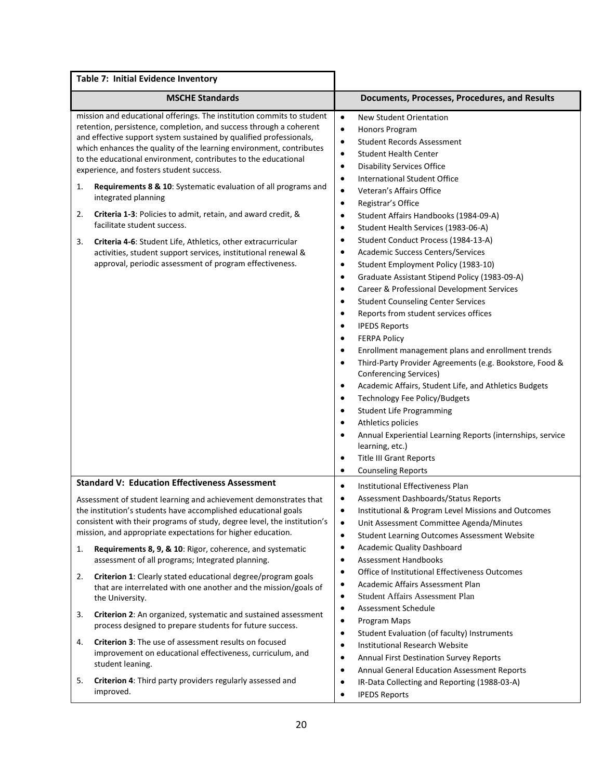| Table 7: Initial Evidence Inventory                                                                                                                                                                                                                                                                                                                                                                                                                                                                                                                                                                                                                                                                                                                                                                          |                                                                                                                                                                                                                                                                                                                                                                                                                                                                                                                                                                                                                                                                                                                                                                                                                                                                                                                                                                                                                                                                                                                                                                                                                                                                                                                                                                                                                                                                                                                            |
|--------------------------------------------------------------------------------------------------------------------------------------------------------------------------------------------------------------------------------------------------------------------------------------------------------------------------------------------------------------------------------------------------------------------------------------------------------------------------------------------------------------------------------------------------------------------------------------------------------------------------------------------------------------------------------------------------------------------------------------------------------------------------------------------------------------|----------------------------------------------------------------------------------------------------------------------------------------------------------------------------------------------------------------------------------------------------------------------------------------------------------------------------------------------------------------------------------------------------------------------------------------------------------------------------------------------------------------------------------------------------------------------------------------------------------------------------------------------------------------------------------------------------------------------------------------------------------------------------------------------------------------------------------------------------------------------------------------------------------------------------------------------------------------------------------------------------------------------------------------------------------------------------------------------------------------------------------------------------------------------------------------------------------------------------------------------------------------------------------------------------------------------------------------------------------------------------------------------------------------------------------------------------------------------------------------------------------------------------|
| <b>MSCHE Standards</b>                                                                                                                                                                                                                                                                                                                                                                                                                                                                                                                                                                                                                                                                                                                                                                                       | Documents, Processes, Procedures, and Results                                                                                                                                                                                                                                                                                                                                                                                                                                                                                                                                                                                                                                                                                                                                                                                                                                                                                                                                                                                                                                                                                                                                                                                                                                                                                                                                                                                                                                                                              |
| mission and educational offerings. The institution commits to student<br>retention, persistence, completion, and success through a coherent<br>and effective support system sustained by qualified professionals,<br>which enhances the quality of the learning environment, contributes<br>to the educational environment, contributes to the educational<br>experience, and fosters student success.<br>Requirements 8 & 10: Systematic evaluation of all programs and<br>1.<br>integrated planning<br>Criteria 1-3: Policies to admit, retain, and award credit, &<br>2.<br>facilitate student success.<br>3.<br>Criteria 4-6: Student Life, Athletics, other extracurricular<br>activities, student support services, institutional renewal &<br>approval, periodic assessment of program effectiveness. | $\bullet$<br>New Student Orientation<br>$\bullet$<br><b>Honors Program</b><br>$\bullet$<br><b>Student Records Assessment</b><br>$\bullet$<br><b>Student Health Center</b><br><b>Disability Services Office</b><br>$\bullet$<br><b>International Student Office</b><br>$\bullet$<br>Veteran's Affairs Office<br>$\bullet$<br>Registrar's Office<br>$\bullet$<br>Student Affairs Handbooks (1984-09-A)<br>$\bullet$<br>Student Health Services (1983-06-A)<br>$\bullet$<br>Student Conduct Process (1984-13-A)<br>$\bullet$<br>Academic Success Centers/Services<br>$\bullet$<br>Student Employment Policy (1983-10)<br>$\bullet$<br>Graduate Assistant Stipend Policy (1983-09-A)<br>$\bullet$<br>Career & Professional Development Services<br>$\bullet$<br><b>Student Counseling Center Services</b><br>$\bullet$<br>Reports from student services offices<br>$\bullet$<br><b>IPEDS Reports</b><br>$\bullet$<br><b>FERPA Policy</b><br>$\bullet$<br>Enrollment management plans and enrollment trends<br>$\bullet$<br>Third-Party Provider Agreements (e.g. Bookstore, Food &<br>$\bullet$<br><b>Conferencing Services)</b><br>Academic Affairs, Student Life, and Athletics Budgets<br>$\bullet$<br>Technology Fee Policy/Budgets<br>$\bullet$<br><b>Student Life Programming</b><br>$\bullet$<br>Athletics policies<br>$\bullet$<br>Annual Experiential Learning Reports (internships, service<br>$\bullet$<br>learning, etc.)<br><b>Title III Grant Reports</b><br>$\bullet$<br><b>Counseling Reports</b><br>$\bullet$ |
| <b>Standard V: Education Effectiveness Assessment</b><br>Assessment of student learning and achievement demonstrates that<br>the institution's students have accomplished educational goals<br>consistent with their programs of study, degree level, the institution's<br>mission, and appropriate expectations for higher education.                                                                                                                                                                                                                                                                                                                                                                                                                                                                       | $\bullet$<br><b>Institutional Effectiveness Plan</b><br>Assessment Dashboards/Status Reports<br>$\bullet$<br>Institutional & Program Level Missions and Outcomes<br>$\bullet$<br>$\bullet$<br>Unit Assessment Committee Agenda/Minutes<br>Student Learning Outcomes Assessment Website<br>$\bullet$                                                                                                                                                                                                                                                                                                                                                                                                                                                                                                                                                                                                                                                                                                                                                                                                                                                                                                                                                                                                                                                                                                                                                                                                                        |
| Requirements 8, 9, & 10: Rigor, coherence, and systematic<br>1.<br>assessment of all programs; Integrated planning.                                                                                                                                                                                                                                                                                                                                                                                                                                                                                                                                                                                                                                                                                          | <b>Academic Quality Dashboard</b><br>$\bullet$<br><b>Assessment Handbooks</b><br>$\bullet$                                                                                                                                                                                                                                                                                                                                                                                                                                                                                                                                                                                                                                                                                                                                                                                                                                                                                                                                                                                                                                                                                                                                                                                                                                                                                                                                                                                                                                 |
| Criterion 1: Clearly stated educational degree/program goals<br>2.<br>that are interrelated with one another and the mission/goals of<br>the University.                                                                                                                                                                                                                                                                                                                                                                                                                                                                                                                                                                                                                                                     | Office of Institutional Effectiveness Outcomes<br>$\bullet$<br>Academic Affairs Assessment Plan<br>$\bullet$<br><b>Student Affairs Assessment Plan</b><br>$\bullet$                                                                                                                                                                                                                                                                                                                                                                                                                                                                                                                                                                                                                                                                                                                                                                                                                                                                                                                                                                                                                                                                                                                                                                                                                                                                                                                                                        |
| 3.<br>Criterion 2: An organized, systematic and sustained assessment<br>process designed to prepare students for future success.                                                                                                                                                                                                                                                                                                                                                                                                                                                                                                                                                                                                                                                                             | Assessment Schedule<br>$\bullet$<br>Program Maps<br>$\bullet$<br>$\bullet$<br>Student Evaluation (of faculty) Instruments                                                                                                                                                                                                                                                                                                                                                                                                                                                                                                                                                                                                                                                                                                                                                                                                                                                                                                                                                                                                                                                                                                                                                                                                                                                                                                                                                                                                  |
| <b>Criterion 3:</b> The use of assessment results on focused<br>4.<br>improvement on educational effectiveness, curriculum, and<br>student leaning.                                                                                                                                                                                                                                                                                                                                                                                                                                                                                                                                                                                                                                                          | <b>Institutional Research Website</b><br>$\bullet$<br>$\bullet$<br>Annual First Destination Survey Reports<br>Annual General Education Assessment Reports<br>$\bullet$                                                                                                                                                                                                                                                                                                                                                                                                                                                                                                                                                                                                                                                                                                                                                                                                                                                                                                                                                                                                                                                                                                                                                                                                                                                                                                                                                     |
| 5.<br>Criterion 4: Third party providers regularly assessed and<br>improved.                                                                                                                                                                                                                                                                                                                                                                                                                                                                                                                                                                                                                                                                                                                                 | IR-Data Collecting and Reporting (1988-03-A)<br>$\bullet$<br><b>IPEDS Reports</b><br>$\bullet$                                                                                                                                                                                                                                                                                                                                                                                                                                                                                                                                                                                                                                                                                                                                                                                                                                                                                                                                                                                                                                                                                                                                                                                                                                                                                                                                                                                                                             |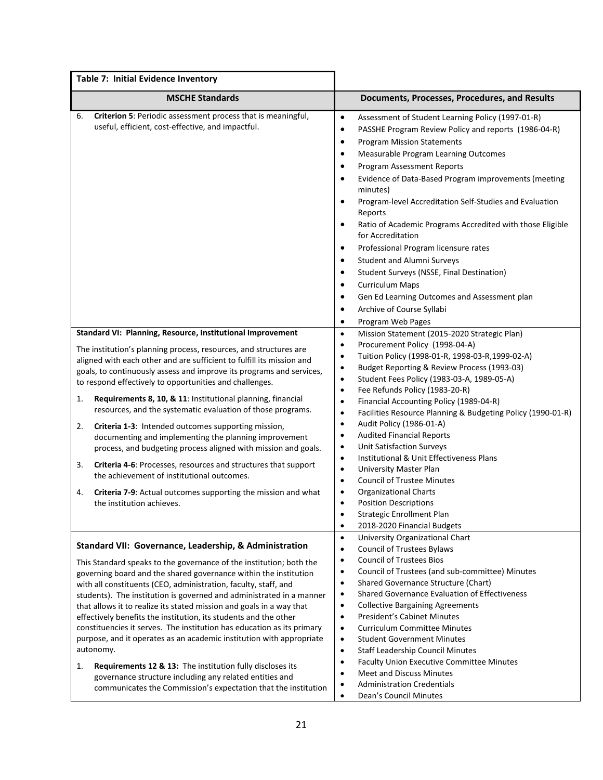| Table 7: Initial Evidence Inventory                                                                                                           |                                                                                                                                                                                                                                                                       |
|-----------------------------------------------------------------------------------------------------------------------------------------------|-----------------------------------------------------------------------------------------------------------------------------------------------------------------------------------------------------------------------------------------------------------------------|
| <b>MSCHE Standards</b>                                                                                                                        | Documents, Processes, Procedures, and Results                                                                                                                                                                                                                         |
| Criterion 5: Periodic assessment process that is meaningful,<br>6.<br>useful, efficient, cost-effective, and impactful.                       | $\bullet$<br>Assessment of Student Learning Policy (1997-01-R)<br>PASSHE Program Review Policy and reports (1986-04-R)<br>$\bullet$<br><b>Program Mission Statements</b><br>$\bullet$<br>Measurable Program Learning Outcomes<br>٠<br>Program Assessment Reports<br>٠ |
|                                                                                                                                               | Evidence of Data-Based Program improvements (meeting<br>$\bullet$<br>minutes)<br>Program-level Accreditation Self-Studies and Evaluation                                                                                                                              |
|                                                                                                                                               | Reports<br>Ratio of Academic Programs Accredited with those Eligible<br>$\bullet$                                                                                                                                                                                     |
|                                                                                                                                               | for Accreditation<br>Professional Program licensure rates<br>$\bullet$                                                                                                                                                                                                |
|                                                                                                                                               | <b>Student and Alumni Surveys</b><br>٠                                                                                                                                                                                                                                |
|                                                                                                                                               | Student Surveys (NSSE, Final Destination)<br>$\bullet$<br><b>Curriculum Maps</b><br>$\bullet$                                                                                                                                                                         |
|                                                                                                                                               | Gen Ed Learning Outcomes and Assessment plan<br>$\bullet$                                                                                                                                                                                                             |
|                                                                                                                                               | Archive of Course Syllabi<br>٠                                                                                                                                                                                                                                        |
|                                                                                                                                               | Program Web Pages<br>$\bullet$                                                                                                                                                                                                                                        |
| Standard VI: Planning, Resource, Institutional Improvement                                                                                    | Mission Statement (2015-2020 Strategic Plan)<br>$\bullet$<br>$\bullet$                                                                                                                                                                                                |
| The institution's planning process, resources, and structures are                                                                             | Procurement Policy (1998-04-A)<br>Tuition Policy (1998-01-R, 1998-03-R, 1999-02-A)<br>٠                                                                                                                                                                               |
| aligned with each other and are sufficient to fulfill its mission and<br>goals, to continuously assess and improve its programs and services, | Budget Reporting & Review Process (1993-03)<br>$\bullet$                                                                                                                                                                                                              |
| to respond effectively to opportunities and challenges.                                                                                       | Student Fees Policy (1983-03-A, 1989-05-A)<br>$\bullet$                                                                                                                                                                                                               |
|                                                                                                                                               | Fee Refunds Policy (1983-20-R)<br>$\bullet$                                                                                                                                                                                                                           |
| Requirements 8, 10, & 11: Institutional planning, financial<br>1.<br>resources, and the systematic evaluation of those programs.              | Financial Accounting Policy (1989-04-R)<br>$\bullet$<br>Facilities Resource Planning & Budgeting Policy (1990-01-R)<br>$\bullet$                                                                                                                                      |
| Criteria 1-3: Intended outcomes supporting mission,<br>2.                                                                                     | Audit Policy (1986-01-A)<br>$\bullet$                                                                                                                                                                                                                                 |
| documenting and implementing the planning improvement                                                                                         | <b>Audited Financial Reports</b><br>$\bullet$                                                                                                                                                                                                                         |
| process, and budgeting process aligned with mission and goals.                                                                                | <b>Unit Satisfaction Surveys</b><br>$\bullet$                                                                                                                                                                                                                         |
| <b>Criteria 4-6:</b> Processes, resources and structures that support<br>3.                                                                   | Institutional & Unit Effectiveness Plans<br>٠                                                                                                                                                                                                                         |
| the achievement of institutional outcomes.                                                                                                    | <b>University Master Plan</b><br>$\bullet$                                                                                                                                                                                                                            |
|                                                                                                                                               | <b>Council of Trustee Minutes</b><br>$\bullet$<br>$\bullet$                                                                                                                                                                                                           |
| <b>Criteria 7-9:</b> Actual outcomes supporting the mission and what<br>4.<br>the institution achieves.                                       | <b>Organizational Charts</b><br><b>Position Descriptions</b><br>$\bullet$                                                                                                                                                                                             |
|                                                                                                                                               | Strategic Enrollment Plan                                                                                                                                                                                                                                             |
|                                                                                                                                               | 2018-2020 Financial Budgets<br>$\bullet$                                                                                                                                                                                                                              |
|                                                                                                                                               | University Organizational Chart<br>$\bullet$                                                                                                                                                                                                                          |
| Standard VII: Governance, Leadership, & Administration                                                                                        | <b>Council of Trustees Bylaws</b><br>$\bullet$                                                                                                                                                                                                                        |
| This Standard speaks to the governance of the institution; both the                                                                           | <b>Council of Trustees Bios</b><br>٠                                                                                                                                                                                                                                  |
| governing board and the shared governance within the institution                                                                              | Council of Trustees (and sub-committee) Minutes<br>$\bullet$                                                                                                                                                                                                          |
| with all constituents (CEO, administration, faculty, staff, and                                                                               | Shared Governance Structure (Chart)<br>$\bullet$                                                                                                                                                                                                                      |
| students). The institution is governed and administrated in a manner                                                                          | Shared Governance Evaluation of Effectiveness<br>$\bullet$<br><b>Collective Bargaining Agreements</b><br>$\bullet$                                                                                                                                                    |
| that allows it to realize its stated mission and goals in a way that<br>effectively benefits the institution, its students and the other      | President's Cabinet Minutes<br>$\bullet$                                                                                                                                                                                                                              |
| constituencies it serves. The institution has education as its primary                                                                        | <b>Curriculum Committee Minutes</b><br>٠                                                                                                                                                                                                                              |
| purpose, and it operates as an academic institution with appropriate                                                                          | <b>Student Government Minutes</b><br>$\bullet$                                                                                                                                                                                                                        |
| autonomy.                                                                                                                                     | <b>Staff Leadership Council Minutes</b><br>٠                                                                                                                                                                                                                          |
| Requirements 12 & 13: The institution fully discloses its<br>1.                                                                               | Faculty Union Executive Committee Minutes<br>$\bullet$                                                                                                                                                                                                                |
| governance structure including any related entities and                                                                                       | Meet and Discuss Minutes<br>$\bullet$                                                                                                                                                                                                                                 |
| communicates the Commission's expectation that the institution                                                                                | <b>Administration Credentials</b><br>Dean's Council Minutes                                                                                                                                                                                                           |
|                                                                                                                                               |                                                                                                                                                                                                                                                                       |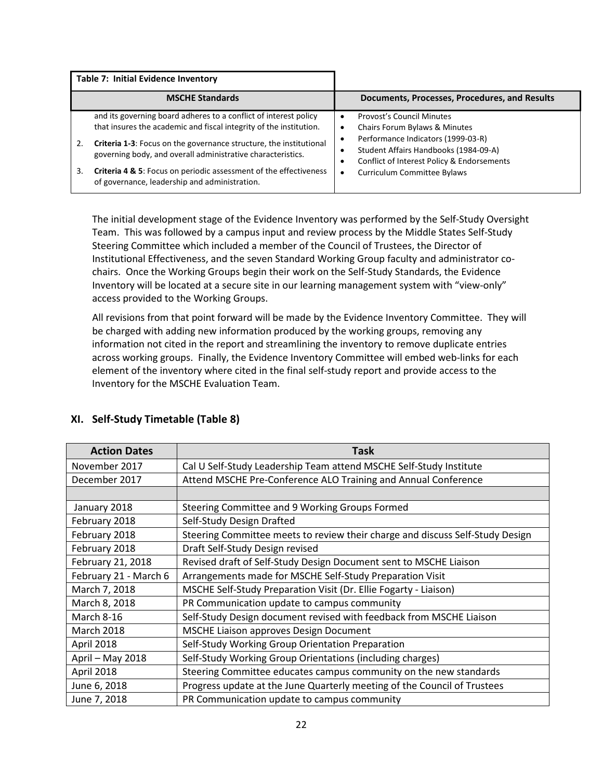| Table 7: Initial Evidence Inventory                                                                                                                                                                                                                                                                                                                                                                           |                                                                                                                                                                                                                                                  |
|---------------------------------------------------------------------------------------------------------------------------------------------------------------------------------------------------------------------------------------------------------------------------------------------------------------------------------------------------------------------------------------------------------------|--------------------------------------------------------------------------------------------------------------------------------------------------------------------------------------------------------------------------------------------------|
| <b>MSCHE Standards</b>                                                                                                                                                                                                                                                                                                                                                                                        | Documents, Processes, Procedures, and Results                                                                                                                                                                                                    |
| and its governing board adheres to a conflict of interest policy<br>that insures the academic and fiscal integrity of the institution.<br>Criteria 1-3: Focus on the governance structure, the institutional<br>2.<br>governing body, and overall administrative characteristics.<br>Criteria 4 & 5: Focus on periodic assessment of the effectiveness<br>3.<br>of governance, leadership and administration. | Provost's Council Minutes<br>$\bullet$<br>Chairs Forum Bylaws & Minutes<br>Performance Indicators (1999-03-R)<br>Student Affairs Handbooks (1984-09-A)<br>Conflict of Interest Policy & Endorsements<br>Curriculum Committee Bylaws<br>$\bullet$ |

The initial development stage of the Evidence Inventory was performed by the Self-Study Oversight Team. This was followed by a campus input and review process by the Middle States Self-Study Steering Committee which included a member of the Council of Trustees, the Director of Institutional Effectiveness, and the seven Standard Working Group faculty and administrator cochairs. Once the Working Groups begin their work on the Self-Study Standards, the Evidence Inventory will be located at a secure site in our learning management system with "view-only" access provided to the Working Groups.

All revisions from that point forward will be made by the Evidence Inventory Committee. They will be charged with adding new information produced by the working groups, removing any information not cited in the report and streamlining the inventory to remove duplicate entries across working groups. Finally, the Evidence Inventory Committee will embed web-links for each element of the inventory where cited in the final self-study report and provide access to the Inventory for the MSCHE Evaluation Team.

| <b>Action Dates</b>   | Task                                                                          |
|-----------------------|-------------------------------------------------------------------------------|
| November 2017         | Cal U Self-Study Leadership Team attend MSCHE Self-Study Institute            |
| December 2017         | Attend MSCHE Pre-Conference ALO Training and Annual Conference                |
|                       |                                                                               |
| January 2018          | Steering Committee and 9 Working Groups Formed                                |
| February 2018         | Self-Study Design Drafted                                                     |
| February 2018         | Steering Committee meets to review their charge and discuss Self-Study Design |
| February 2018         | Draft Self-Study Design revised                                               |
| February 21, 2018     | Revised draft of Self-Study Design Document sent to MSCHE Liaison             |
| February 21 - March 6 | Arrangements made for MSCHE Self-Study Preparation Visit                      |
| March 7, 2018         | MSCHE Self-Study Preparation Visit (Dr. Ellie Fogarty - Liaison)              |
| March 8, 2018         | PR Communication update to campus community                                   |
| March 8-16            | Self-Study Design document revised with feedback from MSCHE Liaison           |
| <b>March 2018</b>     | <b>MSCHE Liaison approves Design Document</b>                                 |
| April 2018            | Self-Study Working Group Orientation Preparation                              |
| April - May 2018      | Self-Study Working Group Orientations (including charges)                     |
| April 2018            | Steering Committee educates campus community on the new standards             |
| June 6, 2018          | Progress update at the June Quarterly meeting of the Council of Trustees      |
| June 7, 2018          | PR Communication update to campus community                                   |

# **XI. Self-Study Timetable (Table 8)**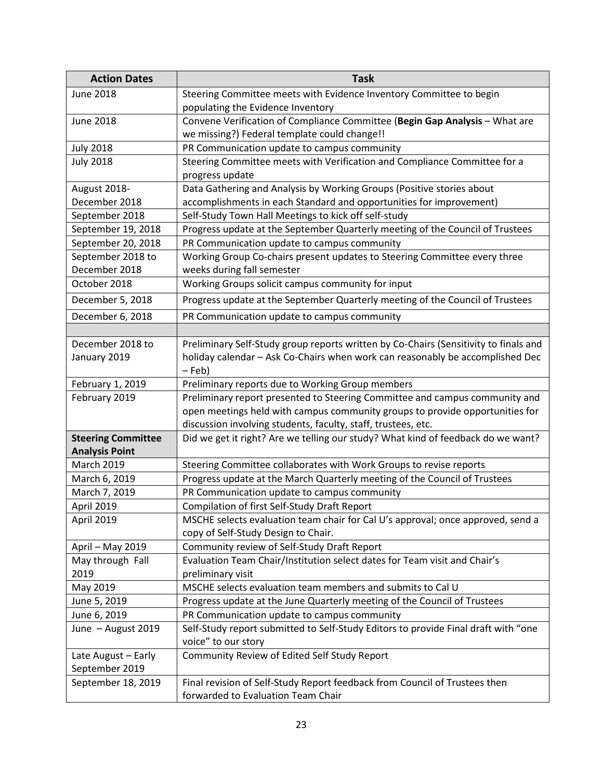| <b>Action Dates</b>                                                                                                                                                                                                        | <b>Task</b>                                                                                                                                                                                                                                                                                                                                                                                                                                                                                                                                                                                                                                                                                                                                                                                                                                      |
|----------------------------------------------------------------------------------------------------------------------------------------------------------------------------------------------------------------------------|--------------------------------------------------------------------------------------------------------------------------------------------------------------------------------------------------------------------------------------------------------------------------------------------------------------------------------------------------------------------------------------------------------------------------------------------------------------------------------------------------------------------------------------------------------------------------------------------------------------------------------------------------------------------------------------------------------------------------------------------------------------------------------------------------------------------------------------------------|
| <b>June 2018</b>                                                                                                                                                                                                           | Steering Committee meets with Evidence Inventory Committee to begin                                                                                                                                                                                                                                                                                                                                                                                                                                                                                                                                                                                                                                                                                                                                                                              |
|                                                                                                                                                                                                                            | populating the Evidence Inventory                                                                                                                                                                                                                                                                                                                                                                                                                                                                                                                                                                                                                                                                                                                                                                                                                |
| <b>June 2018</b>                                                                                                                                                                                                           | Convene Verification of Compliance Committee (Begin Gap Analysis - What are                                                                                                                                                                                                                                                                                                                                                                                                                                                                                                                                                                                                                                                                                                                                                                      |
|                                                                                                                                                                                                                            | we missing?) Federal template could change!!                                                                                                                                                                                                                                                                                                                                                                                                                                                                                                                                                                                                                                                                                                                                                                                                     |
| <b>July 2018</b>                                                                                                                                                                                                           | PR Communication update to campus community                                                                                                                                                                                                                                                                                                                                                                                                                                                                                                                                                                                                                                                                                                                                                                                                      |
| <b>July 2018</b>                                                                                                                                                                                                           | Steering Committee meets with Verification and Compliance Committee for a                                                                                                                                                                                                                                                                                                                                                                                                                                                                                                                                                                                                                                                                                                                                                                        |
|                                                                                                                                                                                                                            | progress update                                                                                                                                                                                                                                                                                                                                                                                                                                                                                                                                                                                                                                                                                                                                                                                                                                  |
| August 2018-                                                                                                                                                                                                               | Data Gathering and Analysis by Working Groups (Positive stories about                                                                                                                                                                                                                                                                                                                                                                                                                                                                                                                                                                                                                                                                                                                                                                            |
| December 2018                                                                                                                                                                                                              | accomplishments in each Standard and opportunities for improvement)                                                                                                                                                                                                                                                                                                                                                                                                                                                                                                                                                                                                                                                                                                                                                                              |
| September 2018                                                                                                                                                                                                             | Self-Study Town Hall Meetings to kick off self-study                                                                                                                                                                                                                                                                                                                                                                                                                                                                                                                                                                                                                                                                                                                                                                                             |
| September 19, 2018                                                                                                                                                                                                         | Progress update at the September Quarterly meeting of the Council of Trustees                                                                                                                                                                                                                                                                                                                                                                                                                                                                                                                                                                                                                                                                                                                                                                    |
| September 20, 2018                                                                                                                                                                                                         | PR Communication update to campus community                                                                                                                                                                                                                                                                                                                                                                                                                                                                                                                                                                                                                                                                                                                                                                                                      |
| September 2018 to                                                                                                                                                                                                          | Working Group Co-chairs present updates to Steering Committee every three                                                                                                                                                                                                                                                                                                                                                                                                                                                                                                                                                                                                                                                                                                                                                                        |
| December 2018                                                                                                                                                                                                              | weeks during fall semester                                                                                                                                                                                                                                                                                                                                                                                                                                                                                                                                                                                                                                                                                                                                                                                                                       |
| October 2018                                                                                                                                                                                                               | Working Groups solicit campus community for input                                                                                                                                                                                                                                                                                                                                                                                                                                                                                                                                                                                                                                                                                                                                                                                                |
| December 5, 2018                                                                                                                                                                                                           | Progress update at the September Quarterly meeting of the Council of Trustees                                                                                                                                                                                                                                                                                                                                                                                                                                                                                                                                                                                                                                                                                                                                                                    |
| December 6, 2018                                                                                                                                                                                                           | PR Communication update to campus community                                                                                                                                                                                                                                                                                                                                                                                                                                                                                                                                                                                                                                                                                                                                                                                                      |
|                                                                                                                                                                                                                            |                                                                                                                                                                                                                                                                                                                                                                                                                                                                                                                                                                                                                                                                                                                                                                                                                                                  |
| December 2018 to                                                                                                                                                                                                           | Preliminary Self-Study group reports written by Co-Chairs (Sensitivity to finals and                                                                                                                                                                                                                                                                                                                                                                                                                                                                                                                                                                                                                                                                                                                                                             |
| January 2019                                                                                                                                                                                                               | holiday calendar - Ask Co-Chairs when work can reasonably be accomplished Dec                                                                                                                                                                                                                                                                                                                                                                                                                                                                                                                                                                                                                                                                                                                                                                    |
|                                                                                                                                                                                                                            | $-$ Feb)                                                                                                                                                                                                                                                                                                                                                                                                                                                                                                                                                                                                                                                                                                                                                                                                                                         |
| February 1, 2019                                                                                                                                                                                                           | Preliminary reports due to Working Group members                                                                                                                                                                                                                                                                                                                                                                                                                                                                                                                                                                                                                                                                                                                                                                                                 |
| February 2019                                                                                                                                                                                                              | Preliminary report presented to Steering Committee and campus community and                                                                                                                                                                                                                                                                                                                                                                                                                                                                                                                                                                                                                                                                                                                                                                      |
|                                                                                                                                                                                                                            | open meetings held with campus community groups to provide opportunities for                                                                                                                                                                                                                                                                                                                                                                                                                                                                                                                                                                                                                                                                                                                                                                     |
|                                                                                                                                                                                                                            | discussion involving students, faculty, staff, trustees, etc.                                                                                                                                                                                                                                                                                                                                                                                                                                                                                                                                                                                                                                                                                                                                                                                    |
| <b>Steering Committee</b>                                                                                                                                                                                                  | Did we get it right? Are we telling our study? What kind of feedback do we want?                                                                                                                                                                                                                                                                                                                                                                                                                                                                                                                                                                                                                                                                                                                                                                 |
| <b>Analysis Point</b>                                                                                                                                                                                                      |                                                                                                                                                                                                                                                                                                                                                                                                                                                                                                                                                                                                                                                                                                                                                                                                                                                  |
| <b>March 2019</b>                                                                                                                                                                                                          | Steering Committee collaborates with Work Groups to revise reports                                                                                                                                                                                                                                                                                                                                                                                                                                                                                                                                                                                                                                                                                                                                                                               |
| March 6, 2019                                                                                                                                                                                                              | Progress update at the March Quarterly meeting of the Council of Trustees                                                                                                                                                                                                                                                                                                                                                                                                                                                                                                                                                                                                                                                                                                                                                                        |
|                                                                                                                                                                                                                            |                                                                                                                                                                                                                                                                                                                                                                                                                                                                                                                                                                                                                                                                                                                                                                                                                                                  |
|                                                                                                                                                                                                                            |                                                                                                                                                                                                                                                                                                                                                                                                                                                                                                                                                                                                                                                                                                                                                                                                                                                  |
|                                                                                                                                                                                                                            |                                                                                                                                                                                                                                                                                                                                                                                                                                                                                                                                                                                                                                                                                                                                                                                                                                                  |
|                                                                                                                                                                                                                            |                                                                                                                                                                                                                                                                                                                                                                                                                                                                                                                                                                                                                                                                                                                                                                                                                                                  |
|                                                                                                                                                                                                                            |                                                                                                                                                                                                                                                                                                                                                                                                                                                                                                                                                                                                                                                                                                                                                                                                                                                  |
|                                                                                                                                                                                                                            |                                                                                                                                                                                                                                                                                                                                                                                                                                                                                                                                                                                                                                                                                                                                                                                                                                                  |
|                                                                                                                                                                                                                            |                                                                                                                                                                                                                                                                                                                                                                                                                                                                                                                                                                                                                                                                                                                                                                                                                                                  |
|                                                                                                                                                                                                                            |                                                                                                                                                                                                                                                                                                                                                                                                                                                                                                                                                                                                                                                                                                                                                                                                                                                  |
|                                                                                                                                                                                                                            |                                                                                                                                                                                                                                                                                                                                                                                                                                                                                                                                                                                                                                                                                                                                                                                                                                                  |
|                                                                                                                                                                                                                            |                                                                                                                                                                                                                                                                                                                                                                                                                                                                                                                                                                                                                                                                                                                                                                                                                                                  |
|                                                                                                                                                                                                                            |                                                                                                                                                                                                                                                                                                                                                                                                                                                                                                                                                                                                                                                                                                                                                                                                                                                  |
|                                                                                                                                                                                                                            |                                                                                                                                                                                                                                                                                                                                                                                                                                                                                                                                                                                                                                                                                                                                                                                                                                                  |
|                                                                                                                                                                                                                            |                                                                                                                                                                                                                                                                                                                                                                                                                                                                                                                                                                                                                                                                                                                                                                                                                                                  |
|                                                                                                                                                                                                                            |                                                                                                                                                                                                                                                                                                                                                                                                                                                                                                                                                                                                                                                                                                                                                                                                                                                  |
|                                                                                                                                                                                                                            |                                                                                                                                                                                                                                                                                                                                                                                                                                                                                                                                                                                                                                                                                                                                                                                                                                                  |
| March 7, 2019<br>April 2019<br>April 2019<br>April - May 2019<br>May through Fall<br>2019<br>May 2019<br>June 5, 2019<br>June 6, 2019<br>June - August 2019<br>Late August - Early<br>September 2019<br>September 18, 2019 | PR Communication update to campus community<br>Compilation of first Self-Study Draft Report<br>MSCHE selects evaluation team chair for Cal U's approval; once approved, send a<br>copy of Self-Study Design to Chair.<br>Community review of Self-Study Draft Report<br>Evaluation Team Chair/Institution select dates for Team visit and Chair's<br>preliminary visit<br>MSCHE selects evaluation team members and submits to Cal U<br>Progress update at the June Quarterly meeting of the Council of Trustees<br>PR Communication update to campus community<br>Self-Study report submitted to Self-Study Editors to provide Final draft with "one<br>voice" to our story<br>Community Review of Edited Self Study Report<br>Final revision of Self-Study Report feedback from Council of Trustees then<br>forwarded to Evaluation Team Chair |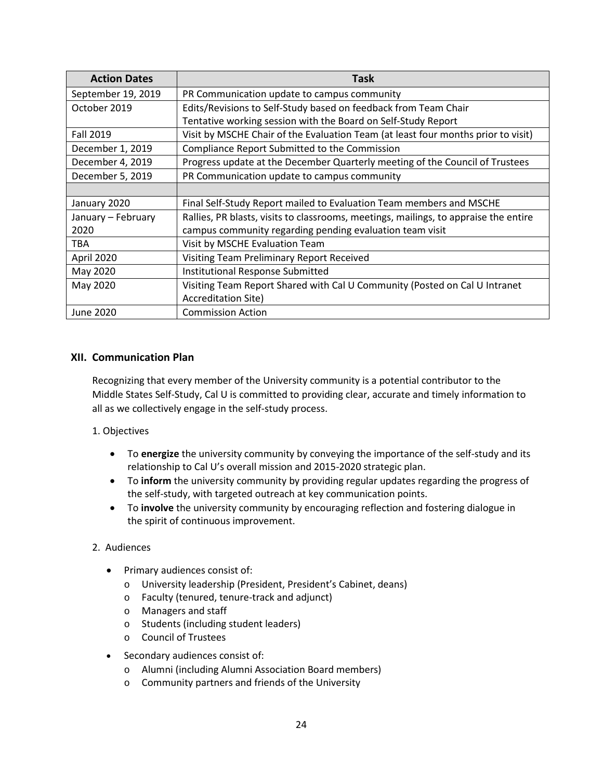| <b>Action Dates</b> | Task                                                                                 |
|---------------------|--------------------------------------------------------------------------------------|
| September 19, 2019  | PR Communication update to campus community                                          |
| October 2019        | Edits/Revisions to Self-Study based on feedback from Team Chair                      |
|                     | Tentative working session with the Board on Self-Study Report                        |
| <b>Fall 2019</b>    | Visit by MSCHE Chair of the Evaluation Team (at least four months prior to visit)    |
| December 1, 2019    | Compliance Report Submitted to the Commission                                        |
| December 4, 2019    | Progress update at the December Quarterly meeting of the Council of Trustees         |
| December 5, 2019    | PR Communication update to campus community                                          |
|                     |                                                                                      |
| January 2020        | Final Self-Study Report mailed to Evaluation Team members and MSCHE                  |
| January - February  | Rallies, PR blasts, visits to classrooms, meetings, mailings, to appraise the entire |
| 2020                | campus community regarding pending evaluation team visit                             |
| TBA                 | Visit by MSCHE Evaluation Team                                                       |
| April 2020          | Visiting Team Preliminary Report Received                                            |
| May 2020            | Institutional Response Submitted                                                     |
| May 2020            | Visiting Team Report Shared with Cal U Community (Posted on Cal U Intranet           |
|                     | <b>Accreditation Site)</b>                                                           |
| June 2020           | <b>Commission Action</b>                                                             |

# **XII. Communication Plan**

Recognizing that every member of the University community is a potential contributor to the Middle States Self-Study, Cal U is committed to providing clear, accurate and timely information to all as we collectively engage in the self-study process.

# 1. Objectives

- To **energize** the university community by conveying the importance of the self-study and its relationship to Cal U's overall mission and 2015-2020 strategic plan.
- To **inform** the university community by providing regular updates regarding the progress of the self-study, with targeted outreach at key communication points.
- To **involve** the university community by encouraging reflection and fostering dialogue in the spirit of continuous improvement.

# 2. Audiences

- Primary audiences consist of:
	- o University leadership (President, President's Cabinet, deans)
	- o Faculty (tenured, tenure-track and adjunct)
	- o Managers and staff
	- o Students (including student leaders)
	- o Council of Trustees
- Secondary audiences consist of:
	- o Alumni (including Alumni Association Board members)
	- o Community partners and friends of the University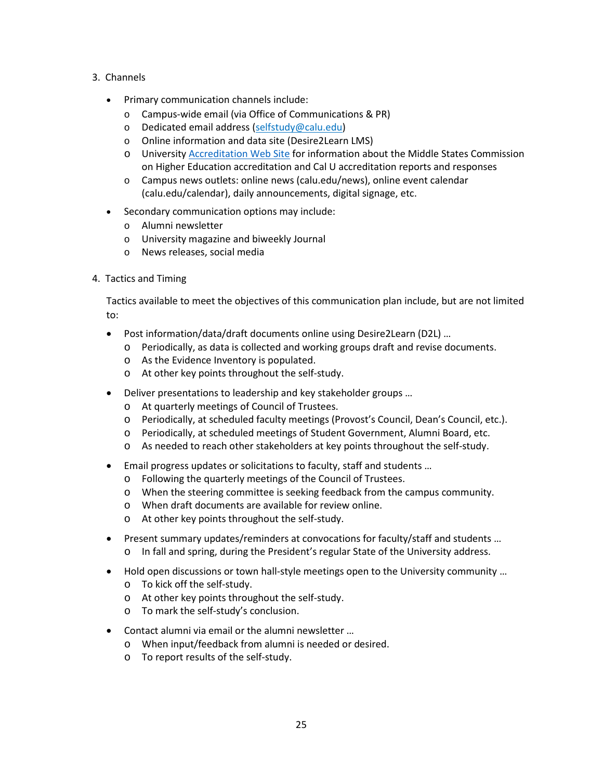- 3. Channels
	- Primary communication channels include:
		- o Campus-wide email (via Office of Communications & PR)
		- o Dedicated email address (selfstudy@calu.edu)
		- o Online information and data site (Desire2Learn LMS)
		- o Universit[y Accreditation Web Site](https://www.calu.edu/calu-difference/accreditation.aspx) for information about the Middle States Commission on Higher Education accreditation and Cal U accreditation reports and responses
		- o Campus news outlets: online news (calu.edu/news), online event calendar (calu.edu/calendar), daily announcements, digital signage, etc.
	- Secondary communication options may include:
		- o Alumni newsletter
		- o University magazine and biweekly Journal
		- o News releases, social media
- 4. Tactics and Timing

Tactics available to meet the objectives of this communication plan include, but are not limited to:

- Post information/data/draft documents online using Desire2Learn (D2L) …
	- o Periodically, as data is collected and working groups draft and revise documents.
	- o As the Evidence Inventory is populated.
	- o At other key points throughout the self-study.
- Deliver presentations to leadership and key stakeholder groups …
	- o At quarterly meetings of Council of Trustees.
	- o Periodically, at scheduled faculty meetings (Provost's Council, Dean's Council, etc.).
	- o Periodically, at scheduled meetings of Student Government, Alumni Board, etc.
	- o As needed to reach other stakeholders at key points throughout the self-study.
- Email progress updates or solicitations to faculty, staff and students …
	- o Following the quarterly meetings of the Council of Trustees.
	- o When the steering committee is seeking feedback from the campus community.
	- o When draft documents are available for review online.
	- o At other key points throughout the self-study.
- Present summary updates/reminders at convocations for faculty/staff and students … o In fall and spring, during the President's regular State of the University address.
- Hold open discussions or town hall-style meetings open to the University community ...
	- o To kick off the self-study.
	- o At other key points throughout the self-study.
	- o To mark the self-study's conclusion.
- Contact alumni via email or the alumni newsletter …
	- o When input/feedback from alumni is needed or desired.
	- o To report results of the self-study.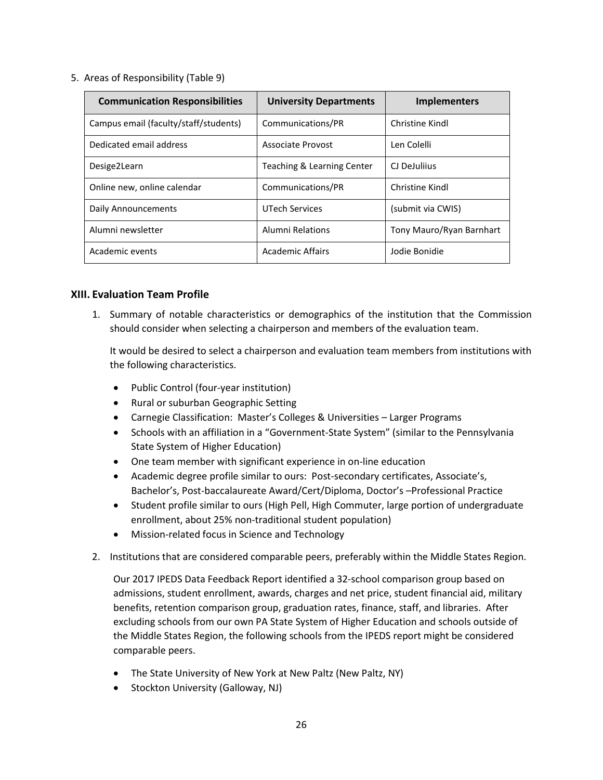5. Areas of Responsibility (Table 9)

| <b>Communication Responsibilities</b> | <b>University Departments</b> | <b>Implementers</b>      |
|---------------------------------------|-------------------------------|--------------------------|
| Campus email (faculty/staff/students) | Communications/PR             | Christine Kindl          |
| Dedicated email address               | Associate Provost             | Len Colelli              |
| Desige2Learn                          | Teaching & Learning Center    | CJ DeJulijus             |
| Online new, online calendar           | Communications/PR             | Christine Kindl          |
| Daily Announcements                   | <b>UTech Services</b>         | (submit via CWIS)        |
| Alumni newsletter                     | Alumni Relations              | Tony Mauro/Ryan Barnhart |
| Academic events                       | Academic Affairs              | Jodie Bonidie            |

## **XIII. Evaluation Team Profile**

1. Summary of notable characteristics or demographics of the institution that the Commission should consider when selecting a chairperson and members of the evaluation team.

It would be desired to select a chairperson and evaluation team members from institutions with the following characteristics.

- Public Control (four-year institution)
- Rural or suburban Geographic Setting
- Carnegie Classification: Master's Colleges & Universities Larger Programs
- Schools with an affiliation in a "Government-State System" (similar to the Pennsylvania State System of Higher Education)
- One team member with significant experience in on-line education
- Academic degree profile similar to ours: Post-secondary certificates, Associate's, Bachelor's, Post-baccalaureate Award/Cert/Diploma, Doctor's –Professional Practice
- Student profile similar to ours (High Pell, High Commuter, large portion of undergraduate enrollment, about 25% non-traditional student population)
- Mission-related focus in Science and Technology
- 2. Institutions that are considered comparable peers, preferably within the Middle States Region.

Our 2017 IPEDS Data Feedback Report identified a 32-school comparison group based on admissions, student enrollment, awards, charges and net price, student financial aid, military benefits, retention comparison group, graduation rates, finance, staff, and libraries. After excluding schools from our own PA State System of Higher Education and schools outside of the Middle States Region, the following schools from the IPEDS report might be considered comparable peers.

- The State University of New York at New Paltz (New Paltz, NY)
- Stockton University (Galloway, NJ)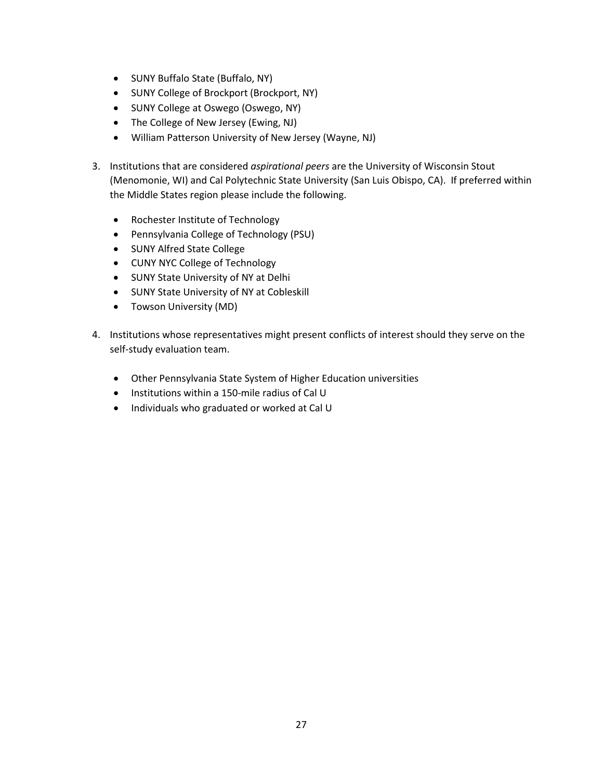- SUNY Buffalo State (Buffalo, NY)
- SUNY College of Brockport (Brockport, NY)
- SUNY College at Oswego (Oswego, NY)
- The College of New Jersey (Ewing, NJ)
- William Patterson University of New Jersey (Wayne, NJ)
- 3. Institutions that are considered *aspirational peers* are the University of Wisconsin Stout (Menomonie, WI) and Cal Polytechnic State University (San Luis Obispo, CA). If preferred within the Middle States region please include the following.
	- Rochester Institute of Technology
	- Pennsylvania College of Technology (PSU)
	- SUNY Alfred State College
	- CUNY NYC College of Technology
	- SUNY State University of NY at Delhi
	- SUNY State University of NY at Cobleskill
	- Towson University (MD)
- 4. Institutions whose representatives might present conflicts of interest should they serve on the self-study evaluation team.
	- Other Pennsylvania State System of Higher Education universities
	- Institutions within a 150-mile radius of Cal U
	- Individuals who graduated or worked at Cal U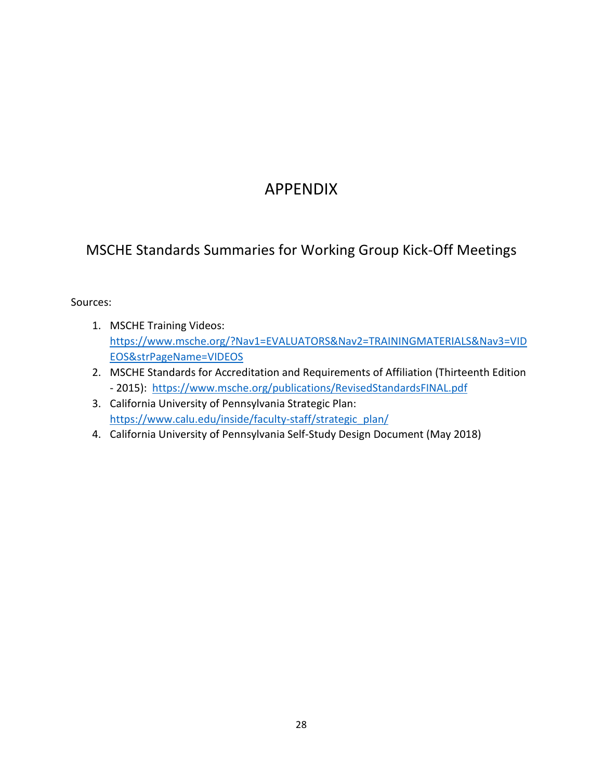# APPENDIX

# MSCHE Standards Summaries for Working Group Kick-Off Meetings

# Sources:

- 1. MSCHE Training Videos: [https://www.msche.org/?Nav1=EVALUATORS&Nav2=TRAININGMATERIALS&Nav3=VID](https://www.msche.org/?Nav1=EVALUATORS&Nav2=TRAININGMATERIALS&Nav3=VIDEOS&strPageName=VIDEOS) [EOS&strPageName=VIDEOS](https://www.msche.org/?Nav1=EVALUATORS&Nav2=TRAININGMATERIALS&Nav3=VIDEOS&strPageName=VIDEOS)
- 2. MSCHE Standards for Accreditation and Requirements of Affiliation (Thirteenth Edition - 2015): <https://www.msche.org/publications/RevisedStandardsFINAL.pdf>
- 3. California University of Pennsylvania Strategic Plan: [https://www.calu.edu/inside/faculty-staff/strategic\\_plan/](https://www.calu.edu/inside/faculty-staff/strategic_plan/)
- 4. California University of Pennsylvania Self-Study Design Document (May 2018)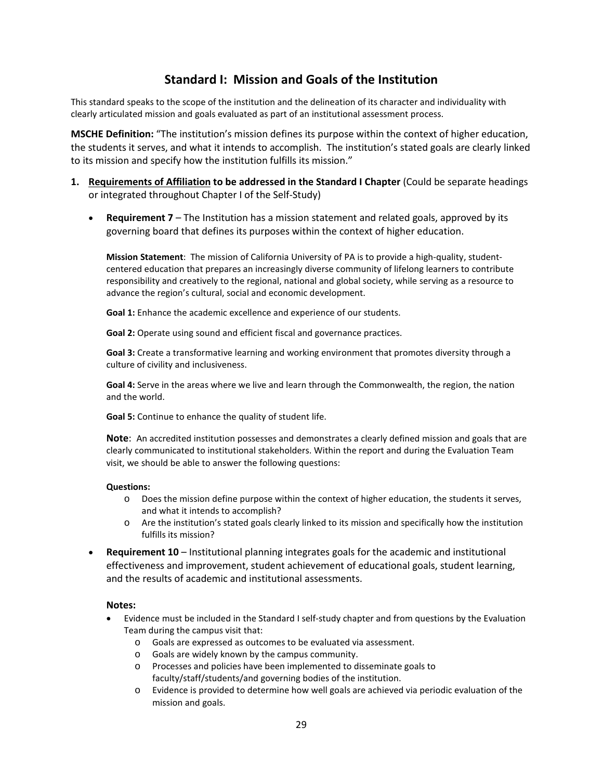# **Standard I: Mission and Goals of the Institution**

This standard speaks to the scope of the institution and the delineation of its character and individuality with clearly articulated mission and goals evaluated as part of an institutional assessment process.

**MSCHE Definition:** "The institution's mission defines its purpose within the context of higher education, the students it serves, and what it intends to accomplish. The institution's stated goals are clearly linked to its mission and specify how the institution fulfills its mission."

- **1. Requirements of Affiliation to be addressed in the Standard I Chapter** (Could be separate headings or integrated throughout Chapter I of the Self-Study)
	- **Requirement 7** The Institution has a mission statement and related goals, approved by its governing board that defines its purposes within the context of higher education.

**Mission Statement**: The mission of California University of PA is to provide a high-quality, studentcentered education that prepares an increasingly diverse community of lifelong learners to contribute responsibility and creatively to the regional, national and global society, while serving as a resource to advance the region's cultural, social and economic development.

**Goal 1:** Enhance the academic excellence and experience of our students.

**Goal 2:** Operate using sound and efficient fiscal and governance practices.

**Goal 3:** Create a transformative learning and working environment that promotes diversity through a culture of civility and inclusiveness.

**Goal 4:** Serve in the areas where we live and learn through the Commonwealth, the region, the nation and the world.

**Goal 5:** Continue to enhance the quality of student life.

**Note**: An accredited institution possesses and demonstrates a clearly defined mission and goals that are clearly communicated to institutional stakeholders. Within the report and during the Evaluation Team visit, we should be able to answer the following questions:

### **Questions:**

- o Does the mission define purpose within the context of higher education, the students it serves, and what it intends to accomplish?
- o Are the institution's stated goals clearly linked to its mission and specifically how the institution fulfills its mission?
- **Requirement 10** Institutional planning integrates goals for the academic and institutional effectiveness and improvement, student achievement of educational goals, student learning, and the results of academic and institutional assessments.

- Evidence must be included in the Standard I self-study chapter and from questions by the Evaluation Team during the campus visit that:
	- o Goals are expressed as outcomes to be evaluated via assessment.
	- o Goals are widely known by the campus community.
	- o Processes and policies have been implemented to disseminate goals to faculty/staff/students/and governing bodies of the institution.
	- o Evidence is provided to determine how well goals are achieved via periodic evaluation of the mission and goals.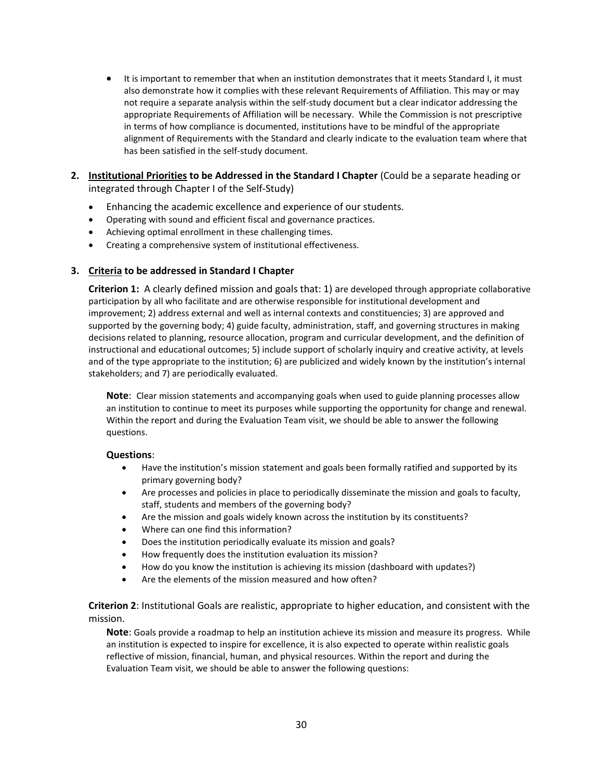- It is important to remember that when an institution demonstrates that it meets Standard I, it must also demonstrate how it complies with these relevant Requirements of Affiliation. This may or may not require a separate analysis within the self-study document but a clear indicator addressing the appropriate Requirements of Affiliation will be necessary. While the Commission is not prescriptive in terms of how compliance is documented, institutions have to be mindful of the appropriate alignment of Requirements with the Standard and clearly indicate to the evaluation team where that has been satisfied in the self-study document.
- **2. Institutional Priorities to be Addressed in the Standard I Chapter** (Could be a separate heading or integrated through Chapter I of the Self-Study)
	- Enhancing the academic excellence and experience of our students.
	- Operating with sound and efficient fiscal and governance practices.
	- Achieving optimal enrollment in these challenging times.
	- Creating a comprehensive system of institutional effectiveness.

## **3. Criteria to be addressed in Standard I Chapter**

**Criterion 1:** A clearly defined mission and goals that: 1) are developed through appropriate collaborative participation by all who facilitate and are otherwise responsible for institutional development and improvement; 2) address external and well as internal contexts and constituencies; 3) are approved and supported by the governing body; 4) guide faculty, administration, staff, and governing structures in making decisions related to planning, resource allocation, program and curricular development, and the definition of instructional and educational outcomes; 5) include support of scholarly inquiry and creative activity, at levels and of the type appropriate to the institution; 6) are publicized and widely known by the institution's internal stakeholders; and 7) are periodically evaluated.

**Note**: Clear mission statements and accompanying goals when used to guide planning processes allow an institution to continue to meet its purposes while supporting the opportunity for change and renewal. Within the report and during the Evaluation Team visit, we should be able to answer the following questions.

## **Questions**:

- Have the institution's mission statement and goals been formally ratified and supported by its primary governing body?
- Are processes and policies in place to periodically disseminate the mission and goals to faculty, staff, students and members of the governing body?
- Are the mission and goals widely known across the institution by its constituents?
- Where can one find this information?
- Does the institution periodically evaluate its mission and goals?
- How frequently does the institution evaluation its mission?
- How do you know the institution is achieving its mission (dashboard with updates?)
- Are the elements of the mission measured and how often?

**Criterion 2**: Institutional Goals are realistic, appropriate to higher education, and consistent with the mission.

**Note**: Goals provide a roadmap to help an institution achieve its mission and measure its progress. While an institution is expected to inspire for excellence, it is also expected to operate within realistic goals reflective of mission, financial, human, and physical resources. Within the report and during the Evaluation Team visit, we should be able to answer the following questions: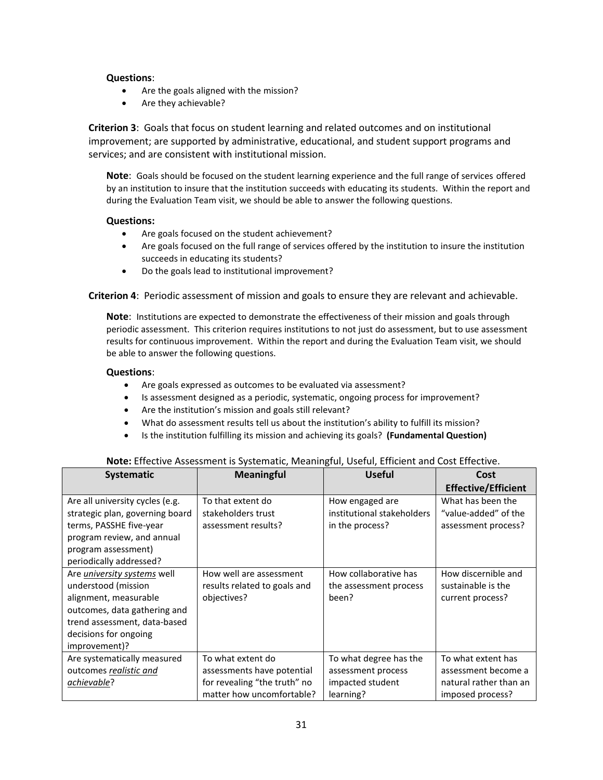## **Questions**:

- Are the goals aligned with the mission?
- Are they achievable?

**Criterion 3**: Goals that focus on student learning and related outcomes and on institutional improvement; are supported by administrative, educational, and student support programs and services; and are consistent with institutional mission.

**Note**: Goals should be focused on the student learning experience and the full range of services offered by an institution to insure that the institution succeeds with educating its students. Within the report and during the Evaluation Team visit, we should be able to answer the following questions.

## **Questions:**

- Are goals focused on the student achievement?
- Are goals focused on the full range of services offered by the institution to insure the institution succeeds in educating its students?
- Do the goals lead to institutional improvement?

**Criterion 4**: Periodic assessment of mission and goals to ensure they are relevant and achievable.

**Note**: Institutions are expected to demonstrate the effectiveness of their mission and goals through periodic assessment. This criterion requires institutions to not just do assessment, but to use assessment results for continuous improvement. Within the report and during the Evaluation Team visit, we should be able to answer the following questions.

## **Questions**:

- Are goals expressed as outcomes to be evaluated via assessment?
- Is assessment designed as a periodic, systematic, ongoing process for improvement?
- Are the institution's mission and goals still relevant?
- What do assessment results tell us about the institution's ability to fulfill its mission?
- Is the institution fulfilling its mission and achieving its goals? **(Fundamental Question)**

| <b>Systematic</b>                  | <b>Meaningful</b>            | <b>Useful</b>              | Cost                       |
|------------------------------------|------------------------------|----------------------------|----------------------------|
|                                    |                              |                            | <b>Effective/Efficient</b> |
| Are all university cycles (e.g.    | To that extent do            | How engaged are            | What has been the          |
| strategic plan, governing board    | stakeholders trust           | institutional stakeholders | "value-added" of the       |
| terms, PASSHE five-year            | assessment results?          | in the process?            | assessment process?        |
| program review, and annual         |                              |                            |                            |
| program assessment)                |                              |                            |                            |
| periodically addressed?            |                              |                            |                            |
| Are <i>university systems</i> well | How well are assessment      | How collaborative has      | How discernible and        |
| understood (mission                | results related to goals and | the assessment process     | sustainable is the         |
| alignment, measurable              | objectives?                  | been?                      | current process?           |
| outcomes, data gathering and       |                              |                            |                            |
| trend assessment, data-based       |                              |                            |                            |
| decisions for ongoing              |                              |                            |                            |
| improvement)?                      |                              |                            |                            |
| Are systematically measured        | To what extent do            | To what degree has the     | To what extent has         |
| outcomes realistic and             | assessments have potential   | assessment process         | assessment become a        |
| <u>achievable</u> ?                | for revealing "the truth" no | impacted student           | natural rather than an     |
|                                    | matter how uncomfortable?    | learning?                  | imposed process?           |

# **Note:** Effective Assessment is Systematic, Meaningful, Useful, Efficient and Cost Effective.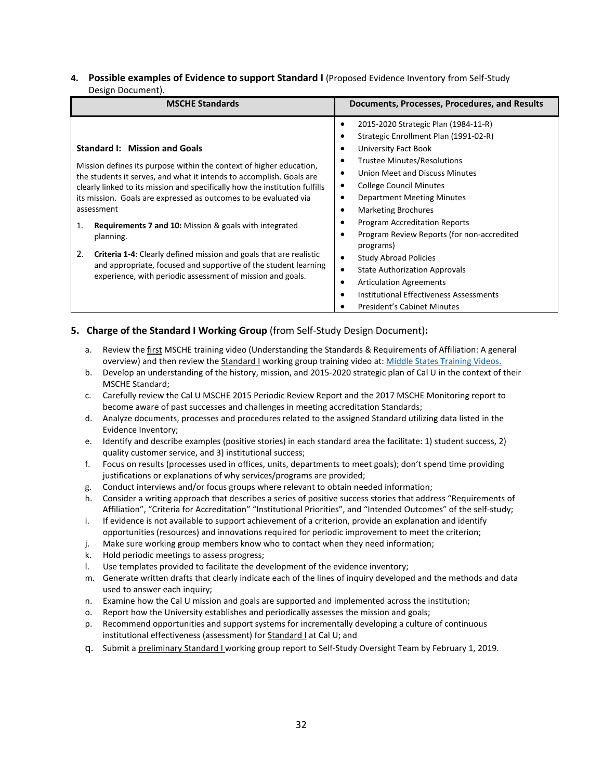## **4. Possible examples of Evidence to support Standard I** (Proposed Evidence Inventory from Self-Study Design Document).

| <b>MSCHE Standards</b>                                                                                                                             | Documents, Processes, Procedures, and Results  |  |
|----------------------------------------------------------------------------------------------------------------------------------------------------|------------------------------------------------|--|
|                                                                                                                                                    | 2015-2020 Strategic Plan (1984-11-R)           |  |
|                                                                                                                                                    | Strategic Enrollment Plan (1991-02-R)          |  |
| <b>Standard I: Mission and Goals</b>                                                                                                               | University Fact Book                           |  |
| Mission defines its purpose within the context of higher education,                                                                                | <b>Trustee Minutes/Resolutions</b>             |  |
| the students it serves, and what it intends to accomplish. Goals are                                                                               | Union Meet and Discuss Minutes                 |  |
| clearly linked to its mission and specifically how the institution fulfills                                                                        | <b>College Council Minutes</b>                 |  |
| its mission. Goals are expressed as outcomes to be evaluated via                                                                                   | <b>Department Meeting Minutes</b>              |  |
| assessment                                                                                                                                         | <b>Marketing Brochures</b>                     |  |
| Requirements 7 and 10: Mission & goals with integrated<br>1.<br>planning.                                                                          | <b>Program Accreditation Reports</b>           |  |
|                                                                                                                                                    | Program Review Reports (for non-accredited     |  |
|                                                                                                                                                    | programs)                                      |  |
| 2.<br><b>Criteria 1-4:</b> Clearly defined mission and goals that are realistic<br>and appropriate, focused and supportive of the student learning | <b>Study Abroad Policies</b>                   |  |
| experience, with periodic assessment of mission and goals.                                                                                         | <b>State Authorization Approvals</b>           |  |
|                                                                                                                                                    | <b>Articulation Agreements</b>                 |  |
|                                                                                                                                                    | <b>Institutional Effectiveness Assessments</b> |  |
|                                                                                                                                                    | <b>President's Cabinet Minutes</b>             |  |

## **5. Charge of the Standard I Working Group** (from Self-Study Design Document)**:**

- a. Review the first MSCHE training video (Understanding the Standards & Requirements of Affiliation: A general overview) and then review the Standard I working group training video at[: Middle States Training Videos.](https://www.msche.org/?Nav1=EVALUATORS&Nav2=TRAININGMATERIALS&Nav3=VIDEOS&strPageName=VIDEOS)
- b. Develop an understanding of the history, mission, and 2015-2020 strategic plan of Cal U in the context of their MSCHE Standard;
- c. Carefully review the Cal U MSCHE 2015 Periodic Review Report and the 2017 MSCHE Monitoring report to become aware of past successes and challenges in meeting accreditation Standards;
- d. Analyze documents, processes and procedures related to the assigned Standard utilizing data listed in the Evidence Inventory;
- e. Identify and describe examples (positive stories) in each standard area the facilitate: 1) student success, 2) quality customer service, and 3) institutional success;
- f. Focus on results (processes used in offices, units, departments to meet goals); don't spend time providing justifications or explanations of why services/programs are provided;
- g. Conduct interviews and/or focus groups where relevant to obtain needed information;
- h. Consider a writing approach that describes a series of positive success stories that address "Requirements of Affiliation", "Criteria for Accreditation" "Institutional Priorities", and "Intended Outcomes" of the self-study;
- i. If evidence is not available to support achievement of a criterion, provide an explanation and identify opportunities (resources) and innovations required for periodic improvement to meet the criterion;
- j. Make sure working group members know who to contact when they need information;
- k. Hold periodic meetings to assess progress;
- l. Use templates provided to facilitate the development of the evidence inventory;
- m. Generate written drafts that clearly indicate each of the lines of inquiry developed and the methods and data used to answer each inquiry;
- n. Examine how the Cal U mission and goals are supported and implemented across the institution;
- o. Report how the University establishes and periodically assesses the mission and goals;
- p. Recommend opportunities and support systems for incrementally developing a culture of continuous institutional effectiveness (assessment) for **Standard I** at Cal U; and
- q. Submit a preliminary Standard I working group report to Self-Study Oversight Team by February 1, 2019.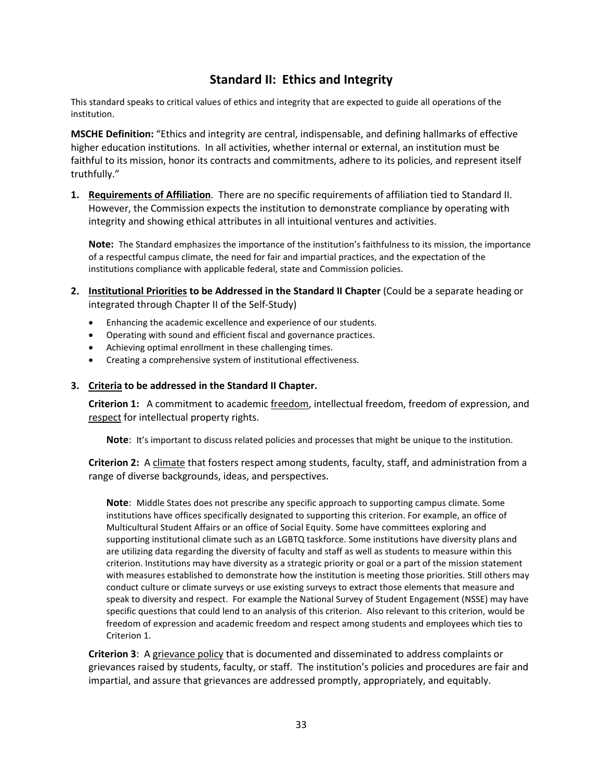# **Standard II: Ethics and Integrity**

This standard speaks to critical values of ethics and integrity that are expected to guide all operations of the institution.

**MSCHE Definition:** "Ethics and integrity are central, indispensable, and defining hallmarks of effective higher education institutions. In all activities, whether internal or external, an institution must be faithful to its mission, honor its contracts and commitments, adhere to its policies, and represent itself truthfully."

**1. Requirements of Affiliation**. There are no specific requirements of affiliation tied to Standard II. However, the Commission expects the institution to demonstrate compliance by operating with integrity and showing ethical attributes in all intuitional ventures and activities.

**Note:** The Standard emphasizes the importance of the institution's faithfulness to its mission, the importance of a respectful campus climate, the need for fair and impartial practices, and the expectation of the institutions compliance with applicable federal, state and Commission policies.

- **2. Institutional Priorities to be Addressed in the Standard II Chapter** (Could be a separate heading or integrated through Chapter II of the Self-Study)
	- Enhancing the academic excellence and experience of our students.
	- Operating with sound and efficient fiscal and governance practices.
	- Achieving optimal enrollment in these challenging times.
	- Creating a comprehensive system of institutional effectiveness.

## **3. Criteria to be addressed in the Standard II Chapter.**

**Criterion 1:** A commitment to academic freedom, intellectual freedom, freedom of expression, and respect for intellectual property rights.

**Note**: It's important to discuss related policies and processes that might be unique to the institution.

**Criterion 2:** A climate that fosters respect among students, faculty, staff, and administration from a range of diverse backgrounds, ideas, and perspectives.

**Note**: Middle States does not prescribe any specific approach to supporting campus climate. Some institutions have offices specifically designated to supporting this criterion. For example, an office of Multicultural Student Affairs or an office of Social Equity. Some have committees exploring and supporting institutional climate such as an LGBTQ taskforce. Some institutions have diversity plans and are utilizing data regarding the diversity of faculty and staff as well as students to measure within this criterion. Institutions may have diversity as a strategic priority or goal or a part of the mission statement with measures established to demonstrate how the institution is meeting those priorities. Still others may conduct culture or climate surveys or use existing surveys to extract those elements that measure and speak to diversity and respect. For example the National Survey of Student Engagement (NSSE) may have specific questions that could lend to an analysis of this criterion. Also relevant to this criterion, would be freedom of expression and academic freedom and respect among students and employees which ties to Criterion 1.

**Criterion 3**: A grievance policy that is documented and disseminated to address complaints or grievances raised by students, faculty, or staff. The institution's policies and procedures are fair and impartial, and assure that grievances are addressed promptly, appropriately, and equitably.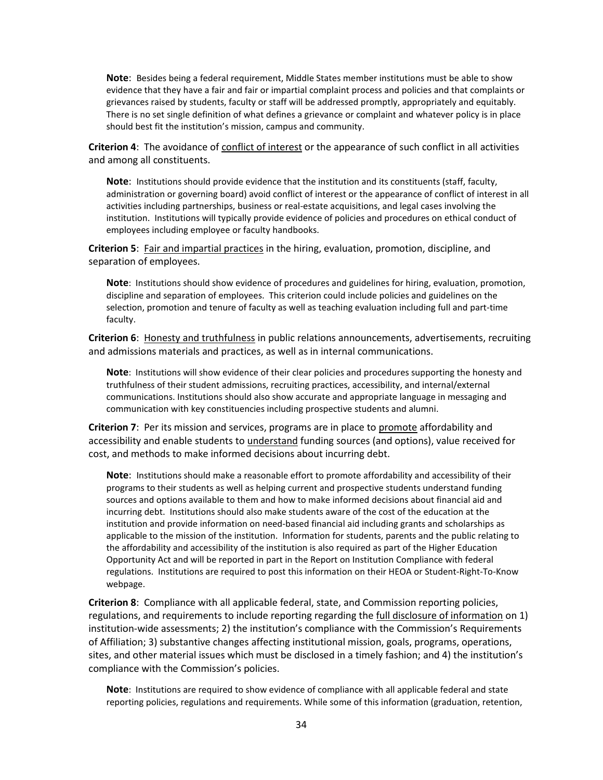**Note**: Besides being a federal requirement, Middle States member institutions must be able to show evidence that they have a fair and fair or impartial complaint process and policies and that complaints or grievances raised by students, faculty or staff will be addressed promptly, appropriately and equitably. There is no set single definition of what defines a grievance or complaint and whatever policy is in place should best fit the institution's mission, campus and community.

**Criterion 4**: The avoidance of conflict of interest or the appearance of such conflict in all activities and among all constituents.

**Note**: Institutions should provide evidence that the institution and its constituents (staff, faculty, administration or governing board) avoid conflict of interest or the appearance of conflict of interest in all activities including partnerships, business or real-estate acquisitions, and legal cases involving the institution. Institutions will typically provide evidence of policies and procedures on ethical conduct of employees including employee or faculty handbooks.

**Criterion 5**: Fair and impartial practices in the hiring, evaluation, promotion, discipline, and separation of employees.

**Note**: Institutions should show evidence of procedures and guidelines for hiring, evaluation, promotion, discipline and separation of employees. This criterion could include policies and guidelines on the selection, promotion and tenure of faculty as well as teaching evaluation including full and part-time faculty.

**Criterion 6**: Honesty and truthfulness in public relations announcements, advertisements, recruiting and admissions materials and practices, as well as in internal communications.

**Note**: Institutions will show evidence of their clear policies and procedures supporting the honesty and truthfulness of their student admissions, recruiting practices, accessibility, and internal/external communications. Institutions should also show accurate and appropriate language in messaging and communication with key constituencies including prospective students and alumni.

**Criterion 7**: Per its mission and services, programs are in place to promote affordability and accessibility and enable students to understand funding sources (and options), value received for cost, and methods to make informed decisions about incurring debt.

**Note**: Institutions should make a reasonable effort to promote affordability and accessibility of their programs to their students as well as helping current and prospective students understand funding sources and options available to them and how to make informed decisions about financial aid and incurring debt. Institutions should also make students aware of the cost of the education at the institution and provide information on need-based financial aid including grants and scholarships as applicable to the mission of the institution. Information for students, parents and the public relating to the affordability and accessibility of the institution is also required as part of the Higher Education Opportunity Act and will be reported in part in the Report on Institution Compliance with federal regulations. Institutions are required to post this information on their HEOA or Student-Right-To-Know webpage.

**Criterion 8**: Compliance with all applicable federal, state, and Commission reporting policies, regulations, and requirements to include reporting regarding the full disclosure of information on 1) institution-wide assessments; 2) the institution's compliance with the Commission's Requirements of Affiliation; 3) substantive changes affecting institutional mission, goals, programs, operations, sites, and other material issues which must be disclosed in a timely fashion; and 4) the institution's compliance with the Commission's policies.

**Note**: Institutions are required to show evidence of compliance with all applicable federal and state reporting policies, regulations and requirements. While some of this information (graduation, retention,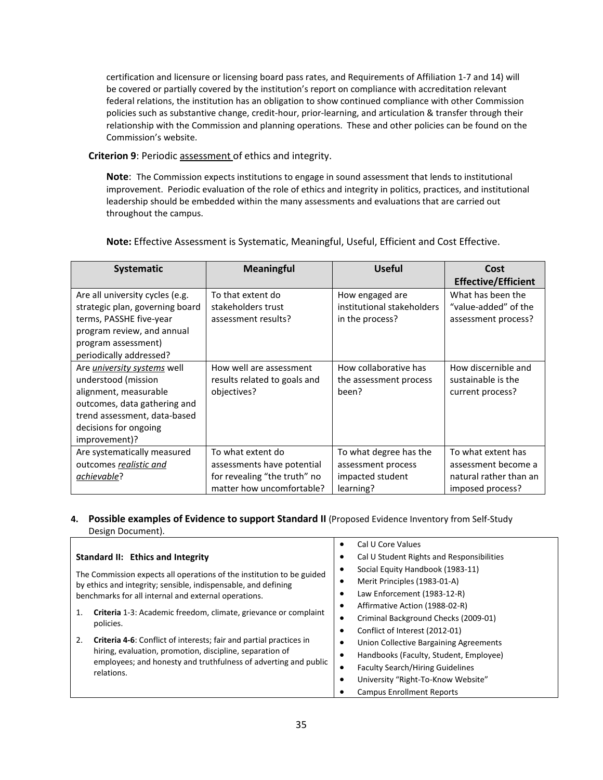certification and licensure or licensing board pass rates, and Requirements of Affiliation 1-7 and 14) will be covered or partially covered by the institution's report on compliance with accreditation relevant federal relations, the institution has an obligation to show continued compliance with other Commission policies such as substantive change, credit-hour, prior-learning, and articulation & transfer through their relationship with the Commission and planning operations. These and other policies can be found on the Commission's website.

## **Criterion 9**: Periodic assessment of ethics and integrity.

**Note**: The Commission expects institutions to engage in sound assessment that lends to institutional improvement. Periodic evaluation of the role of ethics and integrity in politics, practices, and institutional leadership should be embedded within the many assessments and evaluations that are carried out throughout the campus.

| <b>Systematic</b>                  | <b>Meaningful</b>            | <b>Useful</b>              | Cost                       |
|------------------------------------|------------------------------|----------------------------|----------------------------|
|                                    |                              |                            | <b>Effective/Efficient</b> |
| Are all university cycles (e.g.    | To that extent do            | How engaged are            | What has been the          |
| strategic plan, governing board    | stakeholders trust           | institutional stakeholders | "value-added" of the       |
| terms, PASSHE five-year            | assessment results?          | in the process?            | assessment process?        |
| program review, and annual         |                              |                            |                            |
| program assessment)                |                              |                            |                            |
| periodically addressed?            |                              |                            |                            |
| Are <i>university systems</i> well | How well are assessment      | How collaborative has      | How discernible and        |
| understood (mission                | results related to goals and | the assessment process     | sustainable is the         |
| alignment, measurable              | objectives?                  | been?                      | current process?           |
| outcomes, data gathering and       |                              |                            |                            |
| trend assessment, data-based       |                              |                            |                            |
| decisions for ongoing              |                              |                            |                            |
| improvement)?                      |                              |                            |                            |
| Are systematically measured        | To what extent do            | To what degree has the     | To what extent has         |
| outcomes realistic and             | assessments have potential   | assessment process         | assessment become a        |
| achievable?                        | for revealing "the truth" no | impacted student           | natural rather than an     |
|                                    | matter how uncomfortable?    | learning?                  | imposed process?           |

**Note:** Effective Assessment is Systematic, Meaningful, Useful, Efficient and Cost Effective.

## **4.** Possible examples of Evidence to support Standard II (Proposed Evidence Inventory from Self-Study Design Document).

|                                                                                     | Cal U Core Values<br>٠                               |
|-------------------------------------------------------------------------------------|------------------------------------------------------|
| Standard II: Ethics and Integrity                                                   | Cal U Student Rights and Responsibilities<br>٠       |
| The Commission expects all operations of the institution to be guided               | Social Equity Handbook (1983-11)<br>٠                |
| by ethics and integrity; sensible, indispensable, and defining                      | Merit Principles (1983-01-A)<br>٠                    |
| benchmarks for all internal and external operations.                                | Law Enforcement (1983-12-R)<br>٠                     |
| <b>Criteria</b> 1-3: Academic freedom, climate, grievance or complaint<br>policies. | Affirmative Action (1988-02-R)<br>٠                  |
|                                                                                     | Criminal Background Checks (2009-01)<br>٠            |
|                                                                                     | Conflict of Interest (2012-01)<br>٠                  |
| <b>Criteria 4-6:</b> Conflict of interests; fair and partial practices in<br>2.     | Union Collective Bargaining Agreements<br>٠          |
| hiring, evaluation, promotion, discipline, separation of                            | Handbooks (Faculty, Student, Employee)<br>٠          |
| employees; and honesty and truthfulness of adverting and public<br>relations.       | <b>Faculty Search/Hiring Guidelines</b><br>$\bullet$ |
|                                                                                     | University "Right-To-Know Website"                   |
|                                                                                     | <b>Campus Enrollment Reports</b>                     |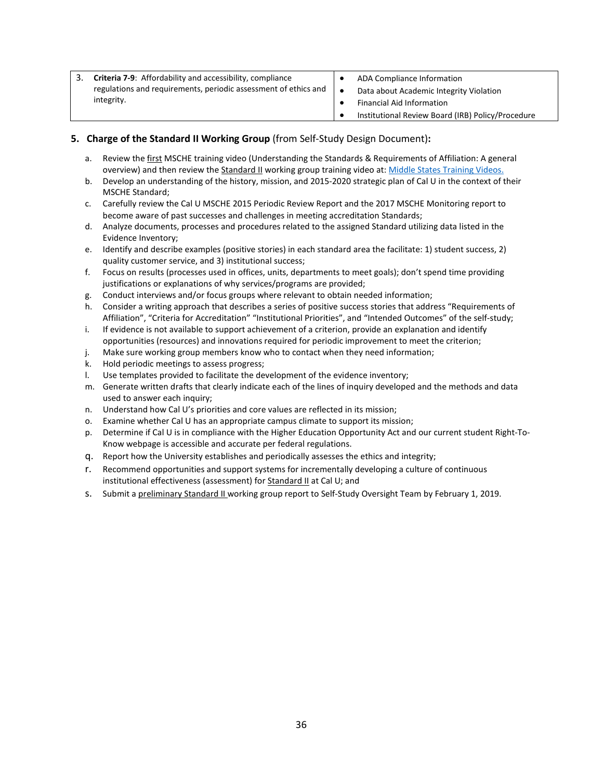| Criteria 7-9: Affordability and accessibility, compliance<br>integrity. | regulations and requirements, periodic assessment of ethics and | ADA Compliance Information<br>Data about Academic Integrity Violation |
|-------------------------------------------------------------------------|-----------------------------------------------------------------|-----------------------------------------------------------------------|
|                                                                         | Financial Aid Information                                       |                                                                       |
|                                                                         |                                                                 | Institutional Review Board (IRB) Policy/Procedure                     |

## **5. Charge of the Standard II Working Group** (from Self-Study Design Document)**:**

- a. Review the first MSCHE training video (Understanding the Standards & Requirements of Affiliation: A general overview) and then review the Standard II working group training video at[: Middle States Training Videos.](https://www.msche.org/?Nav1=EVALUATORS&Nav2=TRAININGMATERIALS&Nav3=VIDEOS&strPageName=VIDEOS)
- b. Develop an understanding of the history, mission, and 2015-2020 strategic plan of Cal U in the context of their MSCHE Standard;
- c. Carefully review the Cal U MSCHE 2015 Periodic Review Report and the 2017 MSCHE Monitoring report to become aware of past successes and challenges in meeting accreditation Standards;
- d. Analyze documents, processes and procedures related to the assigned Standard utilizing data listed in the Evidence Inventory;
- e. Identify and describe examples (positive stories) in each standard area the facilitate: 1) student success, 2) quality customer service, and 3) institutional success;
- f. Focus on results (processes used in offices, units, departments to meet goals); don't spend time providing justifications or explanations of why services/programs are provided;
- g. Conduct interviews and/or focus groups where relevant to obtain needed information;
- h. Consider a writing approach that describes a series of positive success stories that address "Requirements of Affiliation", "Criteria for Accreditation" "Institutional Priorities", and "Intended Outcomes" of the self-study;
- i. If evidence is not available to support achievement of a criterion, provide an explanation and identify opportunities (resources) and innovations required for periodic improvement to meet the criterion;
- j. Make sure working group members know who to contact when they need information;
- k. Hold periodic meetings to assess progress;
- l. Use templates provided to facilitate the development of the evidence inventory;
- m. Generate written drafts that clearly indicate each of the lines of inquiry developed and the methods and data used to answer each inquiry:
- n. Understand how Cal U's priorities and core values are reflected in its mission;
- o. Examine whether Cal U has an appropriate campus climate to support its mission;
- p. Determine if Cal U is in compliance with the Higher Education Opportunity Act and our current student Right-To-Know webpage is accessible and accurate per federal regulations.
- q. Report how the University establishes and periodically assesses the ethics and integrity;
- r. Recommend opportunities and support systems for incrementally developing a culture of continuous institutional effectiveness (assessment) for **Standard II** at Cal U; and
- s. Submit a preliminary Standard II working group report to Self-Study Oversight Team by February 1, 2019.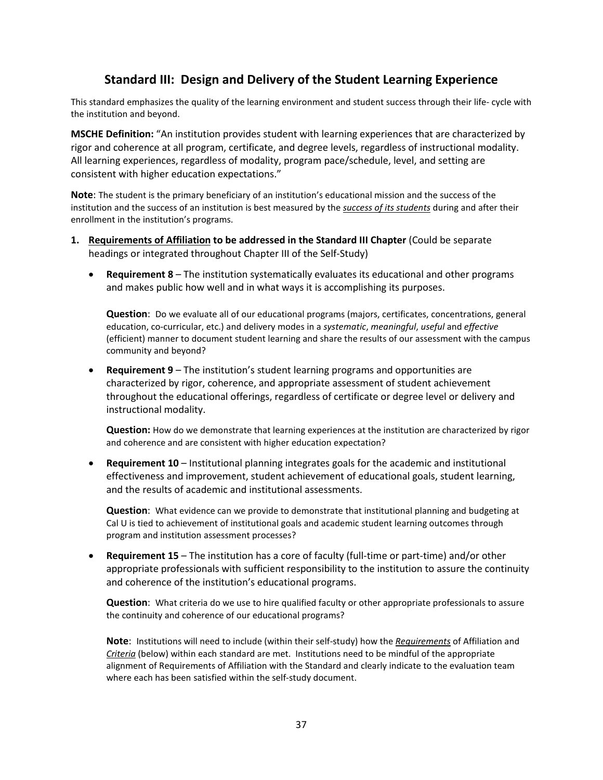# **Standard III: Design and Delivery of the Student Learning Experience**

This standard emphasizes the quality of the learning environment and student success through their life- cycle with the institution and beyond.

**MSCHE Definition:** "An institution provides student with learning experiences that are characterized by rigor and coherence at all program, certificate, and degree levels, regardless of instructional modality. All learning experiences, regardless of modality, program pace/schedule, level, and setting are consistent with higher education expectations."

**Note**: The student is the primary beneficiary of an institution's educational mission and the success of the institution and the success of an institution is best measured by the *success of its students* during and after their enrollment in the institution's programs.

- **1. Requirements of Affiliation to be addressed in the Standard III Chapter** (Could be separate headings or integrated throughout Chapter III of the Self-Study)
	- **Requirement 8** The institution systematically evaluates its educational and other programs and makes public how well and in what ways it is accomplishing its purposes.

**Question**: Do we evaluate all of our educational programs (majors, certificates, concentrations, general education, co-curricular, etc.) and delivery modes in a *systematic*, *meaningful*, *useful* and *effective*  (efficient) manner to document student learning and share the results of our assessment with the campus community and beyond?

• **Requirement 9** – The institution's student learning programs and opportunities are characterized by rigor, coherence, and appropriate assessment of student achievement throughout the educational offerings, regardless of certificate or degree level or delivery and instructional modality.

**Question:** How do we demonstrate that learning experiences at the institution are characterized by rigor and coherence and are consistent with higher education expectation?

• **Requirement 10** – Institutional planning integrates goals for the academic and institutional effectiveness and improvement, student achievement of educational goals, student learning, and the results of academic and institutional assessments.

**Question**: What evidence can we provide to demonstrate that institutional planning and budgeting at Cal U is tied to achievement of institutional goals and academic student learning outcomes through program and institution assessment processes?

• **Requirement 15** – The institution has a core of faculty (full-time or part-time) and/or other appropriate professionals with sufficient responsibility to the institution to assure the continuity and coherence of the institution's educational programs.

**Question**: What criteria do we use to hire qualified faculty or other appropriate professionals to assure the continuity and coherence of our educational programs?

**Note**: Institutions will need to include (within their self-study) how the *Requirements* of Affiliation and *Criteria* (below) within each standard are met. Institutions need to be mindful of the appropriate alignment of Requirements of Affiliation with the Standard and clearly indicate to the evaluation team where each has been satisfied within the self-study document.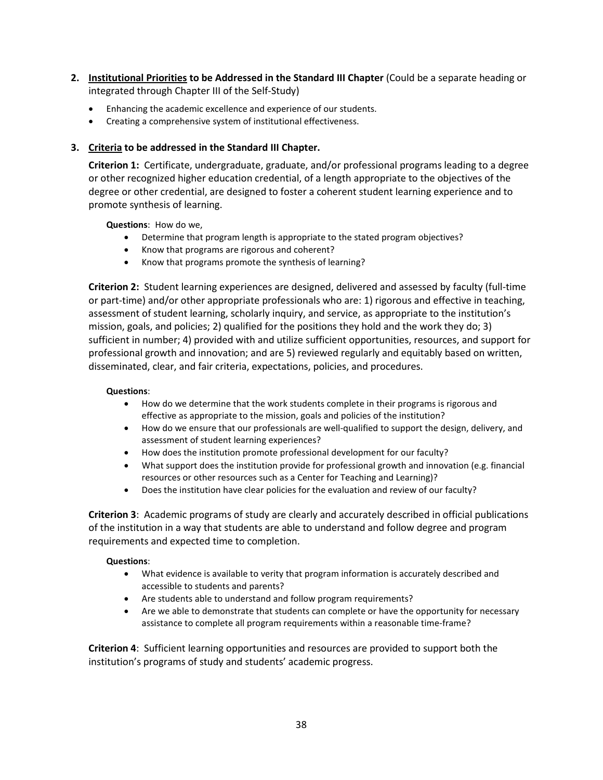- **2. Institutional Priorities to be Addressed in the Standard III Chapter** (Could be a separate heading or integrated through Chapter III of the Self-Study)
	- Enhancing the academic excellence and experience of our students.
	- Creating a comprehensive system of institutional effectiveness.

## **3. Criteria to be addressed in the Standard III Chapter.**

**Criterion 1:** Certificate, undergraduate, graduate, and/or professional programs leading to a degree or other recognized higher education credential, of a length appropriate to the objectives of the degree or other credential, are designed to foster a coherent student learning experience and to promote synthesis of learning.

**Questions**: How do we,

- Determine that program length is appropriate to the stated program objectives?
- Know that programs are rigorous and coherent?
- Know that programs promote the synthesis of learning?

**Criterion 2:** Student learning experiences are designed, delivered and assessed by faculty (full-time or part-time) and/or other appropriate professionals who are: 1) rigorous and effective in teaching, assessment of student learning, scholarly inquiry, and service, as appropriate to the institution's mission, goals, and policies; 2) qualified for the positions they hold and the work they do; 3) sufficient in number; 4) provided with and utilize sufficient opportunities, resources, and support for professional growth and innovation; and are 5) reviewed regularly and equitably based on written, disseminated, clear, and fair criteria, expectations, policies, and procedures.

## **Questions**:

- How do we determine that the work students complete in their programs is rigorous and effective as appropriate to the mission, goals and policies of the institution?
- How do we ensure that our professionals are well-qualified to support the design, delivery, and assessment of student learning experiences?
- How does the institution promote professional development for our faculty?
- What support does the institution provide for professional growth and innovation (e.g. financial resources or other resources such as a Center for Teaching and Learning)?
- Does the institution have clear policies for the evaluation and review of our faculty?

**Criterion 3**: Academic programs of study are clearly and accurately described in official publications of the institution in a way that students are able to understand and follow degree and program requirements and expected time to completion.

## **Questions**:

- What evidence is available to verity that program information is accurately described and accessible to students and parents?
- Are students able to understand and follow program requirements?
- Are we able to demonstrate that students can complete or have the opportunity for necessary assistance to complete all program requirements within a reasonable time-frame?

**Criterion 4**: Sufficient learning opportunities and resources are provided to support both the institution's programs of study and students' academic progress.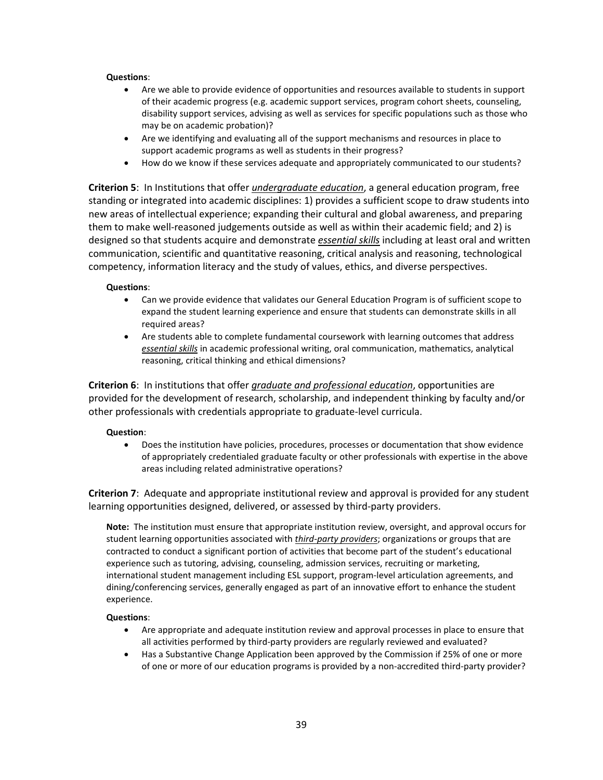## **Questions**:

- Are we able to provide evidence of opportunities and resources available to students in support of their academic progress (e.g. academic support services, program cohort sheets, counseling, disability support services, advising as well as services for specific populations such as those who may be on academic probation)?
- Are we identifying and evaluating all of the support mechanisms and resources in place to support academic programs as well as students in their progress?
- How do we know if these services adequate and appropriately communicated to our students?

**Criterion 5**: In Institutions that offer *undergraduate education*, a general education program, free standing or integrated into academic disciplines: 1) provides a sufficient scope to draw students into new areas of intellectual experience; expanding their cultural and global awareness, and preparing them to make well-reasoned judgements outside as well as within their academic field; and 2) is designed so that students acquire and demonstrate *essential skills* including at least oral and written communication, scientific and quantitative reasoning, critical analysis and reasoning, technological competency, information literacy and the study of values, ethics, and diverse perspectives.

## **Questions**:

- Can we provide evidence that validates our General Education Program is of sufficient scope to expand the student learning experience and ensure that students can demonstrate skills in all required areas?
- Are students able to complete fundamental coursework with learning outcomes that address *essential skills* in academic professional writing, oral communication, mathematics, analytical reasoning, critical thinking and ethical dimensions?

**Criterion 6**: In institutions that offer *graduate and professional education*, opportunities are provided for the development of research, scholarship, and independent thinking by faculty and/or other professionals with credentials appropriate to graduate-level curricula.

## **Question**:

• Does the institution have policies, procedures, processes or documentation that show evidence of appropriately credentialed graduate faculty or other professionals with expertise in the above areas including related administrative operations?

**Criterion 7**: Adequate and appropriate institutional review and approval is provided for any student learning opportunities designed, delivered, or assessed by third-party providers.

**Note:** The institution must ensure that appropriate institution review, oversight, and approval occurs for student learning opportunities associated with *third-party providers*; organizations or groups that are contracted to conduct a significant portion of activities that become part of the student's educational experience such as tutoring, advising, counseling, admission services, recruiting or marketing, international student management including ESL support, program-level articulation agreements, and dining/conferencing services, generally engaged as part of an innovative effort to enhance the student experience.

#### **Questions**:

- Are appropriate and adequate institution review and approval processes in place to ensure that all activities performed by third-party providers are regularly reviewed and evaluated?
- Has a Substantive Change Application been approved by the Commission if 25% of one or more of one or more of our education programs is provided by a non-accredited third-party provider?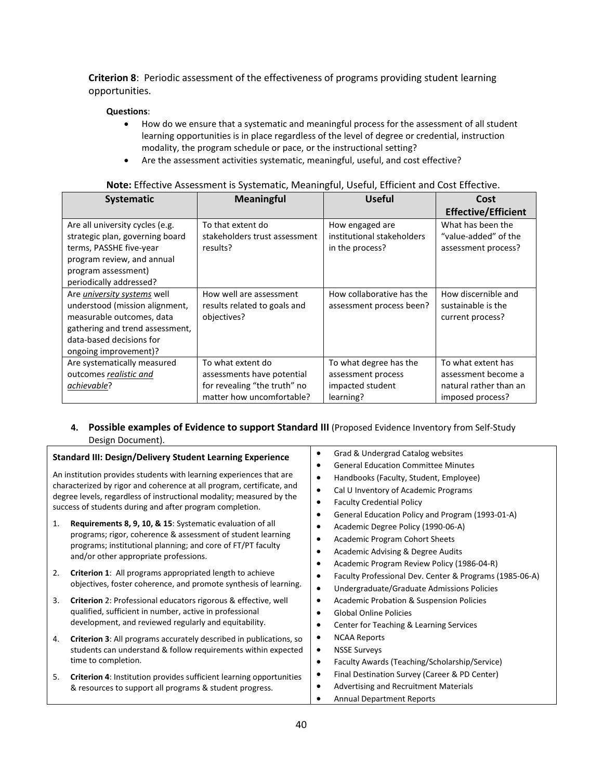**Criterion 8**: Periodic assessment of the effectiveness of programs providing student learning opportunities.

## **Questions**:

- How do we ensure that a systematic and meaningful process for the assessment of all student learning opportunities is in place regardless of the level of degree or credential, instruction modality, the program schedule or pace, or the instructional setting?
- Are the assessment activities systematic, meaningful, useful, and cost effective?

| Systematic                      | <b>Meaningful</b>             | <b>Useful</b>              | Cost                       |
|---------------------------------|-------------------------------|----------------------------|----------------------------|
|                                 |                               |                            | <b>Effective/Efficient</b> |
| Are all university cycles (e.g. | To that extent do             | How engaged are            | What has been the          |
| strategic plan, governing board | stakeholders trust assessment | institutional stakeholders | "value-added" of the       |
| terms, PASSHE five-year         | results?                      | in the process?            | assessment process?        |
| program review, and annual      |                               |                            |                            |
| program assessment)             |                               |                            |                            |
| periodically addressed?         |                               |                            |                            |
| Are university systems well     | How well are assessment       | How collaborative has the  | How discernible and        |
| understood (mission alignment,  | results related to goals and  | assessment process been?   | sustainable is the         |
| measurable outcomes, data       | objectives?                   |                            | current process?           |
| gathering and trend assessment, |                               |                            |                            |
| data-based decisions for        |                               |                            |                            |
| ongoing improvement)?           |                               |                            |                            |
| Are systematically measured     | To what extent do             | To what degree has the     | To what extent has         |
| outcomes realistic and          | assessments have potential    | assessment process         | assessment become a        |
| achievable?                     | for revealing "the truth" no  | impacted student           | natural rather than an     |
|                                 | matter how uncomfortable?     | learning?                  | imposed process?           |

## **Note:** Effective Assessment is Systematic, Meaningful, Useful, Efficient and Cost Effective.

## **4. Possible examples of Evidence to support Standard III** (Proposed Evidence Inventory from Self-Study Design Document).

| <b>Standard III: Design/Delivery Student Learning Experience</b>                                                                                                                                                                                                                 | Grad & Undergrad Catalog websites<br><b>General Education Committee Minutes</b><br>٠                                                                                                                                       |
|----------------------------------------------------------------------------------------------------------------------------------------------------------------------------------------------------------------------------------------------------------------------------------|----------------------------------------------------------------------------------------------------------------------------------------------------------------------------------------------------------------------------|
| An institution provides students with learning experiences that are<br>characterized by rigor and coherence at all program, certificate, and<br>degree levels, regardless of instructional modality; measured by the<br>success of students during and after program completion. | Handbooks (Faculty, Student, Employee)<br>$\bullet$<br>Cal U Inventory of Academic Programs<br>$\bullet$<br><b>Faculty Credential Policy</b><br>$\bullet$<br>General Education Policy and Program (1993-01-A)<br>$\bullet$ |
| Requirements 8, 9, 10, & 15: Systematic evaluation of all<br>1.<br>programs; rigor, coherence & assessment of student learning<br>programs; institutional planning; and core of FT/PT faculty<br>and/or other appropriate professions.                                           | Academic Degree Policy (1990-06-A)<br>٠<br><b>Academic Program Cohort Sheets</b><br>$\bullet$<br>Academic Advising & Degree Audits<br>$\bullet$<br>Academic Program Review Policy (1986-04-R)<br>٠                         |
| Criterion 1: All programs appropriated length to achieve<br>2.<br>objectives, foster coherence, and promote synthesis of learning.                                                                                                                                               | Faculty Professional Dev. Center & Programs (1985-06-A)<br>$\bullet$<br>Undergraduate/Graduate Admissions Policies<br>$\bullet$                                                                                            |
| 3.<br>Criterion 2: Professional educators rigorous & effective, well<br>qualified, sufficient in number, active in professional<br>development, and reviewed regularly and equitability.                                                                                         | <b>Academic Probation &amp; Suspension Policies</b><br>٠<br><b>Global Online Policies</b><br>$\bullet$<br>Center for Teaching & Learning Services<br>٠                                                                     |
| Criterion 3: All programs accurately described in publications, so<br>4.<br>students can understand & follow requirements within expected<br>time to completion.                                                                                                                 | <b>NCAA Reports</b><br>$\bullet$<br><b>NSSE Surveys</b><br>$\bullet$<br>Faculty Awards (Teaching/Scholarship/Service)<br>$\bullet$                                                                                         |
| Criterion 4: Institution provides sufficient learning opportunities<br>5.<br>& resources to support all programs & student progress.                                                                                                                                             | Final Destination Survey (Career & PD Center)<br>٠<br><b>Advertising and Recruitment Materials</b><br>٠<br><b>Annual Department Reports</b>                                                                                |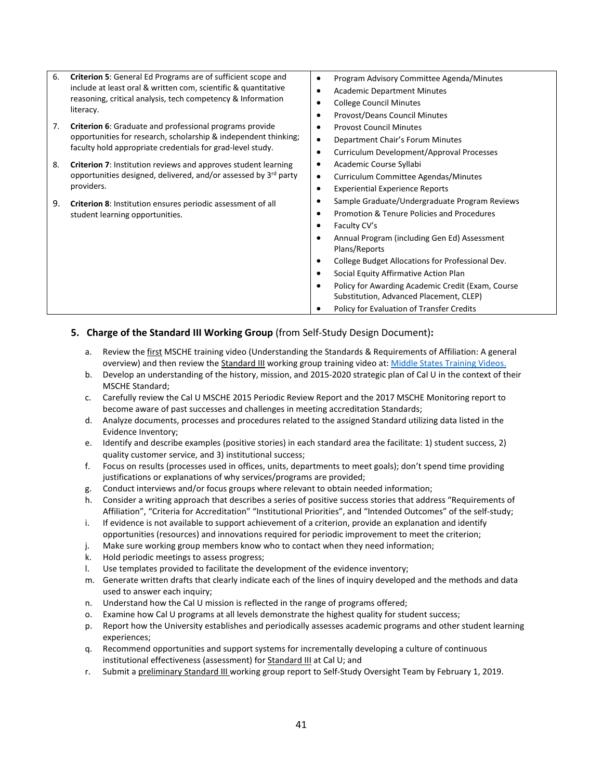| 6.                                                                                | <b>Criterion 5:</b> General Ed Programs are of sufficient scope and<br>include at least oral & written com, scientific & quantitative<br>reasoning, critical analysis, tech competency & Information |                                                                        | Program Advisory Committee Agenda/Minutes<br><b>Academic Department Minutes</b><br><b>College Council Minutes</b> |
|-----------------------------------------------------------------------------------|------------------------------------------------------------------------------------------------------------------------------------------------------------------------------------------------------|------------------------------------------------------------------------|-------------------------------------------------------------------------------------------------------------------|
| literacy.<br>7.<br><b>Criterion 6:</b> Graduate and professional programs provide | ٠<br>$\bullet$                                                                                                                                                                                       | <b>Provost/Deans Council Minutes</b><br><b>Provost Council Minutes</b> |                                                                                                                   |
|                                                                                   | opportunities for research, scholarship & independent thinking;<br>faculty hold appropriate credentials for grad-level study.                                                                        | $\bullet$<br>$\bullet$                                                 | Department Chair's Forum Minutes<br>Curriculum Development/Approval Processes                                     |
|                                                                                   | 8.<br><b>Criterion 7:</b> Institution reviews and approves student learning<br>opportunities designed, delivered, and/or assessed by 3rd party<br>providers.                                         | ٠<br>$\bullet$<br>$\bullet$                                            | Academic Course Syllabi<br>Curriculum Committee Agendas/Minutes<br><b>Experiential Experience Reports</b>         |
| 9.                                                                                | Criterion 8: Institution ensures periodic assessment of all<br>student learning opportunities.                                                                                                       | ٠<br>$\bullet$<br>$\bullet$                                            | Sample Graduate/Undergraduate Program Reviews<br>Promotion & Tenure Policies and Procedures<br>Faculty CV's       |
|                                                                                   |                                                                                                                                                                                                      | $\bullet$                                                              | Annual Program (including Gen Ed) Assessment<br>Plans/Reports                                                     |
|                                                                                   |                                                                                                                                                                                                      | $\bullet$<br>٠                                                         | College Budget Allocations for Professional Dev.<br>Social Equity Affirmative Action Plan                         |
|                                                                                   |                                                                                                                                                                                                      | $\bullet$                                                              | Policy for Awarding Academic Credit (Exam, Course<br>Substitution, Advanced Placement, CLEP)                      |
|                                                                                   |                                                                                                                                                                                                      | ٠                                                                      | Policy for Evaluation of Transfer Credits                                                                         |

## **5. Charge of the Standard III Working Group** (from Self-Study Design Document)**:**

- a. Review the first MSCHE training video (Understanding the Standards & Requirements of Affiliation: A general overview) and then review the Standard III working group training video at: Middle States Training Videos.
- b. Develop an understanding of the history, mission, and 2015-2020 strategic plan of Cal U in the context of their MSCHE Standard;
- c. Carefully review the Cal U MSCHE 2015 Periodic Review Report and the 2017 MSCHE Monitoring report to become aware of past successes and challenges in meeting accreditation Standards;
- d. Analyze documents, processes and procedures related to the assigned Standard utilizing data listed in the Evidence Inventory;
- e. Identify and describe examples (positive stories) in each standard area the facilitate: 1) student success, 2) quality customer service, and 3) institutional success;
- f. Focus on results (processes used in offices, units, departments to meet goals); don't spend time providing justifications or explanations of why services/programs are provided;
- g. Conduct interviews and/or focus groups where relevant to obtain needed information;
- h. Consider a writing approach that describes a series of positive success stories that address "Requirements of Affiliation", "Criteria for Accreditation" "Institutional Priorities", and "Intended Outcomes" of the self-study;
- i. If evidence is not available to support achievement of a criterion, provide an explanation and identify opportunities (resources) and innovations required for periodic improvement to meet the criterion;
- j. Make sure working group members know who to contact when they need information;
- k. Hold periodic meetings to assess progress;
- l. Use templates provided to facilitate the development of the evidence inventory;
- m. Generate written drafts that clearly indicate each of the lines of inquiry developed and the methods and data used to answer each inquiry;
- n. Understand how the Cal U mission is reflected in the range of programs offered;
- o. Examine how Cal U programs at all levels demonstrate the highest quality for student success;
- p. Report how the University establishes and periodically assesses academic programs and other student learning experiences;
- q. Recommend opportunities and support systems for incrementally developing a culture of continuous institutional effectiveness (assessment) for Standard III at Cal U; and
- r. Submit a preliminary Standard III working group report to Self-Study Oversight Team by February 1, 2019.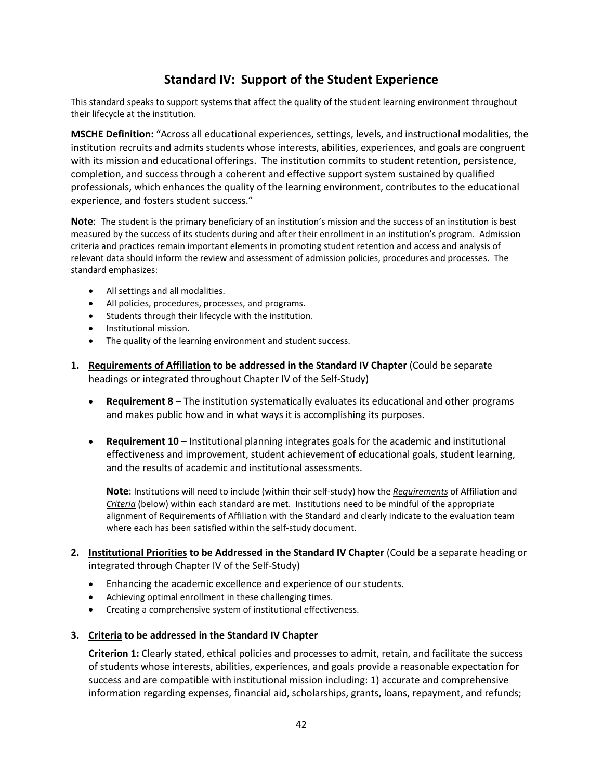# **Standard IV: Support of the Student Experience**

This standard speaks to support systems that affect the quality of the student learning environment throughout their lifecycle at the institution.

**MSCHE Definition:** "Across all educational experiences, settings, levels, and instructional modalities, the institution recruits and admits students whose interests, abilities, experiences, and goals are congruent with its mission and educational offerings. The institution commits to student retention, persistence, completion, and success through a coherent and effective support system sustained by qualified professionals, which enhances the quality of the learning environment, contributes to the educational experience, and fosters student success."

**Note**: The student is the primary beneficiary of an institution's mission and the success of an institution is best measured by the success of its students during and after their enrollment in an institution's program. Admission criteria and practices remain important elements in promoting student retention and access and analysis of relevant data should inform the review and assessment of admission policies, procedures and processes. The standard emphasizes:

- All settings and all modalities.
- All policies, procedures, processes, and programs.
- Students through their lifecycle with the institution.
- Institutional mission.
- The quality of the learning environment and student success.
- **1. Requirements of Affiliation to be addressed in the Standard IV Chapter** (Could be separate headings or integrated throughout Chapter IV of the Self-Study)
	- **Requirement 8**  The institution systematically evaluates its educational and other programs and makes public how and in what ways it is accomplishing its purposes.
	- **Requirement 10** Institutional planning integrates goals for the academic and institutional effectiveness and improvement, student achievement of educational goals, student learning, and the results of academic and institutional assessments.

**Note**: Institutions will need to include (within their self-study) how the *Requirements* of Affiliation and *Criteria* (below) within each standard are met. Institutions need to be mindful of the appropriate alignment of Requirements of Affiliation with the Standard and clearly indicate to the evaluation team where each has been satisfied within the self-study document.

- **2. Institutional Priorities to be Addressed in the Standard IV Chapter** (Could be a separate heading or integrated through Chapter IV of the Self-Study)
	- Enhancing the academic excellence and experience of our students.
	- Achieving optimal enrollment in these challenging times.
	- Creating a comprehensive system of institutional effectiveness.
- **3. Criteria to be addressed in the Standard IV Chapter**

**Criterion 1:** Clearly stated, ethical policies and processes to admit, retain, and facilitate the success of students whose interests, abilities, experiences, and goals provide a reasonable expectation for success and are compatible with institutional mission including: 1) accurate and comprehensive information regarding expenses, financial aid, scholarships, grants, loans, repayment, and refunds;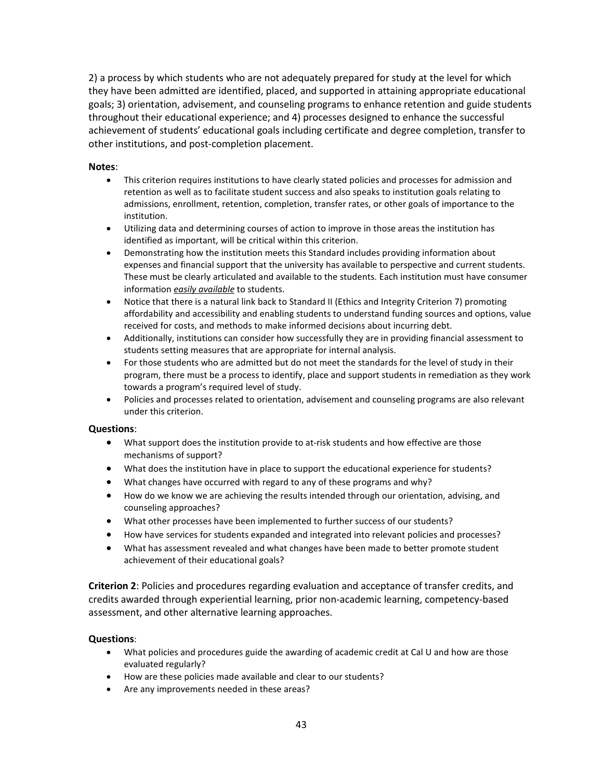2) a process by which students who are not adequately prepared for study at the level for which they have been admitted are identified, placed, and supported in attaining appropriate educational goals; 3) orientation, advisement, and counseling programs to enhance retention and guide students throughout their educational experience; and 4) processes designed to enhance the successful achievement of students' educational goals including certificate and degree completion, transfer to other institutions, and post-completion placement.

## **Notes**:

- This criterion requires institutions to have clearly stated policies and processes for admission and retention as well as to facilitate student success and also speaks to institution goals relating to admissions, enrollment, retention, completion, transfer rates, or other goals of importance to the institution.
- Utilizing data and determining courses of action to improve in those areas the institution has identified as important, will be critical within this criterion.
- Demonstrating how the institution meets this Standard includes providing information about expenses and financial support that the university has available to perspective and current students. These must be clearly articulated and available to the students. Each institution must have consumer information *easily available* to students.
- Notice that there is a natural link back to Standard II (Ethics and Integrity Criterion 7) promoting affordability and accessibility and enabling students to understand funding sources and options, value received for costs, and methods to make informed decisions about incurring debt.
- Additionally, institutions can consider how successfully they are in providing financial assessment to students setting measures that are appropriate for internal analysis.
- For those students who are admitted but do not meet the standards for the level of study in their program, there must be a process to identify, place and support students in remediation as they work towards a program's required level of study.
- Policies and processes related to orientation, advisement and counseling programs are also relevant under this criterion.

## **Questions**:

- What support does the institution provide to at-risk students and how effective are those mechanisms of support?
- What does the institution have in place to support the educational experience for students?
- What changes have occurred with regard to any of these programs and why?
- How do we know we are achieving the results intended through our orientation, advising, and counseling approaches?
- What other processes have been implemented to further success of our students?
- How have services for students expanded and integrated into relevant policies and processes?
- What has assessment revealed and what changes have been made to better promote student achievement of their educational goals?

**Criterion 2**: Policies and procedures regarding evaluation and acceptance of transfer credits, and credits awarded through experiential learning, prior non-academic learning, competency-based assessment, and other alternative learning approaches.

## **Questions**:

- What policies and procedures guide the awarding of academic credit at Cal U and how are those evaluated regularly?
- How are these policies made available and clear to our students?
- Are any improvements needed in these areas?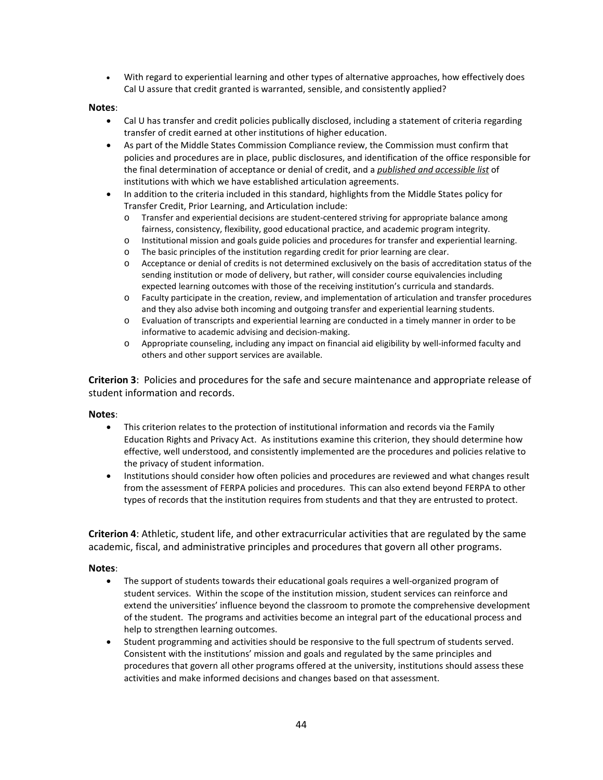• With regard to experiential learning and other types of alternative approaches, how effectively does Cal U assure that credit granted is warranted, sensible, and consistently applied?

## **Notes**:

- Cal U has transfer and credit policies publically disclosed, including a statement of criteria regarding transfer of credit earned at other institutions of higher education.
- As part of the Middle States Commission Compliance review, the Commission must confirm that policies and procedures are in place, public disclosures, and identification of the office responsible for the final determination of acceptance or denial of credit, and a *published and accessible list* of institutions with which we have established articulation agreements.
- In addition to the criteria included in this standard, highlights from the Middle States policy for Transfer Credit, Prior Learning, and Articulation include:
	- o Transfer and experiential decisions are student-centered striving for appropriate balance among fairness, consistency, flexibility, good educational practice, and academic program integrity.
	- o Institutional mission and goals guide policies and procedures for transfer and experiential learning.
	- o The basic principles of the institution regarding credit for prior learning are clear.
	- o Acceptance or denial of credits is not determined exclusively on the basis of accreditation status of the sending institution or mode of delivery, but rather, will consider course equivalencies including expected learning outcomes with those of the receiving institution's curricula and standards.
	- o Faculty participate in the creation, review, and implementation of articulation and transfer procedures and they also advise both incoming and outgoing transfer and experiential learning students.
	- o Evaluation of transcripts and experiential learning are conducted in a timely manner in order to be informative to academic advising and decision-making.
	- o Appropriate counseling, including any impact on financial aid eligibility by well-informed faculty and others and other support services are available.

**Criterion 3**: Policies and procedures for the safe and secure maintenance and appropriate release of student information and records.

#### **Notes**:

- This criterion relates to the protection of institutional information and records via the Family Education Rights and Privacy Act. As institutions examine this criterion, they should determine how effective, well understood, and consistently implemented are the procedures and policies relative to the privacy of student information.
- Institutions should consider how often policies and procedures are reviewed and what changes result from the assessment of FERPA policies and procedures. This can also extend beyond FERPA to other types of records that the institution requires from students and that they are entrusted to protect.

**Criterion 4**: Athletic, student life, and other extracurricular activities that are regulated by the same academic, fiscal, and administrative principles and procedures that govern all other programs.

- The support of students towards their educational goals requires a well-organized program of student services. Within the scope of the institution mission, student services can reinforce and extend the universities' influence beyond the classroom to promote the comprehensive development of the student. The programs and activities become an integral part of the educational process and help to strengthen learning outcomes.
- Student programming and activities should be responsive to the full spectrum of students served. Consistent with the institutions' mission and goals and regulated by the same principles and procedures that govern all other programs offered at the university, institutions should assess these activities and make informed decisions and changes based on that assessment.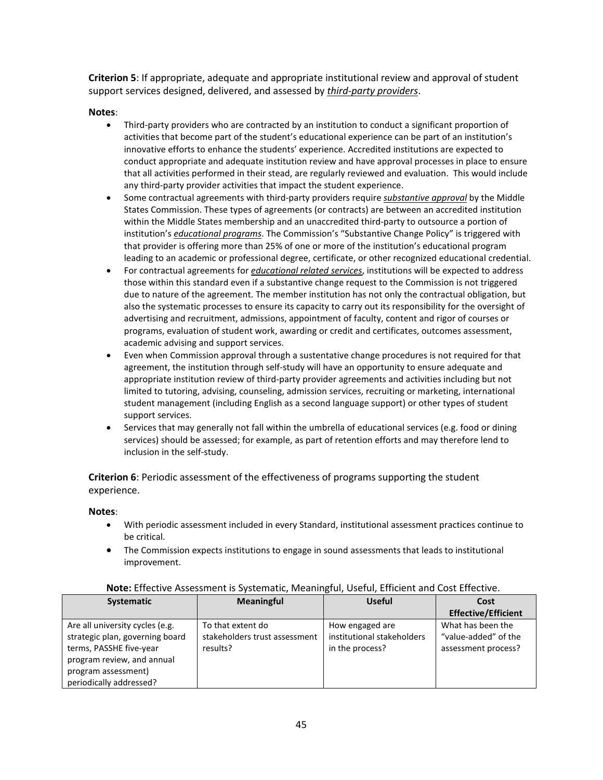**Criterion 5**: If appropriate, adequate and appropriate institutional review and approval of student support services designed, delivered, and assessed by *third-party providers*.

## **Notes**:

- Third-party providers who are contracted by an institution to conduct a significant proportion of activities that become part of the student's educational experience can be part of an institution's innovative efforts to enhance the students' experience. Accredited institutions are expected to conduct appropriate and adequate institution review and have approval processes in place to ensure that all activities performed in their stead, are regularly reviewed and evaluation. This would include any third-party provider activities that impact the student experience.
- Some contractual agreements with third-party providers require *substantive approval* by the Middle States Commission. These types of agreements (or contracts) are between an accredited institution within the Middle States membership and an unaccredited third-party to outsource a portion of institution's *educational programs*. The Commission's "Substantive Change Policy" is triggered with that provider is offering more than 25% of one or more of the institution's educational program leading to an academic or professional degree, certificate, or other recognized educational credential.
- For contractual agreements for *educational related services*, institutions will be expected to address those within this standard even if a substantive change request to the Commission is not triggered due to nature of the agreement. The member institution has not only the contractual obligation, but also the systematic processes to ensure its capacity to carry out its responsibility for the oversight of advertising and recruitment, admissions, appointment of faculty, content and rigor of courses or programs, evaluation of student work, awarding or credit and certificates, outcomes assessment, academic advising and support services.
- Even when Commission approval through a sustentative change procedures is not required for that agreement, the institution through self-study will have an opportunity to ensure adequate and appropriate institution review of third-party provider agreements and activities including but not limited to tutoring, advising, counseling, admission services, recruiting or marketing, international student management (including English as a second language support) or other types of student support services.
- Services that may generally not fall within the umbrella of educational services (e.g. food or dining services) should be assessed; for example, as part of retention efforts and may therefore lend to inclusion in the self-study.

**Criterion 6**: Periodic assessment of the effectiveness of programs supporting the student experience.

## **Notes**:

- With periodic assessment included in every Standard, institutional assessment practices continue to be critical.
- The Commission expects institutions to engage in sound assessments that leads to institutional improvement.

| <b>Systematic</b>               | <b>Meaningful</b>             | <b>Useful</b>              | Cost                       |
|---------------------------------|-------------------------------|----------------------------|----------------------------|
|                                 |                               |                            | <b>Effective/Efficient</b> |
| Are all university cycles (e.g. | To that extent do             | How engaged are            | What has been the          |
| strategic plan, governing board | stakeholders trust assessment | institutional stakeholders | "value-added" of the       |
| terms, PASSHE five-year         | results?                      | in the process?            | assessment process?        |
| program review, and annual      |                               |                            |                            |
| program assessment)             |                               |                            |                            |
| periodically addressed?         |                               |                            |                            |

## **Note:** Effective Assessment is Systematic, Meaningful, Useful, Efficient and Cost Effective.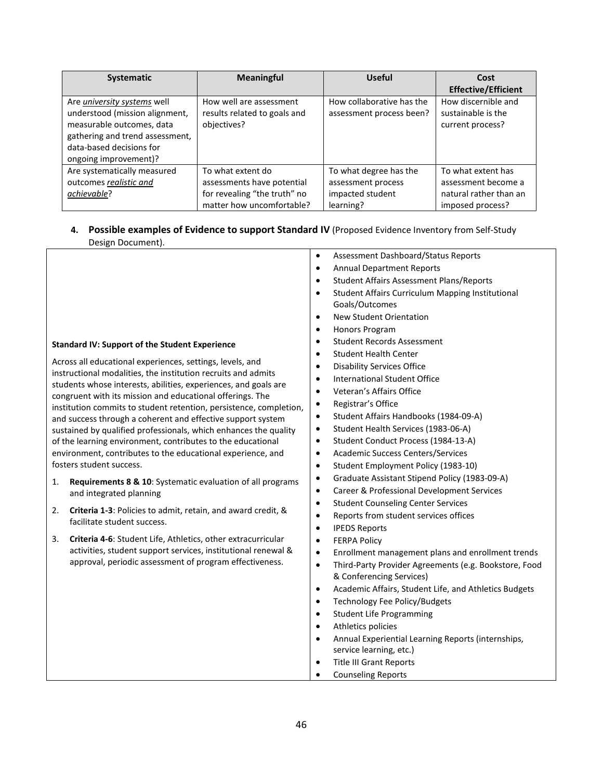| <b>Systematic</b>                                           | <b>Meaningful</b>                           | <b>Useful</b>             | Cost                                   |
|-------------------------------------------------------------|---------------------------------------------|---------------------------|----------------------------------------|
|                                                             |                                             |                           | <b>Effective/Efficient</b>             |
| Are university systems well                                 | How well are assessment                     | How collaborative has the | How discernible and                    |
| understood (mission alignment,<br>measurable outcomes, data | results related to goals and<br>objectives? | assessment process been?  | sustainable is the<br>current process? |
| gathering and trend assessment,                             |                                             |                           |                                        |
| data-based decisions for                                    |                                             |                           |                                        |
| ongoing improvement)?                                       |                                             |                           |                                        |
| Are systematically measured                                 | To what extent do                           | To what degree has the    | To what extent has                     |
| outcomes realistic and                                      | assessments have potential                  | assessment process        | assessment become a                    |
| achievable?                                                 | for revealing "the truth" no                | impacted student          | natural rather than an                 |
|                                                             | matter how uncomfortable?                   | learning?                 | imposed process?                       |

# **4. Possible examples of Evidence to support Standard IV** (Proposed Evidence Inventory from Self-Study Design Document).

|    |                                                                                                                                  | $\bullet$ | Assessment Dashboard/Status Reports                   |
|----|----------------------------------------------------------------------------------------------------------------------------------|-----------|-------------------------------------------------------|
|    |                                                                                                                                  | $\bullet$ | <b>Annual Department Reports</b>                      |
|    |                                                                                                                                  | $\bullet$ | <b>Student Affairs Assessment Plans/Reports</b>       |
|    |                                                                                                                                  | $\bullet$ | Student Affairs Curriculum Mapping Institutional      |
|    |                                                                                                                                  |           | Goals/Outcomes                                        |
|    |                                                                                                                                  | $\bullet$ | New Student Orientation                               |
|    |                                                                                                                                  | $\bullet$ | Honors Program                                        |
|    | <b>Standard IV: Support of the Student Experience</b>                                                                            | $\bullet$ | <b>Student Records Assessment</b>                     |
|    |                                                                                                                                  | $\bullet$ | <b>Student Health Center</b>                          |
|    | Across all educational experiences, settings, levels, and                                                                        | $\bullet$ | <b>Disability Services Office</b>                     |
|    | instructional modalities, the institution recruits and admits<br>students whose interests, abilities, experiences, and goals are | $\bullet$ | <b>International Student Office</b>                   |
|    | congruent with its mission and educational offerings. The                                                                        | $\bullet$ | Veteran's Affairs Office                              |
|    | institution commits to student retention, persistence, completion,                                                               | $\bullet$ | Registrar's Office                                    |
|    | and success through a coherent and effective support system                                                                      | $\bullet$ | Student Affairs Handbooks (1984-09-A)                 |
|    | sustained by qualified professionals, which enhances the quality                                                                 | $\bullet$ | Student Health Services (1983-06-A)                   |
|    | of the learning environment, contributes to the educational                                                                      | $\bullet$ | Student Conduct Process (1984-13-A)                   |
|    | environment, contributes to the educational experience, and                                                                      | $\bullet$ | <b>Academic Success Centers/Services</b>              |
|    | fosters student success.                                                                                                         | $\bullet$ | Student Employment Policy (1983-10)                   |
| 1. | <b>Requirements 8 &amp; 10:</b> Systematic evaluation of all programs                                                            | ٠         | Graduate Assistant Stipend Policy (1983-09-A)         |
|    | and integrated planning                                                                                                          | $\bullet$ | Career & Professional Development Services            |
|    |                                                                                                                                  | $\bullet$ | <b>Student Counseling Center Services</b>             |
| 2. | <b>Criteria 1-3:</b> Policies to admit, retain, and award credit, &<br>facilitate student success.                               | $\bullet$ | Reports from student services offices                 |
|    |                                                                                                                                  | $\bullet$ | <b>IPEDS Reports</b>                                  |
| 3. | Criteria 4-6: Student Life, Athletics, other extracurricular                                                                     | $\bullet$ | <b>FERPA Policy</b>                                   |
|    | activities, student support services, institutional renewal &                                                                    | $\bullet$ | Enrollment management plans and enrollment trends     |
|    | approval, periodic assessment of program effectiveness.                                                                          | $\bullet$ | Third-Party Provider Agreements (e.g. Bookstore, Food |
|    |                                                                                                                                  |           | & Conferencing Services)                              |
|    |                                                                                                                                  | $\bullet$ | Academic Affairs, Student Life, and Athletics Budgets |
|    |                                                                                                                                  | $\bullet$ | Technology Fee Policy/Budgets                         |
|    |                                                                                                                                  | $\bullet$ | <b>Student Life Programming</b>                       |
|    |                                                                                                                                  | $\bullet$ | Athletics policies                                    |
|    |                                                                                                                                  | $\bullet$ | Annual Experiential Learning Reports (internships,    |
|    |                                                                                                                                  |           | service learning, etc.)                               |
|    |                                                                                                                                  | $\bullet$ | <b>Title III Grant Reports</b>                        |
|    |                                                                                                                                  | $\bullet$ | <b>Counseling Reports</b>                             |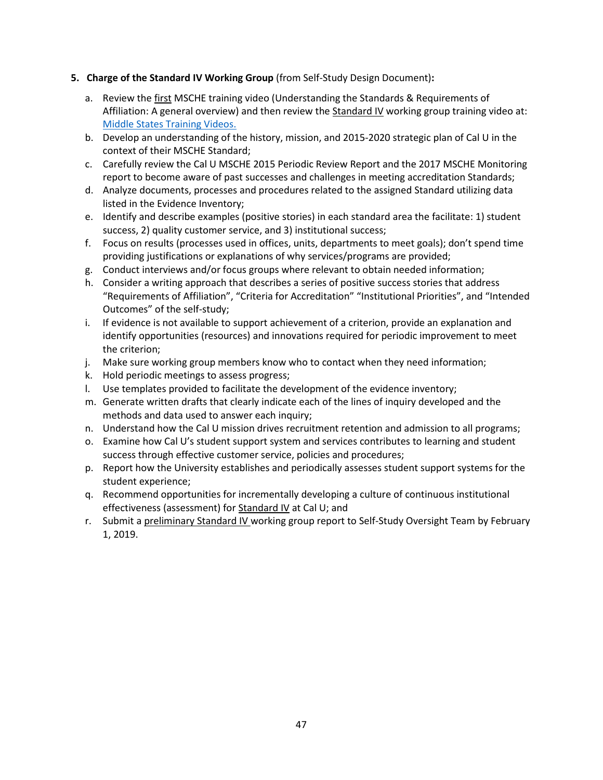## **5. Charge of the Standard IV Working Group** (from Self-Study Design Document)**:**

- a. Review the first MSCHE training video (Understanding the Standards & Requirements of Affiliation: A general overview) and then review the Standard IV working group training video at: [Middle States Training Videos.](https://www.msche.org/?Nav1=EVALUATORS&Nav2=TRAININGMATERIALS&Nav3=VIDEOS&strPageName=VIDEOS)
- b. Develop an understanding of the history, mission, and 2015-2020 strategic plan of Cal U in the context of their MSCHE Standard;
- c. Carefully review the Cal U MSCHE 2015 Periodic Review Report and the 2017 MSCHE Monitoring report to become aware of past successes and challenges in meeting accreditation Standards;
- d. Analyze documents, processes and procedures related to the assigned Standard utilizing data listed in the Evidence Inventory;
- e. Identify and describe examples (positive stories) in each standard area the facilitate: 1) student success, 2) quality customer service, and 3) institutional success;
- f. Focus on results (processes used in offices, units, departments to meet goals); don't spend time providing justifications or explanations of why services/programs are provided;
- g. Conduct interviews and/or focus groups where relevant to obtain needed information;
- h. Consider a writing approach that describes a series of positive success stories that address "Requirements of Affiliation", "Criteria for Accreditation" "Institutional Priorities", and "Intended Outcomes" of the self-study;
- i. If evidence is not available to support achievement of a criterion, provide an explanation and identify opportunities (resources) and innovations required for periodic improvement to meet the criterion;
- j. Make sure working group members know who to contact when they need information;
- k. Hold periodic meetings to assess progress;
- l. Use templates provided to facilitate the development of the evidence inventory;
- m. Generate written drafts that clearly indicate each of the lines of inquiry developed and the methods and data used to answer each inquiry;
- n. Understand how the Cal U mission drives recruitment retention and admission to all programs;
- o. Examine how Cal U's student support system and services contributes to learning and student success through effective customer service, policies and procedures;
- p. Report how the University establishes and periodically assesses student support systems for the student experience;
- q. Recommend opportunities for incrementally developing a culture of continuous institutional effectiveness (assessment) for Standard IV at Cal U; and
- r. Submit a preliminary Standard IV working group report to Self-Study Oversight Team by February 1, 2019.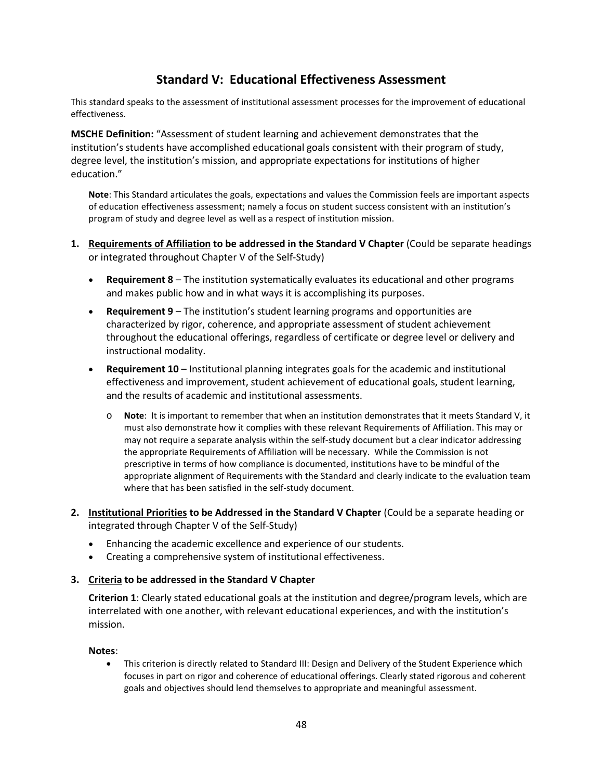# **Standard V: Educational Effectiveness Assessment**

This standard speaks to the assessment of institutional assessment processes for the improvement of educational effectiveness.

**MSCHE Definition:** "Assessment of student learning and achievement demonstrates that the institution's students have accomplished educational goals consistent with their program of study, degree level, the institution's mission, and appropriate expectations for institutions of higher education."

**Note**: This Standard articulates the goals, expectations and values the Commission feels are important aspects of education effectiveness assessment; namely a focus on student success consistent with an institution's program of study and degree level as well as a respect of institution mission.

- **1. Requirements of Affiliation to be addressed in the Standard V Chapter** (Could be separate headings or integrated throughout Chapter V of the Self-Study)
	- **Requirement 8**  The institution systematically evaluates its educational and other programs and makes public how and in what ways it is accomplishing its purposes.
	- **Requirement 9**  The institution's student learning programs and opportunities are characterized by rigor, coherence, and appropriate assessment of student achievement throughout the educational offerings, regardless of certificate or degree level or delivery and instructional modality.
	- **Requirement 10** Institutional planning integrates goals for the academic and institutional effectiveness and improvement, student achievement of educational goals, student learning, and the results of academic and institutional assessments.
		- o **Note**: It is important to remember that when an institution demonstrates that it meets Standard V, it must also demonstrate how it complies with these relevant Requirements of Affiliation. This may or may not require a separate analysis within the self-study document but a clear indicator addressing the appropriate Requirements of Affiliation will be necessary. While the Commission is not prescriptive in terms of how compliance is documented, institutions have to be mindful of the appropriate alignment of Requirements with the Standard and clearly indicate to the evaluation team where that has been satisfied in the self-study document.
- **2. Institutional Priorities to be Addressed in the Standard V Chapter** (Could be a separate heading or integrated through Chapter V of the Self-Study)
	- Enhancing the academic excellence and experience of our students.
	- Creating a comprehensive system of institutional effectiveness.

## **3. Criteria to be addressed in the Standard V Chapter**

**Criterion 1**: Clearly stated educational goals at the institution and degree/program levels, which are interrelated with one another, with relevant educational experiences, and with the institution's mission.

## **Notes**:

• This criterion is directly related to Standard III: Design and Delivery of the Student Experience which focuses in part on rigor and coherence of educational offerings. Clearly stated rigorous and coherent goals and objectives should lend themselves to appropriate and meaningful assessment.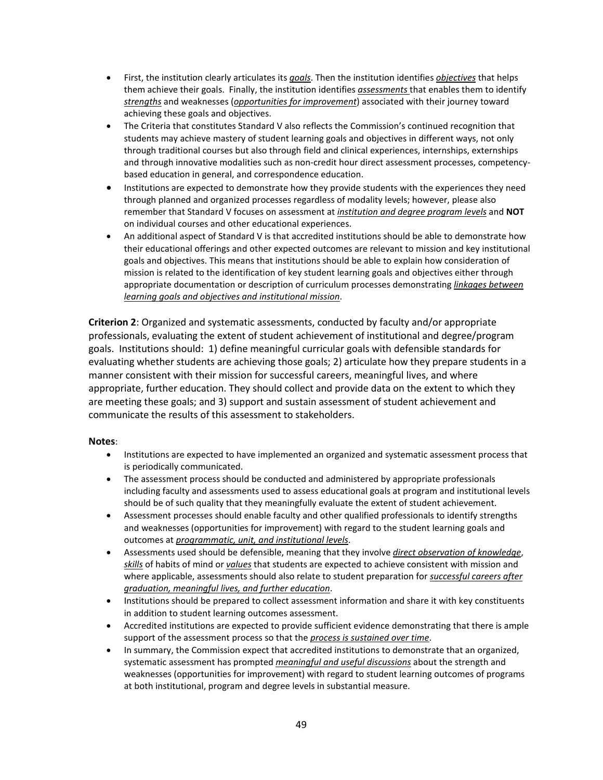- First, the institution clearly articulates its *goals*. Then the institution identifies *objectives* that helps them achieve their goals. Finally, the institution identifies *assessments* that enables them to identify *strengths* and weaknesses (*opportunities for improvement*) associated with their journey toward achieving these goals and objectives.
- The Criteria that constitutes Standard V also reflects the Commission's continued recognition that students may achieve mastery of student learning goals and objectives in different ways, not only through traditional courses but also through field and clinical experiences, internships, externships and through innovative modalities such as non-credit hour direct assessment processes, competencybased education in general, and correspondence education.
- Institutions are expected to demonstrate how they provide students with the experiences they need through planned and organized processes regardless of modality levels; however, please also remember that Standard V focuses on assessment at *institution and degree program levels* and **NOT** on individual courses and other educational experiences.
- An additional aspect of Standard V is that accredited institutions should be able to demonstrate how their educational offerings and other expected outcomes are relevant to mission and key institutional goals and objectives. This means that institutions should be able to explain how consideration of mission is related to the identification of key student learning goals and objectives either through appropriate documentation or description of curriculum processes demonstrating *linkages between learning goals and objectives and institutional mission*.

**Criterion 2**: Organized and systematic assessments, conducted by faculty and/or appropriate professionals, evaluating the extent of student achievement of institutional and degree/program goals. Institutions should: 1) define meaningful curricular goals with defensible standards for evaluating whether students are achieving those goals; 2) articulate how they prepare students in a manner consistent with their mission for successful careers, meaningful lives, and where appropriate, further education. They should collect and provide data on the extent to which they are meeting these goals; and 3) support and sustain assessment of student achievement and communicate the results of this assessment to stakeholders.

- Institutions are expected to have implemented an organized and systematic assessment process that is periodically communicated.
- The assessment process should be conducted and administered by appropriate professionals including faculty and assessments used to assess educational goals at program and institutional levels should be of such quality that they meaningfully evaluate the extent of student achievement.
- Assessment processes should enable faculty and other qualified professionals to identify strengths and weaknesses (opportunities for improvement) with regard to the student learning goals and outcomes at *programmatic, unit, and institutional levels*.
- Assessments used should be defensible, meaning that they involve *direct observation of knowledge*, *skills* of habits of mind or *values* that students are expected to achieve consistent with mission and where applicable, assessments should also relate to student preparation for *successful careers after graduation, meaningful lives, and further education*.
- Institutions should be prepared to collect assessment information and share it with key constituents in addition to student learning outcomes assessment.
- Accredited institutions are expected to provide sufficient evidence demonstrating that there is ample support of the assessment process so that the *process is sustained over time*.
- In summary, the Commission expect that accredited institutions to demonstrate that an organized, systematic assessment has prompted *meaningful and useful discussions* about the strength and weaknesses (opportunities for improvement) with regard to student learning outcomes of programs at both institutional, program and degree levels in substantial measure.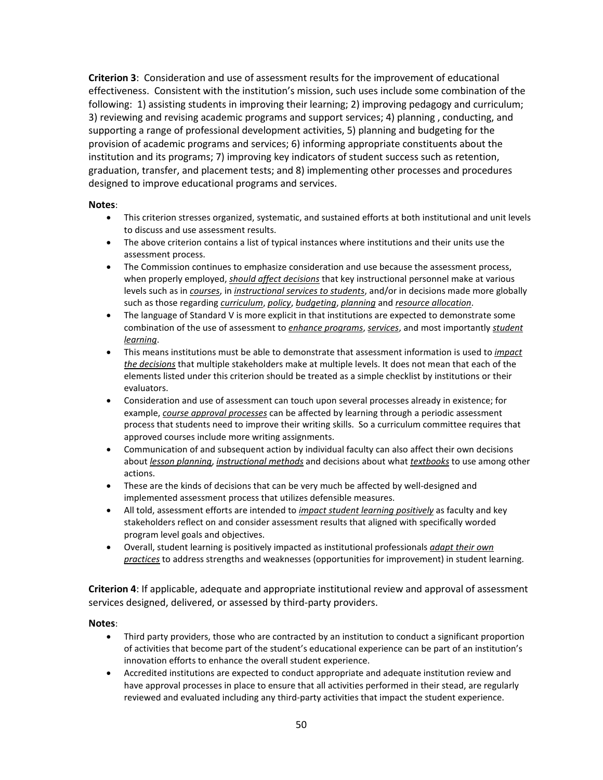**Criterion 3**: Consideration and use of assessment results for the improvement of educational effectiveness. Consistent with the institution's mission, such uses include some combination of the following: 1) assisting students in improving their learning; 2) improving pedagogy and curriculum; 3) reviewing and revising academic programs and support services; 4) planning , conducting, and supporting a range of professional development activities, 5) planning and budgeting for the provision of academic programs and services; 6) informing appropriate constituents about the institution and its programs; 7) improving key indicators of student success such as retention, graduation, transfer, and placement tests; and 8) implementing other processes and procedures designed to improve educational programs and services.

## **Notes**:

- This criterion stresses organized, systematic, and sustained efforts at both institutional and unit levels to discuss and use assessment results.
- The above criterion contains a list of typical instances where institutions and their units use the assessment process.
- The Commission continues to emphasize consideration and use because the assessment process, when properly employed, *should affect decisions* that key instructional personnel make at various levels such as in *courses*, in *instructional services to students*, and/or in decisions made more globally such as those regarding *curriculum*, *policy*, *budgeting*, *planning* and *resource allocation*.
- The language of Standard V is more explicit in that institutions are expected to demonstrate some combination of the use of assessment to *enhance programs*, *services*, and most importantly *student learning*.
- This means institutions must be able to demonstrate that assessment information is used to *impact the decisions* that multiple stakeholders make at multiple levels. It does not mean that each of the elements listed under this criterion should be treated as a simple checklist by institutions or their evaluators.
- Consideration and use of assessment can touch upon several processes already in existence; for example, *course approval processes* can be affected by learning through a periodic assessment process that students need to improve their writing skills. So a curriculum committee requires that approved courses include more writing assignments.
- Communication of and subsequent action by individual faculty can also affect their own decisions about *lesson planning*, *instructional methods* and decisions about what *textbooks* to use among other actions.
- These are the kinds of decisions that can be very much be affected by well-designed and implemented assessment process that utilizes defensible measures.
- All told, assessment efforts are intended to *impact student learning positively* as faculty and key stakeholders reflect on and consider assessment results that aligned with specifically worded program level goals and objectives.
- Overall, student learning is positively impacted as institutional professionals *adapt their own practices* to address strengths and weaknesses (opportunities for improvement) in student learning.

**Criterion 4**: If applicable, adequate and appropriate institutional review and approval of assessment services designed, delivered, or assessed by third-party providers.

- Third party providers, those who are contracted by an institution to conduct a significant proportion of activities that become part of the student's educational experience can be part of an institution's innovation efforts to enhance the overall student experience.
- Accredited institutions are expected to conduct appropriate and adequate institution review and have approval processes in place to ensure that all activities performed in their stead, are regularly reviewed and evaluated including any third-party activities that impact the student experience.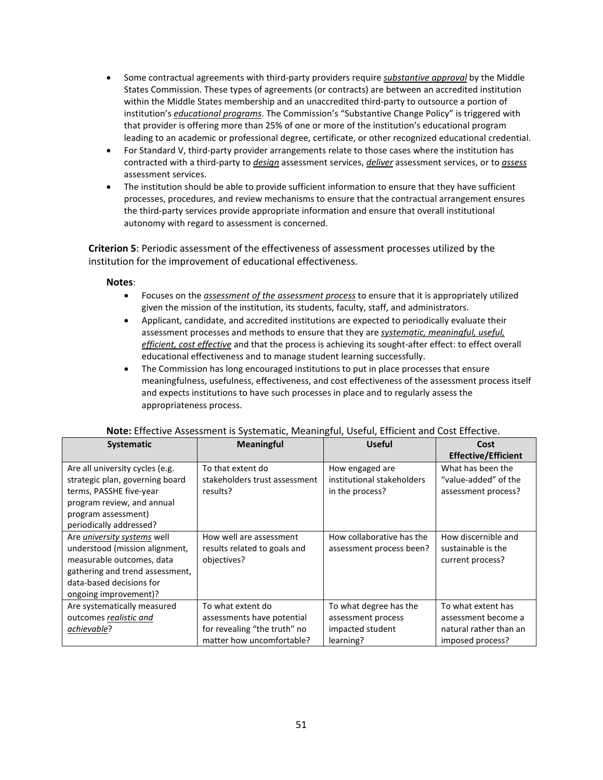- Some contractual agreements with third-party providers require *substantive approval* by the Middle States Commission. These types of agreements (or contracts) are between an accredited institution within the Middle States membership and an unaccredited third-party to outsource a portion of institution's *educational programs*. The Commission's "Substantive Change Policy" is triggered with that provider is offering more than 25% of one or more of the institution's educational program leading to an academic or professional degree, certificate, or other recognized educational credential.
- For Standard V, third-party provider arrangements relate to those cases where the institution has contracted with a third-party to *design* assessment services, *deliver* assessment services, or to *assess*  assessment services.
- The institution should be able to provide sufficient information to ensure that they have sufficient processes, procedures, and review mechanisms to ensure that the contractual arrangement ensures the third-party services provide appropriate information and ensure that overall institutional autonomy with regard to assessment is concerned.

**Criterion 5**: Periodic assessment of the effectiveness of assessment processes utilized by the institution for the improvement of educational effectiveness.

## **Notes**:

- Focuses on the *assessment of the assessment process* to ensure that it is appropriately utilized given the mission of the institution, its students, faculty, staff, and administrators.
- Applicant, candidate, and accredited institutions are expected to periodically evaluate their assessment processes and methods to ensure that they are *systematic, meaningful, useful, efficient, cost effective* and that the process is achieving its sought-after effect: to effect overall educational effectiveness and to manage student learning successfully.
- The Commission has long encouraged institutions to put in place processes that ensure meaningfulness, usefulness, effectiveness, and cost effectiveness of the assessment process itself and expects institutions to have such processes in place and to regularly assess the appropriateness process.

| <b>Systematic</b>                                                                                                                                                                  | <b>Meaningful</b>                                                                                            | <b>Useful</b>                                                                 | Cost<br><b>Effective/Efficient</b>                                                      |
|------------------------------------------------------------------------------------------------------------------------------------------------------------------------------------|--------------------------------------------------------------------------------------------------------------|-------------------------------------------------------------------------------|-----------------------------------------------------------------------------------------|
| Are all university cycles (e.g.<br>strategic plan, governing board<br>terms, PASSHE five-year<br>program review, and annual<br>program assessment)<br>periodically addressed?      | To that extent do<br>stakeholders trust assessment<br>results?                                               | How engaged are<br>institutional stakeholders<br>in the process?              | What has been the<br>"value-added" of the<br>assessment process?                        |
| Are university systems well<br>understood (mission alignment,<br>measurable outcomes, data<br>gathering and trend assessment,<br>data-based decisions for<br>ongoing improvement)? | How well are assessment<br>results related to goals and<br>objectives?                                       | How collaborative has the<br>assessment process been?                         | How discernible and<br>sustainable is the<br>current process?                           |
| Are systematically measured<br>outcomes realistic and<br>achievable?                                                                                                               | To what extent do<br>assessments have potential<br>for revealing "the truth" no<br>matter how uncomfortable? | To what degree has the<br>assessment process<br>impacted student<br>learning? | To what extent has<br>assessment become a<br>natural rather than an<br>imposed process? |

#### **Note:** Effective Assessment is Systematic, Meaningful, Useful, Efficient and Cost Effective.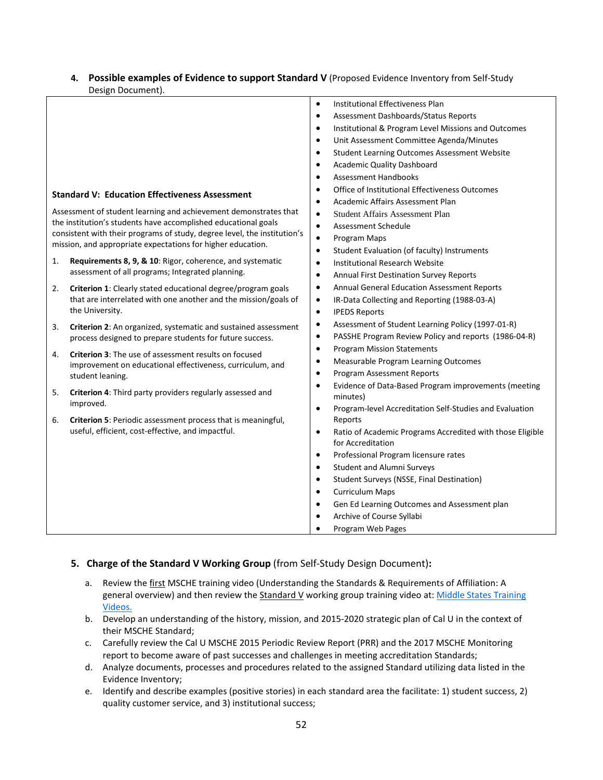## **4. Possible examples of Evidence to support Standard V** (Proposed Evidence Inventory from Self-Study Design Document).

| <b>Institutional Effectiveness Plan</b><br>$\bullet$<br>Assessment Dashboards/Status Reports<br>$\bullet$<br>Institutional & Program Level Missions and Outcomes<br>$\bullet$<br>Unit Assessment Committee Agenda/Minutes<br>$\bullet$<br>Student Learning Outcomes Assessment Website<br>$\bullet$<br><b>Academic Quality Dashboard</b><br>$\bullet$<br><b>Assessment Handbooks</b><br>$\bullet$<br>Office of Institutional Effectiveness Outcomes<br>$\bullet$<br><b>Standard V: Education Effectiveness Assessment</b><br>Academic Affairs Assessment Plan<br>$\bullet$<br>Assessment of student learning and achievement demonstrates that<br><b>Student Affairs Assessment Plan</b><br>$\bullet$<br>the institution's students have accomplished educational goals<br>Assessment Schedule<br>$\bullet$<br>consistent with their programs of study, degree level, the institution's<br>$\bullet$<br>Program Maps<br>mission, and appropriate expectations for higher education.<br>Student Evaluation (of faculty) Instruments<br>$\bullet$<br>Requirements 8, 9, & 10: Rigor, coherence, and systematic<br>1.<br>Institutional Research Website<br>$\bullet$<br>assessment of all programs; Integrated planning.<br>Annual First Destination Survey Reports<br>$\bullet$<br><b>Annual General Education Assessment Reports</b><br>$\bullet$<br>Criterion 1: Clearly stated educational degree/program goals<br>2.<br>that are interrelated with one another and the mission/goals of<br>IR-Data Collecting and Reporting (1988-03-A)<br>$\bullet$<br>the University.<br><b>IPEDS Reports</b><br>$\bullet$<br>Assessment of Student Learning Policy (1997-01-R)<br>$\bullet$<br>Criterion 2: An organized, systematic and sustained assessment<br>3.<br>PASSHE Program Review Policy and reports (1986-04-R)<br>$\bullet$<br>process designed to prepare students for future success.<br><b>Program Mission Statements</b><br>$\bullet$<br>Criterion 3: The use of assessment results on focused<br>4.<br>Measurable Program Learning Outcomes<br>$\bullet$<br>improvement on educational effectiveness, curriculum, and<br>Program Assessment Reports<br>$\bullet$<br>student leaning.<br>Evidence of Data-Based Program improvements (meeting<br>$\bullet$<br>5.<br>Criterion 4: Third party providers regularly assessed and<br>minutes)<br>improved.<br>Program-level Accreditation Self-Studies and Evaluation<br>$\bullet$<br>Criterion 5: Periodic assessment process that is meaningful,<br>Reports<br>6.<br>useful, efficient, cost-effective, and impactful.<br>Ratio of Academic Programs Accredited with those Eligible<br>$\bullet$<br>for Accreditation<br>Professional Program licensure rates<br>$\bullet$<br><b>Student and Alumni Surveys</b><br>$\bullet$<br>Student Surveys (NSSE, Final Destination)<br>$\bullet$<br><b>Curriculum Maps</b><br>$\bullet$<br>Gen Ed Learning Outcomes and Assessment plan<br>$\bullet$<br>Archive of Course Syllabi<br>$\bullet$<br>Program Web Pages | Design Document). |  |
|---------------------------------------------------------------------------------------------------------------------------------------------------------------------------------------------------------------------------------------------------------------------------------------------------------------------------------------------------------------------------------------------------------------------------------------------------------------------------------------------------------------------------------------------------------------------------------------------------------------------------------------------------------------------------------------------------------------------------------------------------------------------------------------------------------------------------------------------------------------------------------------------------------------------------------------------------------------------------------------------------------------------------------------------------------------------------------------------------------------------------------------------------------------------------------------------------------------------------------------------------------------------------------------------------------------------------------------------------------------------------------------------------------------------------------------------------------------------------------------------------------------------------------------------------------------------------------------------------------------------------------------------------------------------------------------------------------------------------------------------------------------------------------------------------------------------------------------------------------------------------------------------------------------------------------------------------------------------------------------------------------------------------------------------------------------------------------------------------------------------------------------------------------------------------------------------------------------------------------------------------------------------------------------------------------------------------------------------------------------------------------------------------------------------------------------------------------------------------------------------------------------------------------------------------------------------------------------------------------------------------------------------------------------------------------------------------------------------------------------------------------------------------------------------------------------------------------------------------------------------------------------------------------------------------------------------------------------------------------------------------------------|-------------------|--|
|                                                                                                                                                                                                                                                                                                                                                                                                                                                                                                                                                                                                                                                                                                                                                                                                                                                                                                                                                                                                                                                                                                                                                                                                                                                                                                                                                                                                                                                                                                                                                                                                                                                                                                                                                                                                                                                                                                                                                                                                                                                                                                                                                                                                                                                                                                                                                                                                                                                                                                                                                                                                                                                                                                                                                                                                                                                                                                                                                                                                               |                   |  |
|                                                                                                                                                                                                                                                                                                                                                                                                                                                                                                                                                                                                                                                                                                                                                                                                                                                                                                                                                                                                                                                                                                                                                                                                                                                                                                                                                                                                                                                                                                                                                                                                                                                                                                                                                                                                                                                                                                                                                                                                                                                                                                                                                                                                                                                                                                                                                                                                                                                                                                                                                                                                                                                                                                                                                                                                                                                                                                                                                                                                               |                   |  |
|                                                                                                                                                                                                                                                                                                                                                                                                                                                                                                                                                                                                                                                                                                                                                                                                                                                                                                                                                                                                                                                                                                                                                                                                                                                                                                                                                                                                                                                                                                                                                                                                                                                                                                                                                                                                                                                                                                                                                                                                                                                                                                                                                                                                                                                                                                                                                                                                                                                                                                                                                                                                                                                                                                                                                                                                                                                                                                                                                                                                               |                   |  |
|                                                                                                                                                                                                                                                                                                                                                                                                                                                                                                                                                                                                                                                                                                                                                                                                                                                                                                                                                                                                                                                                                                                                                                                                                                                                                                                                                                                                                                                                                                                                                                                                                                                                                                                                                                                                                                                                                                                                                                                                                                                                                                                                                                                                                                                                                                                                                                                                                                                                                                                                                                                                                                                                                                                                                                                                                                                                                                                                                                                                               |                   |  |
|                                                                                                                                                                                                                                                                                                                                                                                                                                                                                                                                                                                                                                                                                                                                                                                                                                                                                                                                                                                                                                                                                                                                                                                                                                                                                                                                                                                                                                                                                                                                                                                                                                                                                                                                                                                                                                                                                                                                                                                                                                                                                                                                                                                                                                                                                                                                                                                                                                                                                                                                                                                                                                                                                                                                                                                                                                                                                                                                                                                                               |                   |  |
|                                                                                                                                                                                                                                                                                                                                                                                                                                                                                                                                                                                                                                                                                                                                                                                                                                                                                                                                                                                                                                                                                                                                                                                                                                                                                                                                                                                                                                                                                                                                                                                                                                                                                                                                                                                                                                                                                                                                                                                                                                                                                                                                                                                                                                                                                                                                                                                                                                                                                                                                                                                                                                                                                                                                                                                                                                                                                                                                                                                                               |                   |  |
|                                                                                                                                                                                                                                                                                                                                                                                                                                                                                                                                                                                                                                                                                                                                                                                                                                                                                                                                                                                                                                                                                                                                                                                                                                                                                                                                                                                                                                                                                                                                                                                                                                                                                                                                                                                                                                                                                                                                                                                                                                                                                                                                                                                                                                                                                                                                                                                                                                                                                                                                                                                                                                                                                                                                                                                                                                                                                                                                                                                                               |                   |  |
|                                                                                                                                                                                                                                                                                                                                                                                                                                                                                                                                                                                                                                                                                                                                                                                                                                                                                                                                                                                                                                                                                                                                                                                                                                                                                                                                                                                                                                                                                                                                                                                                                                                                                                                                                                                                                                                                                                                                                                                                                                                                                                                                                                                                                                                                                                                                                                                                                                                                                                                                                                                                                                                                                                                                                                                                                                                                                                                                                                                                               |                   |  |
|                                                                                                                                                                                                                                                                                                                                                                                                                                                                                                                                                                                                                                                                                                                                                                                                                                                                                                                                                                                                                                                                                                                                                                                                                                                                                                                                                                                                                                                                                                                                                                                                                                                                                                                                                                                                                                                                                                                                                                                                                                                                                                                                                                                                                                                                                                                                                                                                                                                                                                                                                                                                                                                                                                                                                                                                                                                                                                                                                                                                               |                   |  |
|                                                                                                                                                                                                                                                                                                                                                                                                                                                                                                                                                                                                                                                                                                                                                                                                                                                                                                                                                                                                                                                                                                                                                                                                                                                                                                                                                                                                                                                                                                                                                                                                                                                                                                                                                                                                                                                                                                                                                                                                                                                                                                                                                                                                                                                                                                                                                                                                                                                                                                                                                                                                                                                                                                                                                                                                                                                                                                                                                                                                               |                   |  |
|                                                                                                                                                                                                                                                                                                                                                                                                                                                                                                                                                                                                                                                                                                                                                                                                                                                                                                                                                                                                                                                                                                                                                                                                                                                                                                                                                                                                                                                                                                                                                                                                                                                                                                                                                                                                                                                                                                                                                                                                                                                                                                                                                                                                                                                                                                                                                                                                                                                                                                                                                                                                                                                                                                                                                                                                                                                                                                                                                                                                               |                   |  |
|                                                                                                                                                                                                                                                                                                                                                                                                                                                                                                                                                                                                                                                                                                                                                                                                                                                                                                                                                                                                                                                                                                                                                                                                                                                                                                                                                                                                                                                                                                                                                                                                                                                                                                                                                                                                                                                                                                                                                                                                                                                                                                                                                                                                                                                                                                                                                                                                                                                                                                                                                                                                                                                                                                                                                                                                                                                                                                                                                                                                               |                   |  |
|                                                                                                                                                                                                                                                                                                                                                                                                                                                                                                                                                                                                                                                                                                                                                                                                                                                                                                                                                                                                                                                                                                                                                                                                                                                                                                                                                                                                                                                                                                                                                                                                                                                                                                                                                                                                                                                                                                                                                                                                                                                                                                                                                                                                                                                                                                                                                                                                                                                                                                                                                                                                                                                                                                                                                                                                                                                                                                                                                                                                               |                   |  |
|                                                                                                                                                                                                                                                                                                                                                                                                                                                                                                                                                                                                                                                                                                                                                                                                                                                                                                                                                                                                                                                                                                                                                                                                                                                                                                                                                                                                                                                                                                                                                                                                                                                                                                                                                                                                                                                                                                                                                                                                                                                                                                                                                                                                                                                                                                                                                                                                                                                                                                                                                                                                                                                                                                                                                                                                                                                                                                                                                                                                               |                   |  |
|                                                                                                                                                                                                                                                                                                                                                                                                                                                                                                                                                                                                                                                                                                                                                                                                                                                                                                                                                                                                                                                                                                                                                                                                                                                                                                                                                                                                                                                                                                                                                                                                                                                                                                                                                                                                                                                                                                                                                                                                                                                                                                                                                                                                                                                                                                                                                                                                                                                                                                                                                                                                                                                                                                                                                                                                                                                                                                                                                                                                               |                   |  |
|                                                                                                                                                                                                                                                                                                                                                                                                                                                                                                                                                                                                                                                                                                                                                                                                                                                                                                                                                                                                                                                                                                                                                                                                                                                                                                                                                                                                                                                                                                                                                                                                                                                                                                                                                                                                                                                                                                                                                                                                                                                                                                                                                                                                                                                                                                                                                                                                                                                                                                                                                                                                                                                                                                                                                                                                                                                                                                                                                                                                               |                   |  |
|                                                                                                                                                                                                                                                                                                                                                                                                                                                                                                                                                                                                                                                                                                                                                                                                                                                                                                                                                                                                                                                                                                                                                                                                                                                                                                                                                                                                                                                                                                                                                                                                                                                                                                                                                                                                                                                                                                                                                                                                                                                                                                                                                                                                                                                                                                                                                                                                                                                                                                                                                                                                                                                                                                                                                                                                                                                                                                                                                                                                               |                   |  |
|                                                                                                                                                                                                                                                                                                                                                                                                                                                                                                                                                                                                                                                                                                                                                                                                                                                                                                                                                                                                                                                                                                                                                                                                                                                                                                                                                                                                                                                                                                                                                                                                                                                                                                                                                                                                                                                                                                                                                                                                                                                                                                                                                                                                                                                                                                                                                                                                                                                                                                                                                                                                                                                                                                                                                                                                                                                                                                                                                                                                               |                   |  |
|                                                                                                                                                                                                                                                                                                                                                                                                                                                                                                                                                                                                                                                                                                                                                                                                                                                                                                                                                                                                                                                                                                                                                                                                                                                                                                                                                                                                                                                                                                                                                                                                                                                                                                                                                                                                                                                                                                                                                                                                                                                                                                                                                                                                                                                                                                                                                                                                                                                                                                                                                                                                                                                                                                                                                                                                                                                                                                                                                                                                               |                   |  |
|                                                                                                                                                                                                                                                                                                                                                                                                                                                                                                                                                                                                                                                                                                                                                                                                                                                                                                                                                                                                                                                                                                                                                                                                                                                                                                                                                                                                                                                                                                                                                                                                                                                                                                                                                                                                                                                                                                                                                                                                                                                                                                                                                                                                                                                                                                                                                                                                                                                                                                                                                                                                                                                                                                                                                                                                                                                                                                                                                                                                               |                   |  |
|                                                                                                                                                                                                                                                                                                                                                                                                                                                                                                                                                                                                                                                                                                                                                                                                                                                                                                                                                                                                                                                                                                                                                                                                                                                                                                                                                                                                                                                                                                                                                                                                                                                                                                                                                                                                                                                                                                                                                                                                                                                                                                                                                                                                                                                                                                                                                                                                                                                                                                                                                                                                                                                                                                                                                                                                                                                                                                                                                                                                               |                   |  |
|                                                                                                                                                                                                                                                                                                                                                                                                                                                                                                                                                                                                                                                                                                                                                                                                                                                                                                                                                                                                                                                                                                                                                                                                                                                                                                                                                                                                                                                                                                                                                                                                                                                                                                                                                                                                                                                                                                                                                                                                                                                                                                                                                                                                                                                                                                                                                                                                                                                                                                                                                                                                                                                                                                                                                                                                                                                                                                                                                                                                               |                   |  |
|                                                                                                                                                                                                                                                                                                                                                                                                                                                                                                                                                                                                                                                                                                                                                                                                                                                                                                                                                                                                                                                                                                                                                                                                                                                                                                                                                                                                                                                                                                                                                                                                                                                                                                                                                                                                                                                                                                                                                                                                                                                                                                                                                                                                                                                                                                                                                                                                                                                                                                                                                                                                                                                                                                                                                                                                                                                                                                                                                                                                               |                   |  |
|                                                                                                                                                                                                                                                                                                                                                                                                                                                                                                                                                                                                                                                                                                                                                                                                                                                                                                                                                                                                                                                                                                                                                                                                                                                                                                                                                                                                                                                                                                                                                                                                                                                                                                                                                                                                                                                                                                                                                                                                                                                                                                                                                                                                                                                                                                                                                                                                                                                                                                                                                                                                                                                                                                                                                                                                                                                                                                                                                                                                               |                   |  |
|                                                                                                                                                                                                                                                                                                                                                                                                                                                                                                                                                                                                                                                                                                                                                                                                                                                                                                                                                                                                                                                                                                                                                                                                                                                                                                                                                                                                                                                                                                                                                                                                                                                                                                                                                                                                                                                                                                                                                                                                                                                                                                                                                                                                                                                                                                                                                                                                                                                                                                                                                                                                                                                                                                                                                                                                                                                                                                                                                                                                               |                   |  |
|                                                                                                                                                                                                                                                                                                                                                                                                                                                                                                                                                                                                                                                                                                                                                                                                                                                                                                                                                                                                                                                                                                                                                                                                                                                                                                                                                                                                                                                                                                                                                                                                                                                                                                                                                                                                                                                                                                                                                                                                                                                                                                                                                                                                                                                                                                                                                                                                                                                                                                                                                                                                                                                                                                                                                                                                                                                                                                                                                                                                               |                   |  |
|                                                                                                                                                                                                                                                                                                                                                                                                                                                                                                                                                                                                                                                                                                                                                                                                                                                                                                                                                                                                                                                                                                                                                                                                                                                                                                                                                                                                                                                                                                                                                                                                                                                                                                                                                                                                                                                                                                                                                                                                                                                                                                                                                                                                                                                                                                                                                                                                                                                                                                                                                                                                                                                                                                                                                                                                                                                                                                                                                                                                               |                   |  |
|                                                                                                                                                                                                                                                                                                                                                                                                                                                                                                                                                                                                                                                                                                                                                                                                                                                                                                                                                                                                                                                                                                                                                                                                                                                                                                                                                                                                                                                                                                                                                                                                                                                                                                                                                                                                                                                                                                                                                                                                                                                                                                                                                                                                                                                                                                                                                                                                                                                                                                                                                                                                                                                                                                                                                                                                                                                                                                                                                                                                               |                   |  |
|                                                                                                                                                                                                                                                                                                                                                                                                                                                                                                                                                                                                                                                                                                                                                                                                                                                                                                                                                                                                                                                                                                                                                                                                                                                                                                                                                                                                                                                                                                                                                                                                                                                                                                                                                                                                                                                                                                                                                                                                                                                                                                                                                                                                                                                                                                                                                                                                                                                                                                                                                                                                                                                                                                                                                                                                                                                                                                                                                                                                               |                   |  |
|                                                                                                                                                                                                                                                                                                                                                                                                                                                                                                                                                                                                                                                                                                                                                                                                                                                                                                                                                                                                                                                                                                                                                                                                                                                                                                                                                                                                                                                                                                                                                                                                                                                                                                                                                                                                                                                                                                                                                                                                                                                                                                                                                                                                                                                                                                                                                                                                                                                                                                                                                                                                                                                                                                                                                                                                                                                                                                                                                                                                               |                   |  |
|                                                                                                                                                                                                                                                                                                                                                                                                                                                                                                                                                                                                                                                                                                                                                                                                                                                                                                                                                                                                                                                                                                                                                                                                                                                                                                                                                                                                                                                                                                                                                                                                                                                                                                                                                                                                                                                                                                                                                                                                                                                                                                                                                                                                                                                                                                                                                                                                                                                                                                                                                                                                                                                                                                                                                                                                                                                                                                                                                                                                               |                   |  |
|                                                                                                                                                                                                                                                                                                                                                                                                                                                                                                                                                                                                                                                                                                                                                                                                                                                                                                                                                                                                                                                                                                                                                                                                                                                                                                                                                                                                                                                                                                                                                                                                                                                                                                                                                                                                                                                                                                                                                                                                                                                                                                                                                                                                                                                                                                                                                                                                                                                                                                                                                                                                                                                                                                                                                                                                                                                                                                                                                                                                               |                   |  |
|                                                                                                                                                                                                                                                                                                                                                                                                                                                                                                                                                                                                                                                                                                                                                                                                                                                                                                                                                                                                                                                                                                                                                                                                                                                                                                                                                                                                                                                                                                                                                                                                                                                                                                                                                                                                                                                                                                                                                                                                                                                                                                                                                                                                                                                                                                                                                                                                                                                                                                                                                                                                                                                                                                                                                                                                                                                                                                                                                                                                               |                   |  |
|                                                                                                                                                                                                                                                                                                                                                                                                                                                                                                                                                                                                                                                                                                                                                                                                                                                                                                                                                                                                                                                                                                                                                                                                                                                                                                                                                                                                                                                                                                                                                                                                                                                                                                                                                                                                                                                                                                                                                                                                                                                                                                                                                                                                                                                                                                                                                                                                                                                                                                                                                                                                                                                                                                                                                                                                                                                                                                                                                                                                               |                   |  |
|                                                                                                                                                                                                                                                                                                                                                                                                                                                                                                                                                                                                                                                                                                                                                                                                                                                                                                                                                                                                                                                                                                                                                                                                                                                                                                                                                                                                                                                                                                                                                                                                                                                                                                                                                                                                                                                                                                                                                                                                                                                                                                                                                                                                                                                                                                                                                                                                                                                                                                                                                                                                                                                                                                                                                                                                                                                                                                                                                                                                               |                   |  |
|                                                                                                                                                                                                                                                                                                                                                                                                                                                                                                                                                                                                                                                                                                                                                                                                                                                                                                                                                                                                                                                                                                                                                                                                                                                                                                                                                                                                                                                                                                                                                                                                                                                                                                                                                                                                                                                                                                                                                                                                                                                                                                                                                                                                                                                                                                                                                                                                                                                                                                                                                                                                                                                                                                                                                                                                                                                                                                                                                                                                               |                   |  |

## **5. Charge of the Standard V Working Group** (from Self-Study Design Document)**:**

- a. Review the first MSCHE training video (Understanding the Standards & Requirements of Affiliation: A general overview) and then review the Standard V working group training video at: Middle States Training [Videos.](https://www.msche.org/?Nav1=EVALUATORS&Nav2=TRAININGMATERIALS&Nav3=VIDEOS&strPageName=VIDEOS)
- b. Develop an understanding of the history, mission, and 2015-2020 strategic plan of Cal U in the context of their MSCHE Standard;
- c. Carefully review the Cal U MSCHE 2015 Periodic Review Report (PRR) and the 2017 MSCHE Monitoring report to become aware of past successes and challenges in meeting accreditation Standards;
- d. Analyze documents, processes and procedures related to the assigned Standard utilizing data listed in the Evidence Inventory;
- e. Identify and describe examples (positive stories) in each standard area the facilitate: 1) student success, 2) quality customer service, and 3) institutional success;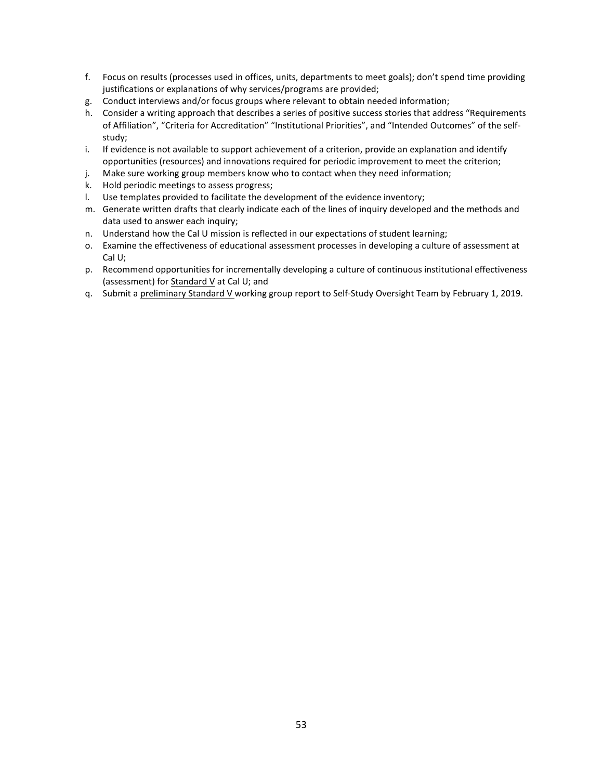- f. Focus on results (processes used in offices, units, departments to meet goals); don't spend time providing justifications or explanations of why services/programs are provided;
- g. Conduct interviews and/or focus groups where relevant to obtain needed information;
- h. Consider a writing approach that describes a series of positive success stories that address "Requirements of Affiliation", "Criteria for Accreditation" "Institutional Priorities", and "Intended Outcomes" of the selfstudy;
- i. If evidence is not available to support achievement of a criterion, provide an explanation and identify opportunities (resources) and innovations required for periodic improvement to meet the criterion;
- j. Make sure working group members know who to contact when they need information;
- k. Hold periodic meetings to assess progress;
- l. Use templates provided to facilitate the development of the evidence inventory;
- m. Generate written drafts that clearly indicate each of the lines of inquiry developed and the methods and data used to answer each inquiry;
- n. Understand how the Cal U mission is reflected in our expectations of student learning;
- o. Examine the effectiveness of educational assessment processes in developing a culture of assessment at Cal U;
- p. Recommend opportunities for incrementally developing a culture of continuous institutional effectiveness (assessment) for Standard V at Cal U; and
- q. Submit a preliminary Standard V working group report to Self-Study Oversight Team by February 1, 2019.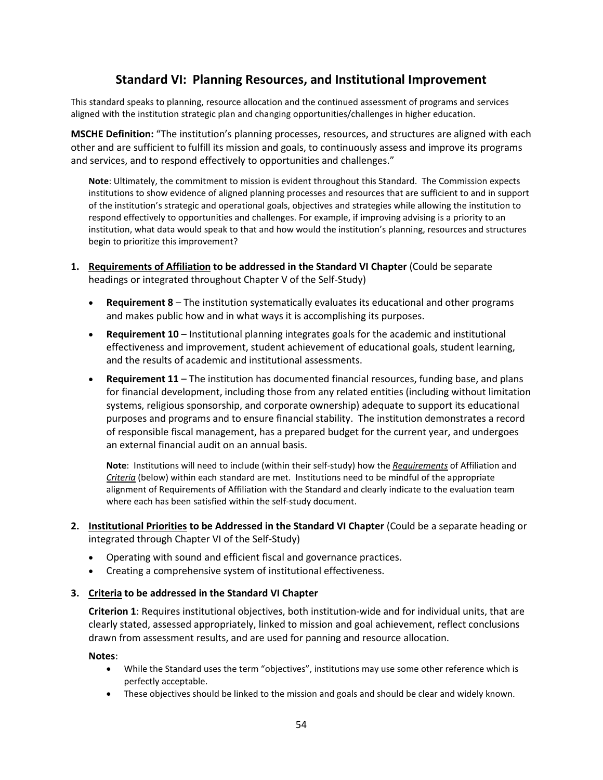# **Standard VI: Planning Resources, and Institutional Improvement**

This standard speaks to planning, resource allocation and the continued assessment of programs and services aligned with the institution strategic plan and changing opportunities/challenges in higher education.

**MSCHE Definition:** "The institution's planning processes, resources, and structures are aligned with each other and are sufficient to fulfill its mission and goals, to continuously assess and improve its programs and services, and to respond effectively to opportunities and challenges."

**Note**: Ultimately, the commitment to mission is evident throughout this Standard. The Commission expects institutions to show evidence of aligned planning processes and resources that are sufficient to and in support of the institution's strategic and operational goals, objectives and strategies while allowing the institution to respond effectively to opportunities and challenges. For example, if improving advising is a priority to an institution, what data would speak to that and how would the institution's planning, resources and structures begin to prioritize this improvement?

- **1. Requirements of Affiliation to be addressed in the Standard VI Chapter** (Could be separate headings or integrated throughout Chapter V of the Self-Study)
	- **Requirement 8**  The institution systematically evaluates its educational and other programs and makes public how and in what ways it is accomplishing its purposes.
	- **Requirement 10** Institutional planning integrates goals for the academic and institutional effectiveness and improvement, student achievement of educational goals, student learning, and the results of academic and institutional assessments.
	- **Requirement 11**  The institution has documented financial resources, funding base, and plans for financial development, including those from any related entities (including without limitation systems, religious sponsorship, and corporate ownership) adequate to support its educational purposes and programs and to ensure financial stability. The institution demonstrates a record of responsible fiscal management, has a prepared budget for the current year, and undergoes an external financial audit on an annual basis.

**Note**: Institutions will need to include (within their self-study) how the *Requirements* of Affiliation and *Criteria* (below) within each standard are met. Institutions need to be mindful of the appropriate alignment of Requirements of Affiliation with the Standard and clearly indicate to the evaluation team where each has been satisfied within the self-study document.

- **2. Institutional Priorities to be Addressed in the Standard VI Chapter** (Could be a separate heading or integrated through Chapter VI of the Self-Study)
	- Operating with sound and efficient fiscal and governance practices.
	- Creating a comprehensive system of institutional effectiveness.

## **3. Criteria to be addressed in the Standard VI Chapter**

**Criterion 1**: Requires institutional objectives, both institution-wide and for individual units, that are clearly stated, assessed appropriately, linked to mission and goal achievement, reflect conclusions drawn from assessment results, and are used for panning and resource allocation.

- While the Standard uses the term "objectives", institutions may use some other reference which is perfectly acceptable.
- These objectives should be linked to the mission and goals and should be clear and widely known.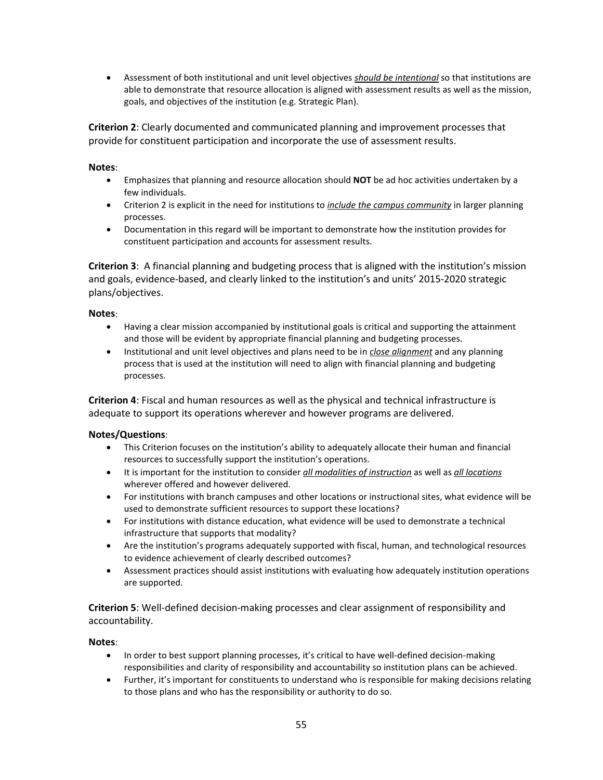• Assessment of both institutional and unit level objectives *should be intentional* so that institutions are able to demonstrate that resource allocation is aligned with assessment results as well as the mission, goals, and objectives of the institution (e.g. Strategic Plan).

**Criterion 2**: Clearly documented and communicated planning and improvement processes that provide for constituent participation and incorporate the use of assessment results.

## **Notes**:

- Emphasizes that planning and resource allocation should **NOT** be ad hoc activities undertaken by a few individuals.
- Criterion 2 is explicit in the need for institutions to *include the campus community* in larger planning processes.
- Documentation in this regard will be important to demonstrate how the institution provides for constituent participation and accounts for assessment results.

**Criterion 3**: A financial planning and budgeting process that is aligned with the institution's mission and goals, evidence-based, and clearly linked to the institution's and units' 2015-2020 strategic plans/objectives.

## **Notes**:

- Having a clear mission accompanied by institutional goals is critical and supporting the attainment and those will be evident by appropriate financial planning and budgeting processes.
- Institutional and unit level objectives and plans need to be in *close alignment* and any planning process that is used at the institution will need to align with financial planning and budgeting processes.

**Criterion 4**: Fiscal and human resources as well as the physical and technical infrastructure is adequate to support its operations wherever and however programs are delivered.

## **Notes/Questions**:

- This Criterion focuses on the institution's ability to adequately allocate their human and financial resources to successfully support the institution's operations.
- It is important for the institution to consider *all modalities of instruction* as well as *all locations* wherever offered and however delivered.
- For institutions with branch campuses and other locations or instructional sites, what evidence will be used to demonstrate sufficient resources to support these locations?
- For institutions with distance education, what evidence will be used to demonstrate a technical infrastructure that supports that modality?
- Are the institution's programs adequately supported with fiscal, human, and technological resources to evidence achievement of clearly described outcomes?
- Assessment practices should assist institutions with evaluating how adequately institution operations are supported.

**Criterion 5**: Well-defined decision-making processes and clear assignment of responsibility and accountability.

- In order to best support planning processes, it's critical to have well-defined decision-making responsibilities and clarity of responsibility and accountability so institution plans can be achieved.
- Further, it's important for constituents to understand who is responsible for making decisions relating to those plans and who has the responsibility or authority to do so.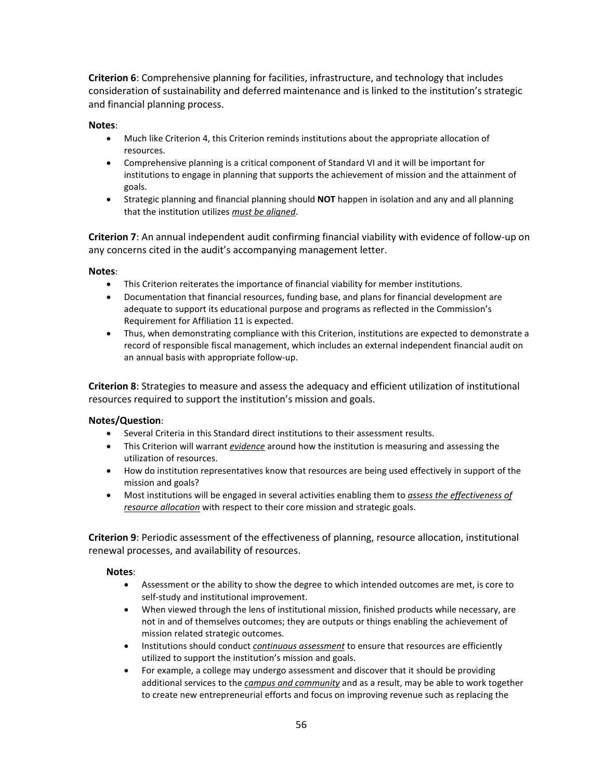**Criterion 6**: Comprehensive planning for facilities, infrastructure, and technology that includes consideration of sustainability and deferred maintenance and is linked to the institution's strategic and financial planning process.

## **Notes**:

- Much like Criterion 4, this Criterion reminds institutions about the appropriate allocation of resources.
- Comprehensive planning is a critical component of Standard VI and it will be important for institutions to engage in planning that supports the achievement of mission and the attainment of goals.
- Strategic planning and financial planning should **NOT** happen in isolation and any and all planning that the institution utilizes *must be aligned*.

**Criterion 7**: An annual independent audit confirming financial viability with evidence of follow-up on any concerns cited in the audit's accompanying management letter.

## **Notes**:

- This Criterion reiterates the importance of financial viability for member institutions.
- Documentation that financial resources, funding base, and plans for financial development are adequate to support its educational purpose and programs as reflected in the Commission's Requirement for Affiliation 11 is expected.
- Thus, when demonstrating compliance with this Criterion, institutions are expected to demonstrate a record of responsible fiscal management, which includes an external independent financial audit on an annual basis with appropriate follow-up.

**Criterion 8**: Strategies to measure and assess the adequacy and efficient utilization of institutional resources required to support the institution's mission and goals.

## **Notes/Question**:

- Several Criteria in this Standard direct institutions to their assessment results.
- This Criterion will warrant *evidence* around how the institution is measuring and assessing the utilization of resources.
- How do institution representatives know that resources are being used effectively in support of the mission and goals?
- Most institutions will be engaged in several activities enabling them to *assess the effectiveness of resource allocation* with respect to their core mission and strategic goals.

**Criterion 9**: Periodic assessment of the effectiveness of planning, resource allocation, institutional renewal processes, and availability of resources.

- Assessment or the ability to show the degree to which intended outcomes are met, is core to self-study and institutional improvement.
- When viewed through the lens of institutional mission, finished products while necessary, are not in and of themselves outcomes; they are outputs or things enabling the achievement of mission related strategic outcomes.
- Institutions should conduct *continuous assessment* to ensure that resources are efficiently utilized to support the institution's mission and goals.
- For example, a college may undergo assessment and discover that it should be providing additional services to the *campus and community* and as a result, may be able to work together to create new entrepreneurial efforts and focus on improving revenue such as replacing the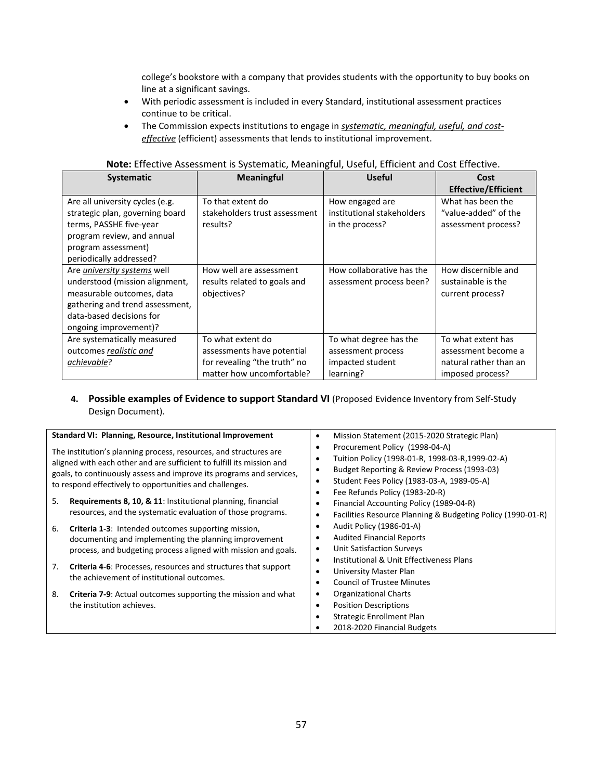college's bookstore with a company that provides students with the opportunity to buy books on line at a significant savings.

- With periodic assessment is included in every Standard, institutional assessment practices continue to be critical.
- The Commission expects institutions to engage in *systematic, meaningful, useful, and costeffective* (efficient) assessments that lends to institutional improvement.

| <b>Systematic</b>               | <b>Meaningful</b>             | <b>Useful</b>              | Cost                       |
|---------------------------------|-------------------------------|----------------------------|----------------------------|
|                                 |                               |                            | <b>Effective/Efficient</b> |
| Are all university cycles (e.g. | To that extent do             | How engaged are            | What has been the          |
| strategic plan, governing board | stakeholders trust assessment | institutional stakeholders | "value-added" of the       |
| terms, PASSHE five-year         | results?                      | in the process?            | assessment process?        |
| program review, and annual      |                               |                            |                            |
| program assessment)             |                               |                            |                            |
| periodically addressed?         |                               |                            |                            |
| Are university systems well     | How well are assessment       | How collaborative has the  | How discernible and        |
| understood (mission alignment,  | results related to goals and  | assessment process been?   | sustainable is the         |
| measurable outcomes, data       | objectives?                   |                            | current process?           |
| gathering and trend assessment, |                               |                            |                            |
| data-based decisions for        |                               |                            |                            |
| ongoing improvement)?           |                               |                            |                            |
| Are systematically measured     | To what extent do             | To what degree has the     | To what extent has         |
| outcomes realistic and          | assessments have potential    | assessment process         | assessment become a        |
| achievable?                     | for revealing "the truth" no  | impacted student           | natural rather than an     |
|                                 | matter how uncomfortable?     | learning?                  | imposed process?           |

| Note: Effective Assessment is Systematic, Meaningful, Useful, Efficient and Cost Effective. |  |  |
|---------------------------------------------------------------------------------------------|--|--|
|---------------------------------------------------------------------------------------------|--|--|

## 4. **Possible examples of Evidence to support Standard VI** (Proposed Evidence Inventory from Self-Study Design Document).

| Standard VI: Planning, Resource, Institutional Improvement<br>The institution's planning process, resources, and structures are                                                                          | Mission Statement (2015-2020 Strategic Plan)<br>٠<br>Procurement Policy (1998-04-A)                                                                                                                                 |
|----------------------------------------------------------------------------------------------------------------------------------------------------------------------------------------------------------|---------------------------------------------------------------------------------------------------------------------------------------------------------------------------------------------------------------------|
| aligned with each other and are sufficient to fulfill its mission and<br>goals, to continuously assess and improve its programs and services,<br>to respond effectively to opportunities and challenges. | Tuition Policy (1998-01-R, 1998-03-R, 1999-02-A)<br>٠<br>Budget Reporting & Review Process (1993-03)<br>٠<br>Student Fees Policy (1983-03-A, 1989-05-A)<br>$\bullet$<br>Fee Refunds Policy (1983-20-R)<br>$\bullet$ |
| <b>Requirements 8, 10, &amp; 11:</b> Institutional planning, financial<br>5.<br>resources, and the systematic evaluation of those programs.                                                              | Financial Accounting Policy (1989-04-R)<br>٠<br>Facilities Resource Planning & Budgeting Policy (1990-01-R)<br>$\bullet$                                                                                            |
| <b>Criteria 1-3:</b> Intended outcomes supporting mission,<br>6.<br>documenting and implementing the planning improvement<br>process, and budgeting process aligned with mission and goals.              | Audit Policy (1986-01-A)<br>٠<br><b>Audited Financial Reports</b><br><b>Unit Satisfaction Surveys</b><br>٠<br>Institutional & Unit Effectiveness Plans<br>$\bullet$                                                 |
| <b>Criteria 4-6:</b> Processes, resources and structures that support<br>7.<br>the achievement of institutional outcomes.                                                                                | University Master Plan<br>$\bullet$<br><b>Council of Trustee Minutes</b>                                                                                                                                            |
| <b>Criteria 7-9:</b> Actual outcomes supporting the mission and what<br>8.<br>the institution achieves.                                                                                                  | Organizational Charts<br>٠<br><b>Position Descriptions</b><br>٠<br>Strategic Enrollment Plan<br>2018-2020 Financial Budgets                                                                                         |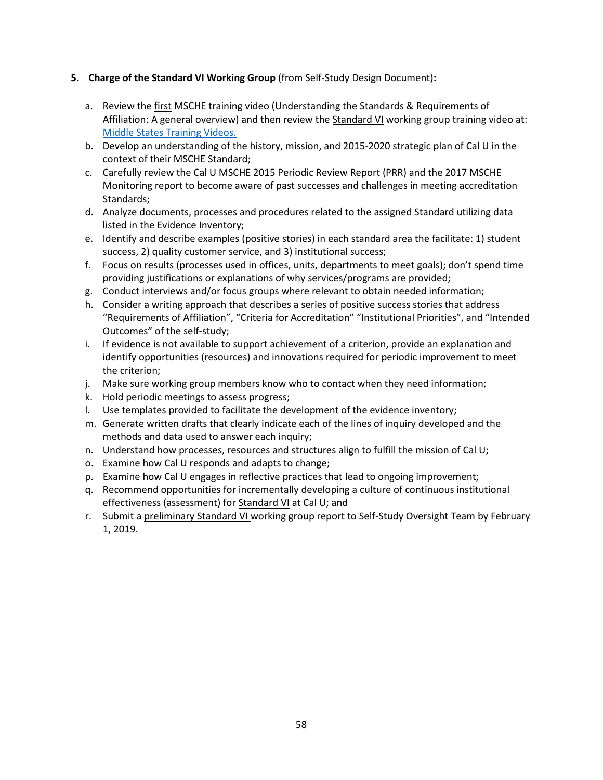## **5. Charge of the Standard VI Working Group** (from Self-Study Design Document)**:**

- a. Review the first MSCHE training video (Understanding the Standards & Requirements of Affiliation: A general overview) and then review the Standard VI working group training video at: [Middle States Training Videos.](https://www.msche.org/?Nav1=EVALUATORS&Nav2=TRAININGMATERIALS&Nav3=VIDEOS&strPageName=VIDEOS)
- b. Develop an understanding of the history, mission, and 2015-2020 strategic plan of Cal U in the context of their MSCHE Standard;
- c. Carefully review the Cal U MSCHE 2015 Periodic Review Report (PRR) and the 2017 MSCHE Monitoring report to become aware of past successes and challenges in meeting accreditation Standards;
- d. Analyze documents, processes and procedures related to the assigned Standard utilizing data listed in the Evidence Inventory;
- e. Identify and describe examples (positive stories) in each standard area the facilitate: 1) student success, 2) quality customer service, and 3) institutional success;
- f. Focus on results (processes used in offices, units, departments to meet goals); don't spend time providing justifications or explanations of why services/programs are provided;
- g. Conduct interviews and/or focus groups where relevant to obtain needed information;
- h. Consider a writing approach that describes a series of positive success stories that address "Requirements of Affiliation", "Criteria for Accreditation" "Institutional Priorities", and "Intended Outcomes" of the self-study;
- i. If evidence is not available to support achievement of a criterion, provide an explanation and identify opportunities (resources) and innovations required for periodic improvement to meet the criterion;
- j. Make sure working group members know who to contact when they need information;
- k. Hold periodic meetings to assess progress;
- l. Use templates provided to facilitate the development of the evidence inventory;
- m. Generate written drafts that clearly indicate each of the lines of inquiry developed and the methods and data used to answer each inquiry;
- n. Understand how processes, resources and structures align to fulfill the mission of Cal U;
- o. Examine how Cal U responds and adapts to change;
- p. Examine how Cal U engages in reflective practices that lead to ongoing improvement;
- q. Recommend opportunities for incrementally developing a culture of continuous institutional effectiveness (assessment) for Standard VI at Cal U; and
- r. Submit a preliminary Standard VI working group report to Self-Study Oversight Team by February 1, 2019.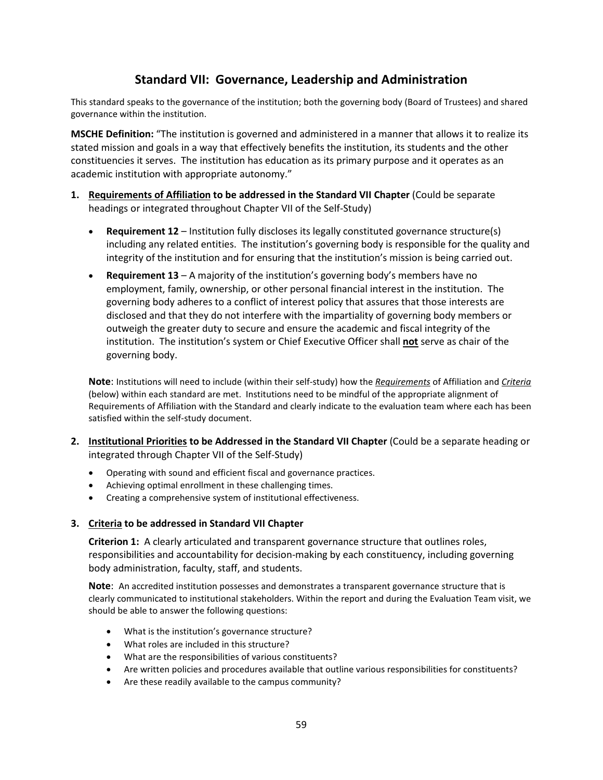# **Standard VII: Governance, Leadership and Administration**

This standard speaks to the governance of the institution; both the governing body (Board of Trustees) and shared governance within the institution.

**MSCHE Definition:** "The institution is governed and administered in a manner that allows it to realize its stated mission and goals in a way that effectively benefits the institution, its students and the other constituencies it serves. The institution has education as its primary purpose and it operates as an academic institution with appropriate autonomy."

- **1. Requirements of Affiliation to be addressed in the Standard VII Chapter** (Could be separate headings or integrated throughout Chapter VII of the Self-Study)
	- **Requirement 12** Institution fully discloses its legally constituted governance structure(s) including any related entities. The institution's governing body is responsible for the quality and integrity of the institution and for ensuring that the institution's mission is being carried out.
	- **Requirement 13** A majority of the institution's governing body's members have no employment, family, ownership, or other personal financial interest in the institution. The governing body adheres to a conflict of interest policy that assures that those interests are disclosed and that they do not interfere with the impartiality of governing body members or outweigh the greater duty to secure and ensure the academic and fiscal integrity of the institution. The institution's system or Chief Executive Officer shall **not** serve as chair of the governing body.

**Note**: Institutions will need to include (within their self-study) how the *Requirements* of Affiliation and *Criteria* (below) within each standard are met. Institutions need to be mindful of the appropriate alignment of Requirements of Affiliation with the Standard and clearly indicate to the evaluation team where each has been satisfied within the self-study document.

- **2. Institutional Priorities to be Addressed in the Standard VII Chapter** (Could be a separate heading or integrated through Chapter VII of the Self-Study)
	- Operating with sound and efficient fiscal and governance practices.
	- Achieving optimal enrollment in these challenging times.
	- Creating a comprehensive system of institutional effectiveness.

## **3. Criteria to be addressed in Standard VII Chapter**

**Criterion 1:** A clearly articulated and transparent governance structure that outlines roles, responsibilities and accountability for decision-making by each constituency, including governing body administration, faculty, staff, and students.

**Note**: An accredited institution possesses and demonstrates a transparent governance structure that is clearly communicated to institutional stakeholders. Within the report and during the Evaluation Team visit, we should be able to answer the following questions:

- What is the institution's governance structure?
- What roles are included in this structure?
- What are the responsibilities of various constituents?
- Are written policies and procedures available that outline various responsibilities for constituents?
- Are these readily available to the campus community?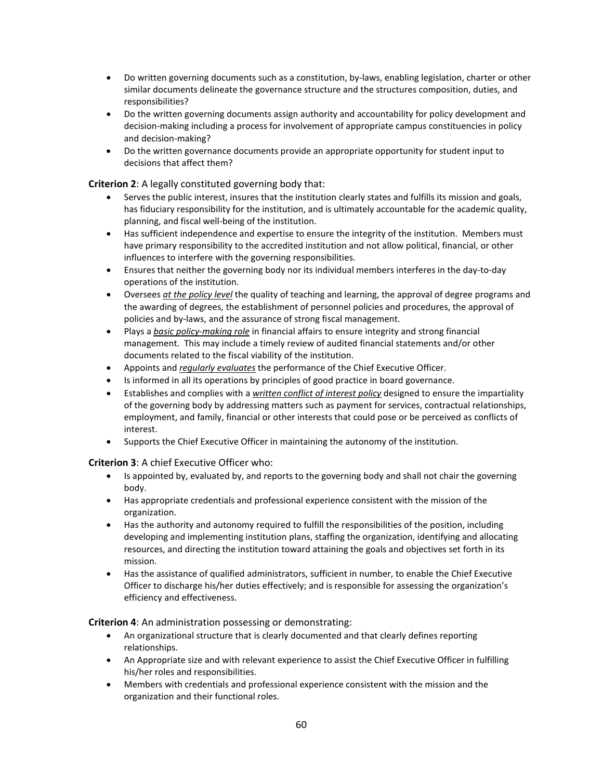- Do written governing documents such as a constitution, by-laws, enabling legislation, charter or other similar documents delineate the governance structure and the structures composition, duties, and responsibilities?
- Do the written governing documents assign authority and accountability for policy development and decision-making including a process for involvement of appropriate campus constituencies in policy and decision-making?
- Do the written governance documents provide an appropriate opportunity for student input to decisions that affect them?

**Criterion 2**: A legally constituted governing body that:

- Serves the public interest, insures that the institution clearly states and fulfills its mission and goals, has fiduciary responsibility for the institution, and is ultimately accountable for the academic quality, planning, and fiscal well-being of the institution.
- Has sufficient independence and expertise to ensure the integrity of the institution. Members must have primary responsibility to the accredited institution and not allow political, financial, or other influences to interfere with the governing responsibilities.
- Ensures that neither the governing body nor its individual members interferes in the day-to-day operations of the institution.
- Oversees *at the policy level* the quality of teaching and learning, the approval of degree programs and the awarding of degrees, the establishment of personnel policies and procedures, the approval of policies and by-laws, and the assurance of strong fiscal management.
- Plays a *basic policy-making role* in financial affairs to ensure integrity and strong financial management. This may include a timely review of audited financial statements and/or other documents related to the fiscal viability of the institution.
- Appoints and *regularly evaluates* the performance of the Chief Executive Officer.
- Is informed in all its operations by principles of good practice in board governance.
- Establishes and complies with a *written conflict of interest policy* designed to ensure the impartiality of the governing body by addressing matters such as payment for services, contractual relationships, employment, and family, financial or other interests that could pose or be perceived as conflicts of interest.
- Supports the Chief Executive Officer in maintaining the autonomy of the institution.

**Criterion 3**: A chief Executive Officer who:

- Is appointed by, evaluated by, and reports to the governing body and shall not chair the governing body.
- Has appropriate credentials and professional experience consistent with the mission of the organization.
- Has the authority and autonomy required to fulfill the responsibilities of the position, including developing and implementing institution plans, staffing the organization, identifying and allocating resources, and directing the institution toward attaining the goals and objectives set forth in its mission.
- Has the assistance of qualified administrators, sufficient in number, to enable the Chief Executive Officer to discharge his/her duties effectively; and is responsible for assessing the organization's efficiency and effectiveness.

**Criterion 4**: An administration possessing or demonstrating:

- An organizational structure that is clearly documented and that clearly defines reporting relationships.
- An Appropriate size and with relevant experience to assist the Chief Executive Officer in fulfilling his/her roles and responsibilities.
- Members with credentials and professional experience consistent with the mission and the organization and their functional roles.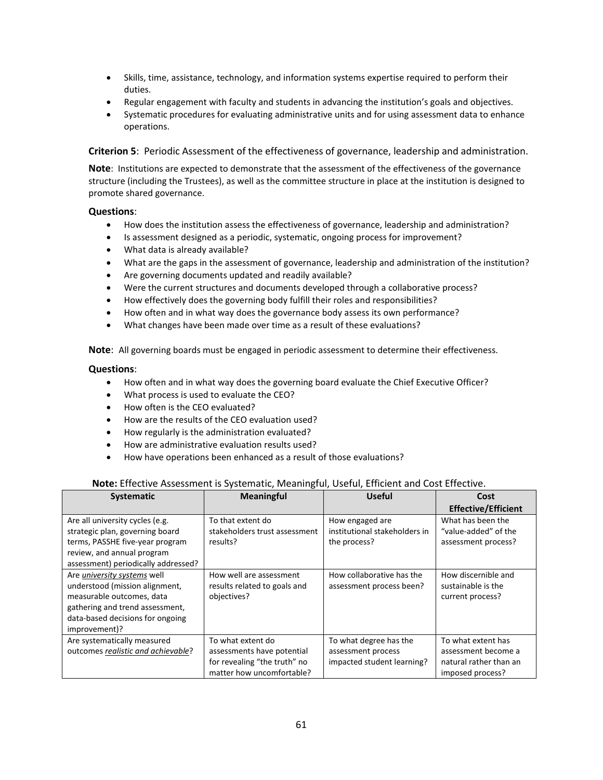- Skills, time, assistance, technology, and information systems expertise required to perform their duties.
- Regular engagement with faculty and students in advancing the institution's goals and objectives.
- Systematic procedures for evaluating administrative units and for using assessment data to enhance operations.

**Criterion 5**: Periodic Assessment of the effectiveness of governance, leadership and administration.

**Note**: Institutions are expected to demonstrate that the assessment of the effectiveness of the governance structure (including the Trustees), as well as the committee structure in place at the institution is designed to promote shared governance.

## **Questions**:

- How does the institution assess the effectiveness of governance, leadership and administration?
- Is assessment designed as a periodic, systematic, ongoing process for improvement?
- What data is already available?
- What are the gaps in the assessment of governance, leadership and administration of the institution?
- Are governing documents updated and readily available?
- Were the current structures and documents developed through a collaborative process?
- How effectively does the governing body fulfill their roles and responsibilities?
- How often and in what way does the governance body assess its own performance?
- What changes have been made over time as a result of these evaluations?

**Note**: All governing boards must be engaged in periodic assessment to determine their effectiveness.

## **Questions**:

- How often and in what way does the governing board evaluate the Chief Executive Officer?
- What process is used to evaluate the CEO?
- How often is the CEO evaluated?
- How are the results of the CEO evaluation used?
- How regularly is the administration evaluated?
- How are administrative evaluation results used?
- How have operations been enhanced as a result of those evaluations?

## **Note:** Effective Assessment is Systematic, Meaningful, Useful, Efficient and Cost Effective.

| <b>Systematic</b>                   | <b>Meaningful</b>             | <b>Useful</b>                 | Cost                       |
|-------------------------------------|-------------------------------|-------------------------------|----------------------------|
|                                     |                               |                               | <b>Effective/Efficient</b> |
| Are all university cycles (e.g.     | To that extent do             | How engaged are               | What has been the          |
| strategic plan, governing board     | stakeholders trust assessment | institutional stakeholders in | "value-added" of the       |
| terms, PASSHE five-year program     | results?                      | the process?                  | assessment process?        |
| review, and annual program          |                               |                               |                            |
| assessment) periodically addressed? |                               |                               |                            |
| Are university systems well         | How well are assessment       | How collaborative has the     | How discernible and        |
| understood (mission alignment,      | results related to goals and  | assessment process been?      | sustainable is the         |
| measurable outcomes, data           | objectives?                   |                               | current process?           |
| gathering and trend assessment,     |                               |                               |                            |
| data-based decisions for ongoing    |                               |                               |                            |
| improvement)?                       |                               |                               |                            |
| Are systematically measured         | To what extent do             | To what degree has the        | To what extent has         |
| outcomes realistic and achievable?  | assessments have potential    | assessment process            | assessment become a        |
|                                     | for revealing "the truth" no  | impacted student learning?    | natural rather than an     |
|                                     | matter how uncomfortable?     |                               | imposed process?           |